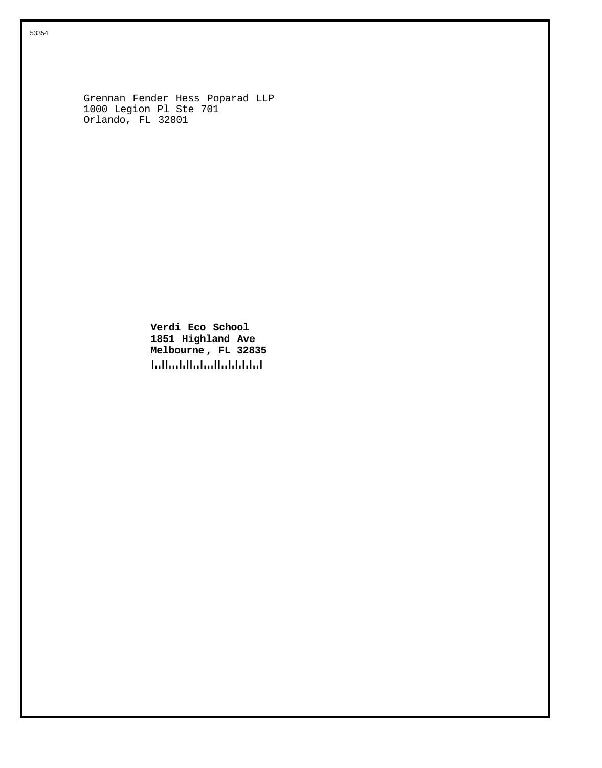Grennan Fender Hess Poparad LLP 1000 Legion Pl Ste 701 Orlando, FL 32801

> **Verdi Eco School 1851 Highland Ave Melbourne , FL 32835 Influidibilidad Indiana**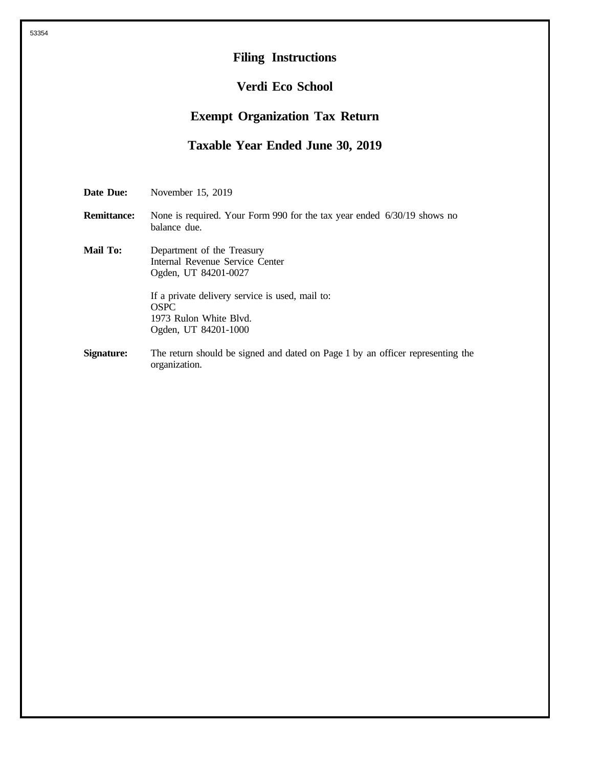## **Filing Instructions**

## **Verdi Eco School**

## **Exempt Organization Tax Return**

## **Taxable Year Ended June 30, 2019**

**Date Due:** November 15, 2019

- **Remittance:** None is required. Your Form 990 for the tax year ended 6/30/19 shows no balance due.
- **Mail To:** Department of the Treasury Internal Revenue Service Center Ogden, UT 84201-0027 If a private delivery service is used, mail to: OSPC 1973 Rulon White Blvd. Ogden, UT 84201-1000
- **Signature:** The return should be signed and dated on Page 1 by an officer representing the organization.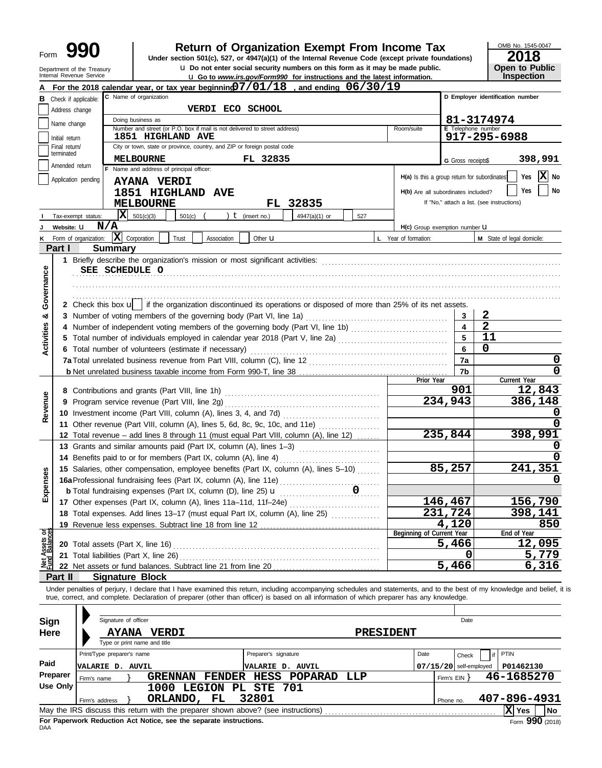**990 a Return of Organization Exempt From Income Tax 2018**<br> **Particular Solution 501(c), 527, or 4947(a)(1) of the Internal Revenue Code (except private foundations) <b>2018** 

**u** Go to *www.irs.gov/Form990* for instructions and the latest information. **u** Do not enter social security numbers on this form as it may be made public.

OMB No. 1545-0047 **Open to Public<br>Inspection** 

|                                | Department of the Treasury<br>Internal Revenue Service |                                                                                      | <b>u</b> Do not enter social security numbers on this form as it may be made public.                                                                                       |                         | <b>u</b> Go to www.irs.gov/Form990 for instructions and the latest information. |     |           |                                              |                           |                                            | Open to Public<br>Inspection |
|--------------------------------|--------------------------------------------------------|--------------------------------------------------------------------------------------|----------------------------------------------------------------------------------------------------------------------------------------------------------------------------|-------------------------|---------------------------------------------------------------------------------|-----|-----------|----------------------------------------------|---------------------------|--------------------------------------------|------------------------------|
|                                |                                                        |                                                                                      | For the 2018 calendar year, or tax year beginning $7/01/18$ , and ending $06/30/19$                                                                                        |                         |                                                                                 |     |           |                                              |                           |                                            |                              |
|                                | <b>B</b> Check if applicable:                          |                                                                                      | C Name of organization                                                                                                                                                     |                         |                                                                                 |     |           |                                              |                           | D Employer identification number           |                              |
|                                | Address change                                         |                                                                                      | VERDI ECO SCHOOL                                                                                                                                                           |                         |                                                                                 |     |           |                                              |                           |                                            |                              |
|                                |                                                        |                                                                                      | Doing business as                                                                                                                                                          |                         |                                                                                 |     |           |                                              |                           | 81-3174974                                 |                              |
|                                | Name change                                            |                                                                                      | Number and street (or P.O. box if mail is not delivered to street address)                                                                                                 |                         |                                                                                 |     |           | Room/suite                                   | <b>E</b> Telephone number |                                            |                              |
|                                | Initial return                                         |                                                                                      | 1851 HIGHLAND AVE                                                                                                                                                          |                         |                                                                                 |     |           |                                              |                           | 917-295-6988                               |                              |
|                                | Final return/<br>terminated                            |                                                                                      | City or town, state or province, country, and ZIP or foreign postal code                                                                                                   |                         |                                                                                 |     |           |                                              |                           |                                            |                              |
|                                | Amended return                                         |                                                                                      | <b>MELBOURNE</b>                                                                                                                                                           | FL 32835                |                                                                                 |     |           |                                              | G Gross receipts\$        |                                            | 398,991                      |
|                                |                                                        |                                                                                      | F Name and address of principal officer:                                                                                                                                   |                         |                                                                                 |     |           | H(a) Is this a group return for subordinates |                           |                                            | $ \mathbf{X} $ No<br>Yes     |
|                                | Application pending                                    |                                                                                      | <b>AYANA VERDI</b>                                                                                                                                                         |                         |                                                                                 |     |           |                                              |                           |                                            | Yes                          |
|                                |                                                        |                                                                                      | 1851 HIGHLAND AVE                                                                                                                                                          |                         |                                                                                 |     |           | H(b) Are all subordinates included?          |                           |                                            | No                           |
|                                |                                                        |                                                                                      | <b>MELBOURNE</b>                                                                                                                                                           |                         | FL 32835                                                                        |     |           |                                              |                           | If "No," attach a list. (see instructions) |                              |
|                                | Tax-exempt status:                                     | x                                                                                    | 501(c)(3)<br>501(c)                                                                                                                                                        | ) $t$ (insert no.)      | 4947(a)(1) or                                                                   | 527 |           |                                              |                           |                                            |                              |
| J                              | Website: U                                             | N/A                                                                                  |                                                                                                                                                                            |                         |                                                                                 |     |           | H(c) Group exemption number <b>U</b>         |                           |                                            |                              |
| ĸ                              | Form of organization:                                  |                                                                                      | $ \mathbf{X} $ Corporation<br>Association<br>Trust                                                                                                                         | Other $\mathbf u$       |                                                                                 |     |           | L Year of formation:                         |                           | M State of legal domicile:                 |                              |
|                                | Part I                                                 | <b>Summary</b>                                                                       |                                                                                                                                                                            |                         |                                                                                 |     |           |                                              |                           |                                            |                              |
|                                |                                                        |                                                                                      |                                                                                                                                                                            |                         |                                                                                 |     |           |                                              |                           |                                            |                              |
| Governance                     |                                                        | SEE SCHEDULE O                                                                       |                                                                                                                                                                            |                         |                                                                                 |     |           |                                              |                           |                                            |                              |
|                                |                                                        |                                                                                      |                                                                                                                                                                            |                         |                                                                                 |     |           |                                              |                           |                                            |                              |
|                                |                                                        |                                                                                      |                                                                                                                                                                            |                         |                                                                                 |     |           |                                              |                           |                                            |                              |
|                                |                                                        |                                                                                      | 2 Check this box $\mathbf{u}$   if the organization discontinued its operations or disposed of more than 25% of its net assets.                                            |                         |                                                                                 |     |           |                                              |                           |                                            |                              |
| య                              |                                                        |                                                                                      |                                                                                                                                                                            |                         |                                                                                 |     |           |                                              | 3                         | 2                                          |                              |
|                                |                                                        |                                                                                      | 4 Number of independent voting members of the governing body (Part VI, line 1b) [11] [11] Number of independent voting members of the governing body (Part VI, line 1b)    |                         |                                                                                 |     |           |                                              | $\blacktriangle$          | $\overline{2}$                             |                              |
| Activities                     |                                                        |                                                                                      |                                                                                                                                                                            |                         |                                                                                 |     |           |                                              | $5^{\circ}$               | 11                                         |                              |
|                                |                                                        |                                                                                      | 6 Total number of volunteers (estimate if necessary)                                                                                                                       |                         |                                                                                 |     |           |                                              | $6\phantom{a}$            | $\Omega$                                   |                              |
|                                |                                                        |                                                                                      |                                                                                                                                                                            |                         |                                                                                 |     |           |                                              | 7a                        |                                            | 0                            |
|                                |                                                        |                                                                                      |                                                                                                                                                                            |                         |                                                                                 |     |           |                                              | 7b                        |                                            | $\mathbf 0$                  |
|                                |                                                        |                                                                                      |                                                                                                                                                                            |                         |                                                                                 |     |           | Prior Year                                   | 901                       |                                            | Current Year                 |
|                                |                                                        |                                                                                      |                                                                                                                                                                            |                         |                                                                                 |     |           |                                              | 234,943                   |                                            | 12,843<br>386,148            |
| Revenue                        |                                                        | 9 Program service revenue (Part VIII, line 2g)                                       |                                                                                                                                                                            |                         |                                                                                 |     |           |                                              |                           |                                            |                              |
|                                |                                                        |                                                                                      | 11 Other revenue (Part VIII, column (A), lines 5, 6d, 8c, 9c, 10c, and 11e)                                                                                                |                         |                                                                                 |     |           |                                              |                           |                                            | 0                            |
|                                |                                                        |                                                                                      | 12 Total revenue - add lines 8 through 11 (must equal Part VIII, column (A), line 12)                                                                                      |                         |                                                                                 |     |           |                                              | 235,844                   |                                            | 398,991                      |
|                                |                                                        |                                                                                      | 13 Grants and similar amounts paid (Part IX, column (A), lines 1-3)                                                                                                        |                         |                                                                                 |     |           |                                              |                           |                                            |                              |
|                                |                                                        |                                                                                      | 14 Benefits paid to or for members (Part IX, column (A), line 4)                                                                                                           |                         |                                                                                 |     |           |                                              |                           |                                            | 0                            |
|                                |                                                        |                                                                                      |                                                                                                                                                                            |                         |                                                                                 |     |           |                                              | 85,257                    |                                            | 241,351                      |
| Ses                            |                                                        | 15 Salaries, other compensation, employee benefits (Part IX, column (A), lines 5-10) |                                                                                                                                                                            |                         |                                                                                 |     |           |                                              |                           |                                            |                              |
| Expen                          |                                                        | 0<br><b>b</b> Total fundraising expenses (Part IX, column (D), line 25) $\mathbf{u}$ |                                                                                                                                                                            |                         |                                                                                 |     |           |                                              |                           |                                            |                              |
|                                |                                                        |                                                                                      | 17 Other expenses (Part IX, column (A), lines 11a-11d, 11f-24e)                                                                                                            |                         |                                                                                 |     |           |                                              | 146,467                   |                                            | 156,790                      |
|                                |                                                        |                                                                                      | 18 Total expenses. Add lines 13-17 (must equal Part IX, column (A), line 25) [[[[[[[[[[[[[[[[[[[[[[[[[[[[[[[                                                               |                         |                                                                                 |     |           |                                              | 231,724                   |                                            | 398,141                      |
|                                |                                                        |                                                                                      |                                                                                                                                                                            |                         |                                                                                 |     |           |                                              | 4,120                     |                                            | 850                          |
|                                |                                                        |                                                                                      |                                                                                                                                                                            |                         |                                                                                 |     |           | Beginning of Current Year                    |                           |                                            | End of Year                  |
| Net Assets or<br>Fund Balances |                                                        |                                                                                      | 20 Total assets (Part X, line 16)                                                                                                                                          |                         |                                                                                 |     |           |                                              | 5,466                     |                                            | 12,095                       |
|                                |                                                        |                                                                                      | 21 Total liabilities (Part X, line 26)                                                                                                                                     |                         |                                                                                 |     |           |                                              | 0                         |                                            | 5,779                        |
|                                |                                                        |                                                                                      |                                                                                                                                                                            |                         |                                                                                 |     |           |                                              | 5,466                     |                                            | 6,316                        |
|                                | Part II                                                |                                                                                      | <b>Signature Block</b>                                                                                                                                                     |                         |                                                                                 |     |           |                                              |                           |                                            |                              |
|                                |                                                        |                                                                                      | Under penalties of perjury, I declare that I have examined this return, including accompanying schedules and statements, and to the best of my knowledge and belief, it is |                         |                                                                                 |     |           |                                              |                           |                                            |                              |
|                                |                                                        |                                                                                      | true, correct, and complete. Declaration of preparer (other than officer) is based on all information of which preparer has any knowledge.                                 |                         |                                                                                 |     |           |                                              |                           |                                            |                              |
|                                |                                                        |                                                                                      |                                                                                                                                                                            |                         |                                                                                 |     |           |                                              |                           |                                            |                              |
| Sign                           |                                                        | Signature of officer                                                                 |                                                                                                                                                                            |                         |                                                                                 |     |           |                                              | Date                      |                                            |                              |
| <b>Here</b>                    |                                                        |                                                                                      | AYANA VERDI                                                                                                                                                                |                         |                                                                                 |     | PRESIDENT |                                              |                           |                                            |                              |
|                                |                                                        |                                                                                      | Type or print name and title                                                                                                                                               |                         |                                                                                 |     |           |                                              |                           |                                            |                              |
|                                |                                                        | Print/Type preparer's name                                                           |                                                                                                                                                                            | Preparer's signature    |                                                                                 |     |           | Date                                         | Check                     | <b>PTIN</b><br>if                          |                              |
| Paid                           |                                                        | <b>VALARIE D. AUVIL</b>                                                              |                                                                                                                                                                            | <b>VALARIE D. AUVIL</b> |                                                                                 |     |           |                                              | $07/15/20$ self-employed  |                                            | P01462130                    |
|                                | Preparer<br>Firm's name                                |                                                                                      | GRENNAN FENDER HESS POPARAD                                                                                                                                                |                         |                                                                                 | LLP |           |                                              | Firm's $EIN$ }            |                                            | 46-1685270                   |
|                                | <b>Use Only</b>                                        |                                                                                      | 1000 LEGION PL STE 701                                                                                                                                                     |                         |                                                                                 |     |           |                                              |                           |                                            |                              |
|                                | Firm's address                                         |                                                                                      | ORLANDO, FL                                                                                                                                                                | 32801                   |                                                                                 |     |           |                                              | Phone no.                 |                                            | 407-896-4931                 |
|                                |                                                        |                                                                                      |                                                                                                                                                                            |                         |                                                                                 |     |           |                                              |                           |                                            | X Yes<br>No                  |

| Preparer                                                                                                   | Firm's name    |  |                        |  |  | GRENNAN FENDER HESS POPARAD LLP |  | Firm's EIN Y |              | 46-1685270 |  |  |
|------------------------------------------------------------------------------------------------------------|----------------|--|------------------------|--|--|---------------------------------|--|--------------|--------------|------------|--|--|
| Use Only                                                                                                   |                |  | 1000 LEGION PL STE 701 |  |  |                                 |  |              |              |            |  |  |
|                                                                                                            | Firm's address |  | ORLANDO, FL 32801      |  |  |                                 |  | Phone no.    | 407-896-4931 |            |  |  |
| May the IRS discuss this return with the preparer shown above? (see instructions)<br>∣X Yes I<br><b>No</b> |                |  |                        |  |  |                                 |  |              |              |            |  |  |
| Form $990$ (2018)<br>For Paperwork Reduction Act Notice, see the separate instructions.<br>DAA             |                |  |                        |  |  |                                 |  |              |              |            |  |  |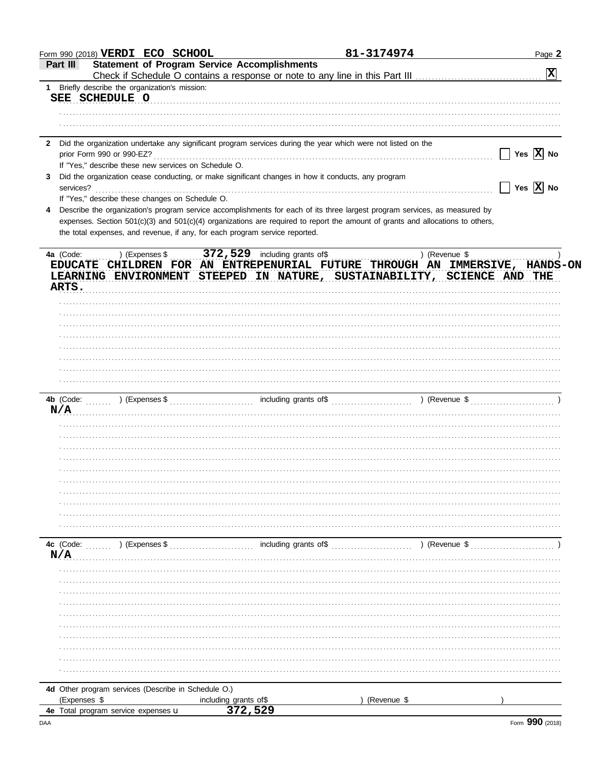| <b>Statement of Program Service Accomplishments</b><br>Part III                                                                 | 81-3174974    | Page 2                      |
|---------------------------------------------------------------------------------------------------------------------------------|---------------|-----------------------------|
|                                                                                                                                 |               | $\mathbf{x}$                |
| 1 Briefly describe the organization's mission:                                                                                  |               |                             |
| SEE SCHEDULE O                                                                                                                  |               |                             |
|                                                                                                                                 |               |                             |
|                                                                                                                                 |               |                             |
|                                                                                                                                 |               |                             |
| Did the organization undertake any significant program services during the year which were not listed on the<br>$\mathbf{2}$    |               |                             |
|                                                                                                                                 |               | Yes $\overline{X}$ No       |
| If "Yes," describe these new services on Schedule O.                                                                            |               |                             |
| Did the organization cease conducting, or make significant changes in how it conducts, any program<br>3                         |               |                             |
| services?                                                                                                                       |               | Yes $\boxed{\mathbf{X}}$ No |
| If "Yes," describe these changes on Schedule O.                                                                                 |               |                             |
| Describe the organization's program service accomplishments for each of its three largest program services, as measured by<br>4 |               |                             |
| expenses. Section 501(c)(3) and 501(c)(4) organizations are required to report the amount of grants and allocations to others,  |               |                             |
| the total expenses, and revenue, if any, for each program service reported.                                                     |               |                             |
|                                                                                                                                 |               |                             |
|                                                                                                                                 |               |                             |
| EDUCATE CHILDREN FOR AN ENTREPENURIAL FUTURE THROUGH AN IMMERSIVE, HANDS-ON                                                     |               |                             |
| LEARNING ENVIRONMENT STEEPED IN NATURE, SUSTAINABILITY, SCIENCE AND THE                                                         |               |                             |
| ARTS.                                                                                                                           |               |                             |
|                                                                                                                                 |               |                             |
|                                                                                                                                 |               |                             |
|                                                                                                                                 |               |                             |
|                                                                                                                                 |               |                             |
|                                                                                                                                 |               |                             |
|                                                                                                                                 |               |                             |
|                                                                                                                                 |               |                             |
|                                                                                                                                 |               |                             |
|                                                                                                                                 |               |                             |
|                                                                                                                                 |               |                             |
| N/A                                                                                                                             |               |                             |
|                                                                                                                                 |               |                             |
|                                                                                                                                 |               |                             |
|                                                                                                                                 |               |                             |
|                                                                                                                                 |               |                             |
|                                                                                                                                 |               |                             |
|                                                                                                                                 |               |                             |
|                                                                                                                                 |               |                             |
|                                                                                                                                 |               |                             |
|                                                                                                                                 |               |                             |
|                                                                                                                                 |               |                             |
| 4c (Code:<br>) (Expenses \$<br>including grants of\$                                                                            | ) (Revenue \$ |                             |
| N/A                                                                                                                             |               |                             |
|                                                                                                                                 |               |                             |
|                                                                                                                                 |               |                             |
|                                                                                                                                 |               |                             |
|                                                                                                                                 |               |                             |
|                                                                                                                                 |               |                             |
|                                                                                                                                 |               |                             |
|                                                                                                                                 |               |                             |
|                                                                                                                                 |               |                             |
|                                                                                                                                 |               |                             |
|                                                                                                                                 |               |                             |
|                                                                                                                                 |               |                             |
|                                                                                                                                 |               |                             |
|                                                                                                                                 |               |                             |
| 4d Other program services (Describe in Schedule O.)<br>(Expenses \$<br>including grants of\$<br>372,529                         | (Revenue \$   |                             |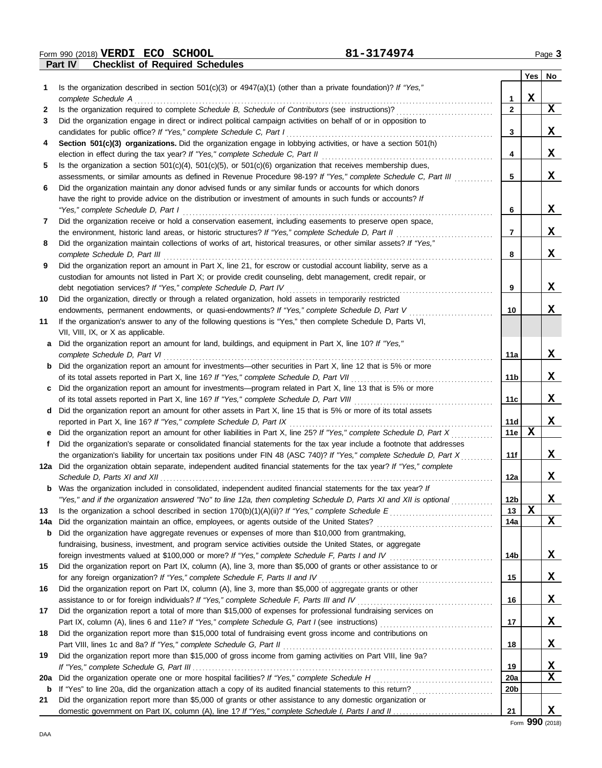**Part IV Checklist of Required Schedules Form 990 (2018) VERDI ECO SCHOOL** Page 3

|              |                                                                                                                                                                                                                           |                       | Yes | No.      |
|--------------|---------------------------------------------------------------------------------------------------------------------------------------------------------------------------------------------------------------------------|-----------------------|-----|----------|
| 1            | Is the organization described in section $501(c)(3)$ or $4947(a)(1)$ (other than a private foundation)? If "Yes,"                                                                                                         |                       |     |          |
|              | complete Schedule A                                                                                                                                                                                                       | 1                     | X   |          |
| $\mathbf{2}$ | Is the organization required to complete Schedule B, Schedule of Contributors (see instructions)?                                                                                                                         | $\mathbf{2}$          |     | X        |
| 3            | Did the organization engage in direct or indirect political campaign activities on behalf of or in opposition to                                                                                                          |                       |     |          |
|              | candidates for public office? If "Yes," complete Schedule C, Part I                                                                                                                                                       | 3                     |     | X        |
| 4            | Section 501(c)(3) organizations. Did the organization engage in lobbying activities, or have a section 501(h)                                                                                                             |                       |     |          |
|              | election in effect during the tax year? If "Yes," complete Schedule C, Part II                                                                                                                                            | 4                     |     | X        |
| 5            | Is the organization a section $501(c)(4)$ , $501(c)(5)$ , or $501(c)(6)$ organization that receives membership dues,                                                                                                      |                       |     |          |
|              | assessments, or similar amounts as defined in Revenue Procedure 98-19? If "Yes," complete Schedule C, Part III<br>Did the organization maintain any donor advised funds or any similar funds or accounts for which donors | 5                     |     | x        |
| 6            | have the right to provide advice on the distribution or investment of amounts in such funds or accounts? If                                                                                                               |                       |     |          |
|              | "Yes," complete Schedule D, Part I                                                                                                                                                                                        | 6                     |     | X        |
| 7            | Did the organization receive or hold a conservation easement, including easements to preserve open space,                                                                                                                 |                       |     |          |
|              | the environment, historic land areas, or historic structures? If "Yes," complete Schedule D, Part II                                                                                                                      | 7                     |     | X        |
| 8            | Did the organization maintain collections of works of art, historical treasures, or other similar assets? If "Yes,"                                                                                                       |                       |     |          |
|              | complete Schedule D, Part III                                                                                                                                                                                             | 8                     |     | X        |
| 9            | Did the organization report an amount in Part X, line 21, for escrow or custodial account liability, serve as a                                                                                                           |                       |     |          |
|              | custodian for amounts not listed in Part X; or provide credit counseling, debt management, credit repair, or                                                                                                              |                       |     |          |
|              | debt negotiation services? If "Yes," complete Schedule D, Part IV                                                                                                                                                         | 9                     |     | X        |
| 10           | Did the organization, directly or through a related organization, hold assets in temporarily restricted                                                                                                                   |                       |     |          |
|              | endowments, permanent endowments, or quasi-endowments? If "Yes," complete Schedule D, Part V                                                                                                                              | 10                    |     | X        |
| 11           | If the organization's answer to any of the following questions is "Yes," then complete Schedule D, Parts VI,                                                                                                              |                       |     |          |
|              | VII, VIII, IX, or X as applicable.                                                                                                                                                                                        |                       |     |          |
| a            | Did the organization report an amount for land, buildings, and equipment in Part X, line 10? If "Yes,"                                                                                                                    |                       |     |          |
|              | complete Schedule D, Part VI                                                                                                                                                                                              | 11a                   |     | X        |
|              | <b>b</b> Did the organization report an amount for investments—other securities in Part X, line 12 that is 5% or more                                                                                                     |                       |     |          |
|              | of its total assets reported in Part X, line 16? If "Yes," complete Schedule D, Part VII                                                                                                                                  | 11 <sub>b</sub>       |     | x        |
| c            | Did the organization report an amount for investments—program related in Part X, line 13 that is 5% or more                                                                                                               |                       |     |          |
|              | of its total assets reported in Part X, line 16? If "Yes," complete Schedule D, Part VIII                                                                                                                                 | 11c                   |     | X        |
| d            | Did the organization report an amount for other assets in Part X, line 15 that is 5% or more of its total assets                                                                                                          |                       |     |          |
|              | reported in Part X, line 16? If "Yes," complete Schedule D, Part IX                                                                                                                                                       | 11d                   |     | X        |
| е            | Did the organization report an amount for other liabilities in Part X, line 25? If "Yes," complete Schedule D, Part X                                                                                                     | 11e                   | X   |          |
| f            | Did the organization's separate or consolidated financial statements for the tax year include a footnote that addresses                                                                                                   |                       |     |          |
|              | the organization's liability for uncertain tax positions under FIN 48 (ASC 740)? If "Yes," complete Schedule D, Part X                                                                                                    | 11f                   |     | X        |
|              | 12a Did the organization obtain separate, independent audited financial statements for the tax year? If "Yes," complete                                                                                                   |                       |     |          |
|              | Schedule D, Parts XI and XII                                                                                                                                                                                              | 12a                   |     | X.       |
|              | <b>b</b> Was the organization included in consolidated, independent audited financial statements for the tax year? If                                                                                                     |                       |     |          |
|              | "Yes," and if the organization answered "No" to line 12a, then completing Schedule D, Parts XI and XII is optional                                                                                                        | 12 <sub>b</sub><br>13 | X   | X        |
| 13           |                                                                                                                                                                                                                           | 14a                   |     | X        |
| 14a          | Did the organization have aggregate revenues or expenses of more than \$10,000 from grantmaking,                                                                                                                          |                       |     |          |
| b            | fundraising, business, investment, and program service activities outside the United States, or aggregate                                                                                                                 |                       |     |          |
|              |                                                                                                                                                                                                                           | 14b                   |     | X        |
| 15           | Did the organization report on Part IX, column (A), line 3, more than \$5,000 of grants or other assistance to or                                                                                                         |                       |     |          |
|              |                                                                                                                                                                                                                           | 15                    |     | X,       |
| 16           | Did the organization report on Part IX, column (A), line 3, more than \$5,000 of aggregate grants or other                                                                                                                |                       |     |          |
|              |                                                                                                                                                                                                                           | 16                    |     | X        |
| 17           | Did the organization report a total of more than \$15,000 of expenses for professional fundraising services on                                                                                                            |                       |     |          |
|              |                                                                                                                                                                                                                           | 17                    |     | <u>x</u> |
| 18           | Did the organization report more than \$15,000 total of fundraising event gross income and contributions on                                                                                                               |                       |     |          |
|              |                                                                                                                                                                                                                           | 18                    |     | <u>x</u> |
| 19           | Did the organization report more than \$15,000 of gross income from gaming activities on Part VIII, line 9a?                                                                                                              |                       |     |          |
|              |                                                                                                                                                                                                                           | 19                    |     | <u>x</u> |
| 20a          |                                                                                                                                                                                                                           | 20a                   |     | X        |
| b            |                                                                                                                                                                                                                           | 20b                   |     |          |
| 21           | Did the organization report more than \$5,000 of grants or other assistance to any domestic organization or                                                                                                               |                       |     |          |
|              |                                                                                                                                                                                                                           | 21                    |     | X        |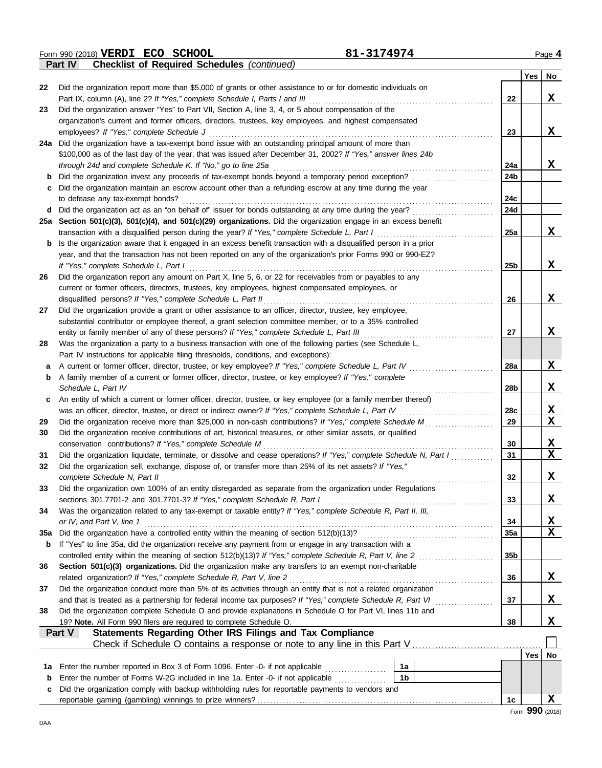Form 990 (2018) Page **4 VERDI ECO SCHOOL 81-3174974**

|        | <b>Checklist of Required Schedules (continued)</b><br>Part IV                                                                                                                                         |                 |     |             |
|--------|-------------------------------------------------------------------------------------------------------------------------------------------------------------------------------------------------------|-----------------|-----|-------------|
|        |                                                                                                                                                                                                       |                 | Yes | No          |
| 22     | Did the organization report more than \$5,000 of grants or other assistance to or for domestic individuals on                                                                                         |                 |     |             |
|        | Part IX, column (A), line 2? If "Yes," complete Schedule I, Parts I and III                                                                                                                           | 22              |     | X           |
| 23     | Did the organization answer "Yes" to Part VII, Section A, line 3, 4, or 5 about compensation of the                                                                                                   |                 |     |             |
|        | organization's current and former officers, directors, trustees, key employees, and highest compensated                                                                                               |                 |     |             |
|        | employees? If "Yes," complete Schedule J                                                                                                                                                              | 23              |     | X           |
| 24a    | Did the organization have a tax-exempt bond issue with an outstanding principal amount of more than                                                                                                   |                 |     |             |
|        | \$100,000 as of the last day of the year, that was issued after December 31, 2002? If "Yes," answer lines 24b                                                                                         |                 |     |             |
|        | through 24d and complete Schedule K. If "No," go to line 25a                                                                                                                                          | 24a             |     | X           |
| b      | Did the organization invest any proceeds of tax-exempt bonds beyond a temporary period exception?                                                                                                     | 24b             |     |             |
|        | Did the organization maintain an escrow account other than a refunding escrow at any time during the year                                                                                             |                 |     |             |
|        | to defease any tax-exempt bonds?                                                                                                                                                                      | 24c             |     |             |
| d      | Did the organization act as an "on behalf of" issuer for bonds outstanding at any time during the year?                                                                                               | 24d             |     |             |
|        | 25a Section 501(c)(3), 501(c)(4), and 501(c)(29) organizations. Did the organization engage in an excess benefit                                                                                      |                 |     |             |
|        | transaction with a disqualified person during the year? If "Yes," complete Schedule L, Part I                                                                                                         | 25a             |     | X           |
| b      | Is the organization aware that it engaged in an excess benefit transaction with a disqualified person in a prior                                                                                      |                 |     |             |
|        | year, and that the transaction has not been reported on any of the organization's prior Forms 990 or 990-EZ?                                                                                          |                 |     |             |
|        | If "Yes," complete Schedule L, Part I                                                                                                                                                                 | 25 <sub>b</sub> |     | X           |
| 26     | Did the organization report any amount on Part X, line 5, 6, or 22 for receivables from or payables to any                                                                                            |                 |     |             |
|        | current or former officers, directors, trustees, key employees, highest compensated employees, or                                                                                                     |                 |     |             |
|        | disqualified persons? If "Yes," complete Schedule L, Part II                                                                                                                                          | 26              |     | X           |
| 27     | Did the organization provide a grant or other assistance to an officer, director, trustee, key employee,                                                                                              |                 |     |             |
|        | substantial contributor or employee thereof, a grant selection committee member, or to a 35% controlled                                                                                               |                 |     | X           |
| 28     | entity or family member of any of these persons? If "Yes," complete Schedule L, Part III<br>Was the organization a party to a business transaction with one of the following parties (see Schedule L, | 27              |     |             |
|        | Part IV instructions for applicable filing thresholds, conditions, and exceptions):                                                                                                                   |                 |     |             |
|        | A current or former officer, director, trustee, or key employee? If "Yes," complete Schedule L, Part IV                                                                                               | 28a             |     | X           |
| a<br>b | A family member of a current or former officer, director, trustee, or key employee? If "Yes," complete                                                                                                |                 |     |             |
|        | Schedule L, Part IV                                                                                                                                                                                   | 28b             |     | X           |
| c      | An entity of which a current or former officer, director, trustee, or key employee (or a family member thereof)                                                                                       |                 |     |             |
|        | was an officer, director, trustee, or direct or indirect owner? If "Yes," complete Schedule L, Part IV                                                                                                | 28c             |     | <u>x</u>    |
| 29     | Did the organization receive more than \$25,000 in non-cash contributions? If "Yes," complete Schedule M                                                                                              | 29              |     | $\mathbf x$ |
| 30     | Did the organization receive contributions of art, historical treasures, or other similar assets, or qualified                                                                                        |                 |     |             |
|        | conservation contributions? If "Yes," complete Schedule M                                                                                                                                             | 30              |     | X           |
| 31     | Did the organization liquidate, terminate, or dissolve and cease operations? If "Yes," complete Schedule N, Part I                                                                                    | 31              |     | $\mathbf x$ |
| 32     | Did the organization sell, exchange, dispose of, or transfer more than 25% of its net assets? If "Yes,"                                                                                               |                 |     |             |
|        | complete Schedule N, Part II                                                                                                                                                                          | 32              |     | Χ           |
| 33     | Did the organization own 100% of an entity disregarded as separate from the organization under Regulations                                                                                            |                 |     |             |
|        | sections 301.7701-2 and 301.7701-3? If "Yes," complete Schedule R, Part I                                                                                                                             | 33              |     | X.          |
| 34     | Was the organization related to any tax-exempt or taxable entity? If "Yes," complete Schedule R, Part II, III,                                                                                        |                 |     |             |
|        | or IV, and Part V, line 1                                                                                                                                                                             | 34              |     | X           |
| 35a    |                                                                                                                                                                                                       | 35a             |     | X           |
| b      | If "Yes" to line 35a, did the organization receive any payment from or engage in any transaction with a                                                                                               |                 |     |             |
|        | controlled entity within the meaning of section 512(b)(13)? If "Yes," complete Schedule R, Part V, line 2                                                                                             | 35 <sub>b</sub> |     |             |
| 36     | Section 501(c)(3) organizations. Did the organization make any transfers to an exempt non-charitable                                                                                                  |                 |     |             |
|        | related organization? If "Yes," complete Schedule R, Part V, line 2                                                                                                                                   | 36              |     | X           |
| 37     | Did the organization conduct more than 5% of its activities through an entity that is not a related organization                                                                                      |                 |     |             |
|        | and that is treated as a partnership for federal income tax purposes? If "Yes," complete Schedule R, Part VI                                                                                          | 37              |     | X.          |
| 38     | Did the organization complete Schedule O and provide explanations in Schedule O for Part VI, lines 11b and                                                                                            |                 |     |             |
|        | 19? Note. All Form 990 filers are required to complete Schedule O.                                                                                                                                    | 38              |     | X,          |
|        | Statements Regarding Other IRS Filings and Tax Compliance<br><b>Part V</b>                                                                                                                            |                 |     |             |
|        |                                                                                                                                                                                                       |                 |     |             |
|        |                                                                                                                                                                                                       |                 | Yes | No          |
| 1a     | Enter the number reported in Box 3 of Form 1096. Enter -0- if not applicable<br>1a                                                                                                                    |                 |     |             |
| b      | 1 <sub>b</sub><br>Enter the number of Forms W-2G included in line 1a. Enter -0- if not applicable                                                                                                     |                 |     |             |
| с      | Did the organization comply with backup withholding rules for reportable payments to vendors and                                                                                                      |                 |     |             |
|        |                                                                                                                                                                                                       | 1 <sub>c</sub>  |     | X           |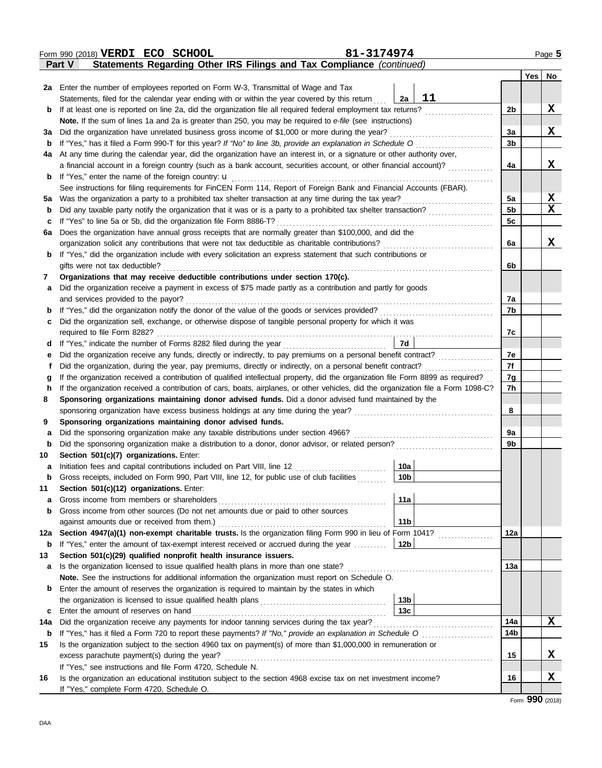|              | 81-3174974<br>Form 990 (2018) VERDI ECO SCHOOL                                                                                     |                |                 | Page 5   |
|--------------|------------------------------------------------------------------------------------------------------------------------------------|----------------|-----------------|----------|
|              | Statements Regarding Other IRS Filings and Tax Compliance (continued)<br>Part V                                                    |                |                 |          |
|              |                                                                                                                                    |                |                 | Yes   No |
|              | 2a Enter the number of employees reported on Form W-3, Transmittal of Wage and Tax                                                 |                |                 |          |
|              | 11<br>Statements, filed for the calendar year ending with or within the year covered by this return<br>2a                          |                |                 |          |
| $\mathbf{p}$ | If at least one is reported on line 2a, did the organization file all required federal employment tax returns?                     | 2b             |                 | X        |
|              | Note. If the sum of lines 1a and 2a is greater than 250, you may be required to e-file (see instructions)                          |                |                 |          |
| За           | Did the organization have unrelated business gross income of \$1,000 or more during the year?                                      | За             |                 | X        |
| b            | If "Yes," has it filed a Form 990-T for this year? If "No" to line 3b, provide an explanation in Schedule O                        | 3 <sub>b</sub> |                 |          |
| 4a           | At any time during the calendar year, did the organization have an interest in, or a signature or other authority over,            |                |                 |          |
|              | a financial account in a foreign country (such as a bank account, securities account, or other financial account)?                 | 4a             |                 | X        |
| b            | If "Yes," enter the name of the foreign country: $\mathbf u$                                                                       |                |                 |          |
|              | See instructions for filing requirements for FinCEN Form 114, Report of Foreign Bank and Financial Accounts (FBAR).                |                |                 |          |
| 5a           | Was the organization a party to a prohibited tax shelter transaction at any time during the tax year?                              | 5a             |                 | X        |
| b            | Did any taxable party notify the organization that it was or is a party to a prohibited tax shelter transaction?                   | 5 <sub>b</sub> |                 | X        |
| c            | If "Yes" to line 5a or 5b, did the organization file Form 8886-T?                                                                  | 5c             |                 |          |
| 6a           | Does the organization have annual gross receipts that are normally greater than \$100,000, and did the                             |                |                 |          |
|              | organization solicit any contributions that were not tax deductible as charitable contributions?                                   | 6a             |                 | X        |
| b            | If "Yes," did the organization include with every solicitation an express statement that such contributions or                     |                |                 |          |
|              | gifts were not tax deductible?                                                                                                     | 6b             |                 |          |
| 7            | Organizations that may receive deductible contributions under section 170(c).                                                      |                |                 |          |
| a            | Did the organization receive a payment in excess of \$75 made partly as a contribution and partly for goods                        |                |                 |          |
|              | and services provided to the payor?                                                                                                | 7a             |                 |          |
| b            |                                                                                                                                    | 7b             |                 |          |
| c            | Did the organization sell, exchange, or otherwise dispose of tangible personal property for which it was                           |                |                 |          |
|              | required to file Form 8282?                                                                                                        | 7c             |                 |          |
| d            | 7d<br>If "Yes," indicate the number of Forms 8282 filed during the year<br>[[[[[[[[[[[[[[]]]]]]                                    |                |                 |          |
| е            | Did the organization receive any funds, directly or indirectly, to pay premiums on a personal benefit contract?                    | 7e<br>7f       |                 |          |
| f            | Did the organization, during the year, pay premiums, directly or indirectly, on a personal benefit contract?                       |                |                 |          |
| g            | If the organization received a contribution of qualified intellectual property, did the organization file Form 8899 as required?   | 7g<br>7h       |                 |          |
| h            | If the organization received a contribution of cars, boats, airplanes, or other vehicles, did the organization file a Form 1098-C? |                |                 |          |
| 8            | Sponsoring organizations maintaining donor advised funds. Did a donor advised fund maintained by the                               | 8              |                 |          |
| 9            | Sponsoring organizations maintaining donor advised funds.                                                                          |                |                 |          |
| a            | Did the sponsoring organization make any taxable distributions under section 4966?                                                 | 9a             |                 |          |
| b            |                                                                                                                                    | 9b             |                 |          |
| 10           | Section 501(c)(7) organizations. Enter:                                                                                            |                |                 |          |
|              | 10a                                                                                                                                |                |                 |          |
| b            | Gross receipts, included on Form 990, Part VIII, line 12, for public use of club facilities<br>10b                                 |                |                 |          |
| 11           | Section 501(c)(12) organizations. Enter:                                                                                           |                |                 |          |
| a            | 11a<br>Gross income from members or shareholders                                                                                   |                |                 |          |
| b            | Gross income from other sources (Do not net amounts due or paid to other sources                                                   |                |                 |          |
|              | 11 <sub>b</sub><br>against amounts due or received from them.)                                                                     |                |                 |          |
| 12a          | Section 4947(a)(1) non-exempt charitable trusts. Is the organization filing Form 990 in lieu of Form 1041?                         | 12a            |                 |          |
| b            | If "Yes," enter the amount of tax-exempt interest received or accrued during the year<br>12b                                       |                |                 |          |
| 13           | Section 501(c)(29) qualified nonprofit health insurance issuers.                                                                   |                |                 |          |
| a            | Is the organization licensed to issue qualified health plans in more than one state?                                               | 13а            |                 |          |
|              | Note. See the instructions for additional information the organization must report on Schedule O.                                  |                |                 |          |
| b            | Enter the amount of reserves the organization is required to maintain by the states in which                                       |                |                 |          |
|              | 13 <sub>b</sub>                                                                                                                    |                |                 |          |
| c            | 13 <sub>c</sub><br>Enter the amount of reserves on hand                                                                            |                |                 |          |
| 14a          | Did the organization receive any payments for indoor tanning services during the tax year?                                         | 14a            |                 | X        |
| b            |                                                                                                                                    | 14b            |                 |          |
| 15           | Is the organization subject to the section 4960 tax on payment(s) of more than \$1,000,000 in remuneration or                      |                |                 |          |
|              | excess parachute payment(s) during the year?                                                                                       | 15             |                 | X        |
|              | If "Yes," see instructions and file Form 4720, Schedule N.                                                                         |                |                 |          |
| 16           | Is the organization an educational institution subject to the section 4968 excise tax on net investment income?                    | 16             |                 | X        |
|              | If "Yes," complete Form 4720, Schedule O.                                                                                          |                |                 |          |
|              |                                                                                                                                    |                | Form 990 (2018) |          |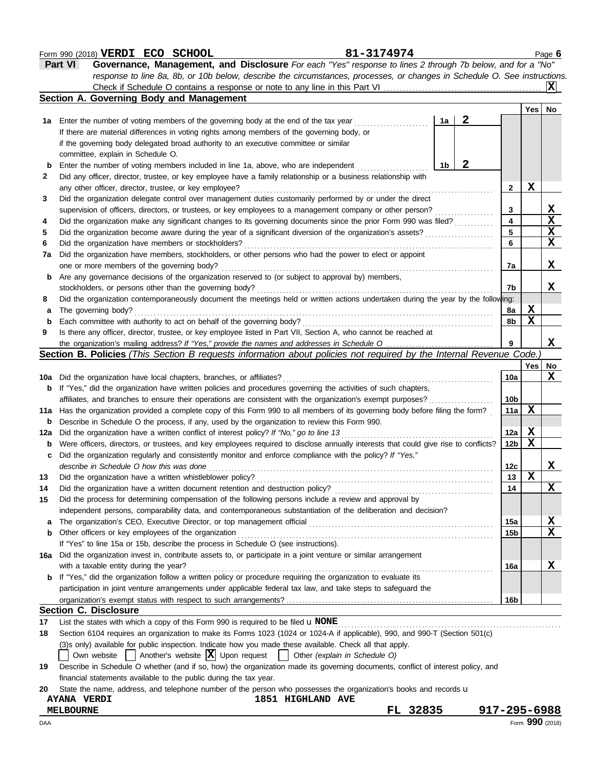### **Form 990 (2018) VERDI ECO SCHOOL** Page 6

| <b>Part VI</b> | Governance, Management, and Disclosure For each "Yes" response to lines 2 through 7b below, and for a "No"                |  |
|----------------|---------------------------------------------------------------------------------------------------------------------------|--|
|                | response to line 8a, 8b, or 10b below, describe the circumstances, processes, or changes in Schedule O. See instructions. |  |
|                |                                                                                                                           |  |

|     |                                                                                                                                     |    |   |                 | Yes   | No                      |
|-----|-------------------------------------------------------------------------------------------------------------------------------------|----|---|-----------------|-------|-------------------------|
| 1a  | Enter the number of voting members of the governing body at the end of the tax year                                                 | 1a | 2 |                 |       |                         |
|     | If there are material differences in voting rights among members of the governing body, or                                          |    |   |                 |       |                         |
|     | if the governing body delegated broad authority to an executive committee or similar                                                |    |   |                 |       |                         |
|     | committee, explain in Schedule O.                                                                                                   |    |   |                 |       |                         |
| b   | Enter the number of voting members included in line 1a, above, who are independent                                                  | 1b | 2 |                 |       |                         |
| 2   | Did any officer, director, trustee, or key employee have a family relationship or a business relationship with                      |    |   |                 |       |                         |
|     | any other officer, director, trustee, or key employee?                                                                              |    |   | 2               | X     |                         |
| 3   | Did the organization delegate control over management duties customarily performed by or under the direct                           |    |   |                 |       |                         |
|     | supervision of officers, directors, or trustees, or key employees to a management company or other person?                          |    |   | 3               |       | <u>x</u>                |
| 4   | Did the organization make any significant changes to its governing documents since the prior Form 990 was filed?                    |    |   | 4               |       | $\overline{\mathbf{x}}$ |
| 5   | Did the organization become aware during the year of a significant diversion of the organization's assets?                          |    |   | 5               |       | $\mathbf{x}$            |
| 6   | Did the organization have members or stockholders?                                                                                  |    |   | 6               |       | $\overline{\mathbf{x}}$ |
| 7a  | Did the organization have members, stockholders, or other persons who had the power to elect or appoint                             |    |   |                 |       |                         |
|     | one or more members of the governing body?                                                                                          |    |   | 7a              |       | X                       |
| b   | Are any governance decisions of the organization reserved to (or subject to approval by) members,                                   |    |   |                 |       |                         |
|     | stockholders, or persons other than the governing body?                                                                             |    |   | 7b              |       | X.                      |
| 8   | Did the organization contemporaneously document the meetings held or written actions undertaken during the year by the following:   |    |   |                 |       |                         |
| a   | The governing body?                                                                                                                 |    |   | 8a              | Х     |                         |
| b   | Each committee with authority to act on behalf of the governing body?                                                               |    |   | 8b              | X     |                         |
| 9   | Is there any officer, director, trustee, or key employee listed in Part VII, Section A, who cannot be reached at                    |    |   |                 |       |                         |
|     |                                                                                                                                     |    |   | 9               |       | X                       |
|     | Section B. Policies (This Section B requests information about policies not required by the Internal Revenue Code.                  |    |   |                 |       |                         |
|     |                                                                                                                                     |    |   |                 | Yes l | No                      |
| 10a | Did the organization have local chapters, branches, or affiliates?                                                                  |    |   | <b>10a</b>      |       | X                       |
| b   | If "Yes," did the organization have written policies and procedures governing the activities of such chapters,                      |    |   |                 |       |                         |
|     | affiliates, and branches to ensure their operations are consistent with the organization's exempt purposes?                         |    |   | 10 <sub>b</sub> |       |                         |
| 11a | Has the organization provided a complete copy of this Form 990 to all members of its governing body before filing the form?         |    |   | 11a             | X     |                         |
| b   | Describe in Schedule O the process, if any, used by the organization to review this Form 990.                                       |    |   |                 |       |                         |
| 12a | Did the organization have a written conflict of interest policy? If "No," go to line 13                                             |    |   | 12a             | X     |                         |
| b   | Were officers, directors, or trustees, and key employees required to disclose annually interests that could give rise to conflicts? |    |   | 12 <sub>b</sub> | X     |                         |
| c   | Did the organization regularly and consistently monitor and enforce compliance with the policy? If "Yes,"                           |    |   |                 |       |                         |
|     | describe in Schedule O how this was done                                                                                            |    |   | 12c             |       | X.                      |
| 13  | Did the organization have a written whistleblower policy?                                                                           |    |   | 13              | X     |                         |
| 14  | Did the organization have a written document retention and destruction policy?                                                      |    |   | 14              |       | X                       |
| 15  | Did the process for determining compensation of the following persons include a review and approval by                              |    |   |                 |       |                         |
|     | independent persons, comparability data, and contemporaneous substantiation of the deliberation and decision?                       |    |   |                 |       |                         |
| a   |                                                                                                                                     |    |   | 15a             |       | <u>x</u>                |
| b   | Other officers or key employees of the organization                                                                                 |    |   | 15b             |       | $\overline{\mathbf{X}}$ |
|     | If "Yes" to line 15a or 15b, describe the process in Schedule O (see instructions).                                                 |    |   |                 |       |                         |
| 16a | Did the organization invest in, contribute assets to, or participate in a joint venture or similar arrangement                      |    |   |                 |       |                         |
|     | with a taxable entity during the year?                                                                                              |    |   | 16a             |       | X                       |
| b   | If "Yes," did the organization follow a written policy or procedure requiring the organization to evaluate its                      |    |   |                 |       |                         |
|     | participation in joint venture arrangements under applicable federal tax law, and take steps to safeguard the                       |    |   |                 |       |                         |
|     |                                                                                                                                     |    |   | 16 <sub>b</sub> |       |                         |
|     | <b>Section C. Disclosure</b>                                                                                                        |    |   |                 |       |                         |
|     |                                                                                                                                     |    |   |                 |       |                         |
| 17  | List the states with which a copy of this Form 990 is required to be filed $\mathbf u$ NONE                                         |    |   |                 |       |                         |
| 18  | Section 6104 requires an organization to make its Forms 1023 (1024 or 1024-A if applicable), 990, and 990-T (Section 501(c)         |    |   |                 |       |                         |
|     | (3)s only) available for public inspection. Indicate how you made these available. Check all that apply.                            |    |   |                 |       |                         |
|     | $\vert$ Another's website $\vert X \vert$ Upon request<br>Other (explain in Schedule O)<br>Own website                              |    |   |                 |       |                         |
| 19  | Describe in Schedule O whether (and if so, how) the organization made its governing documents, conflict of interest policy, and     |    |   |                 |       |                         |
|     | financial statements available to the public during the tax year.                                                                   |    |   |                 |       |                         |

| <b>AYANA</b><br><b>VERDI</b> | 1851<br><b>HIGHLAND</b><br><b>AVE</b> |              |                     |
|------------------------------|---------------------------------------|--------------|---------------------|
| MELBOURNE                    |                                       | 32835<br>FL. | .7-295-6988<br>917. |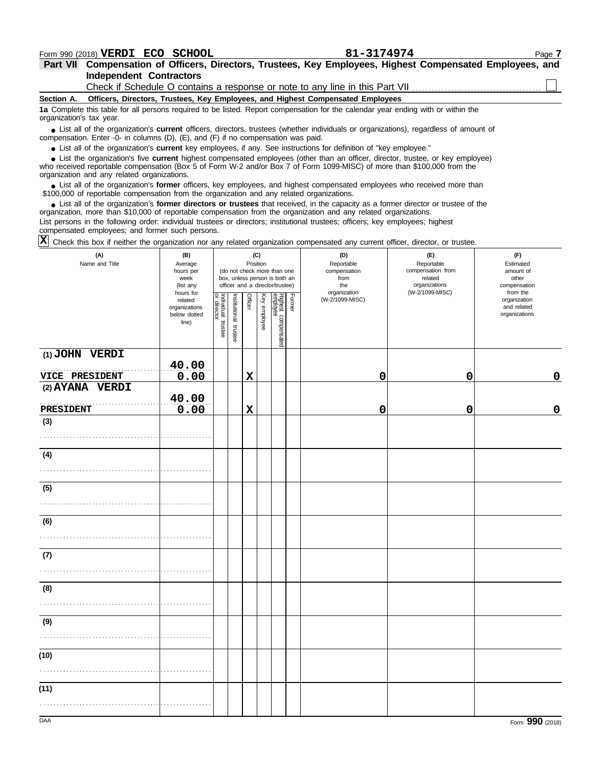**Independent Contractors Part VII Compensation of Officers, Directors, Trustees, Key Employees, Highest Compensated Employees, and** Check if Schedule O contains a response or note to any line in this Part VII ..........

| Section A. Officers, Directors, Trustees, Key Employees, and Highest Compensated Employees |  |  |  |  |  |  |
|--------------------------------------------------------------------------------------------|--|--|--|--|--|--|
|                                                                                            |  |  |  |  |  |  |

**1a** Complete this table for all persons required to be listed. Report compensation for the calendar year ending with or within the organization's tax year.

■ List all of the organization's **current** officers, directors, trustees (whether individuals or organizations), regardless of amount of the organization Enter -0- in columns (D), (E), and (E) if no compensation was paid compensation. Enter -0- in columns (D), (E), and (F) if no compensation was paid.

● List all of the organization's **current** key employees, if any. See instructions for definition of "key employee."

who received reportable compensation (Box 5 of Form W-2 and/or Box 7 of Form 1099-MISC) of more than \$100,000 from the organization and any related organizations. ■ List the organization's five **current** highest compensated employees (other than an officer, director, trustee, or key employee)<br>
a received reportable compensation (Box 5 of Form W-2 and/or Box 7 of Form 1099-MISC) of

■ List all of the organization's **former** officers, key employees, and highest compensated employees who received more than<br>00,000 of reportable compensation from the organization and any related organizations \$100,000 of reportable compensation from the organization and any related organizations.

• List all of the organization's **former directors or trustees** that received, in the capacity as a former director or trustee of the prization more than \$10,000 of reportable compensation from the organization and any rel organization, more than \$10,000 of reportable compensation from the organization and any related organizations.

List persons in the following order: individual trustees or directors; institutional trustees; officers; key employees; highest compensated employees; and former such persons.

Check this box if neither the organization nor any related organization compensated any current officer, director, or trustee. **X**

| (A)<br>Name and Title               | (B)<br>Average<br>hours per<br>week<br>(list any               |                                   |                       | Position       | (C)          | (do not check more than one<br>box, unless person is both an<br>officer and a director/trustee) |        | (D)<br>Reportable<br>compensation<br>from<br>the | (F)<br>Reportable<br>Estimated<br>compensation from<br>amount of<br>related<br>other<br>organizations<br>compensation<br>(W-2/1099-MISC)<br>organization |                                                          |  |  |
|-------------------------------------|----------------------------------------------------------------|-----------------------------------|-----------------------|----------------|--------------|-------------------------------------------------------------------------------------------------|--------|--------------------------------------------------|----------------------------------------------------------------------------------------------------------------------------------------------------------|----------------------------------------------------------|--|--|
|                                     | hours for<br>related<br>organizations<br>below dotted<br>line) | Individual trustee<br>or director | Institutional trustee | <b>Officer</b> | Key employee | Highest compensated<br>employee                                                                 | Former | (W-2/1099-MISC)                                  |                                                                                                                                                          | from the<br>organization<br>and related<br>organizations |  |  |
| (1) JOHN VERDI<br>VICE PRESIDENT    | 40.00<br>0.00                                                  |                                   |                       | $\mathbf x$    |              |                                                                                                 |        | 0                                                | 0                                                                                                                                                        | $\mathbf 0$                                              |  |  |
| (2) AYANA VERDI<br><b>PRESIDENT</b> | 40.00<br>0.00                                                  |                                   |                       | $\mathbf x$    |              |                                                                                                 |        | 0                                                | 0                                                                                                                                                        | $\mathbf 0$                                              |  |  |
| (3)                                 |                                                                |                                   |                       |                |              |                                                                                                 |        |                                                  |                                                                                                                                                          |                                                          |  |  |
| (4)                                 |                                                                |                                   |                       |                |              |                                                                                                 |        |                                                  |                                                                                                                                                          |                                                          |  |  |
| (5)                                 |                                                                |                                   |                       |                |              |                                                                                                 |        |                                                  |                                                                                                                                                          |                                                          |  |  |
| (6)                                 |                                                                |                                   |                       |                |              |                                                                                                 |        |                                                  |                                                                                                                                                          |                                                          |  |  |
| (7)                                 |                                                                |                                   |                       |                |              |                                                                                                 |        |                                                  |                                                                                                                                                          |                                                          |  |  |
| (8)                                 |                                                                |                                   |                       |                |              |                                                                                                 |        |                                                  |                                                                                                                                                          |                                                          |  |  |
| (9)                                 |                                                                |                                   |                       |                |              |                                                                                                 |        |                                                  |                                                                                                                                                          |                                                          |  |  |
| (10)                                |                                                                |                                   |                       |                |              |                                                                                                 |        |                                                  |                                                                                                                                                          |                                                          |  |  |
| (11)                                |                                                                |                                   |                       |                |              |                                                                                                 |        |                                                  |                                                                                                                                                          |                                                          |  |  |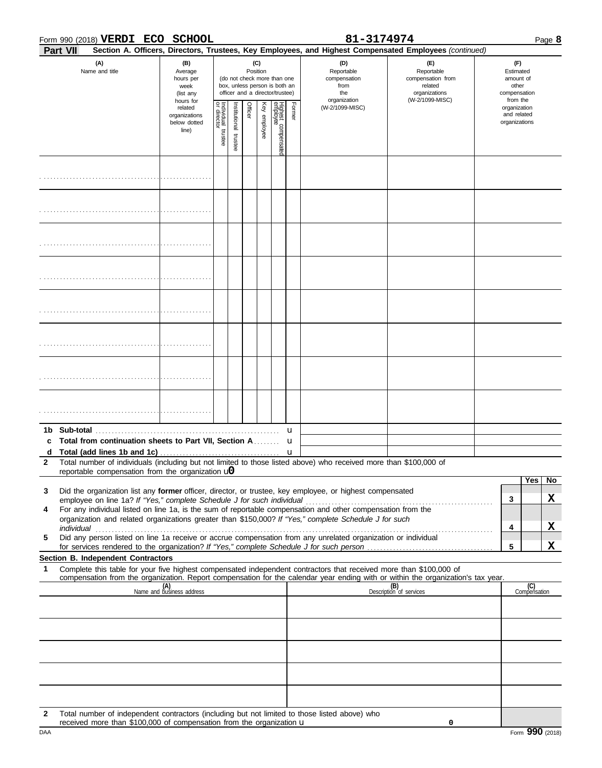| Form 990 (2018) VERDI ECO SCHOOL |                 |                                                            |                                                               |                                   |                          | 81-3174974 |                 |                                                                                                 |        | Page 8                                                                                                                           |                                                                                       |   |                                                                    |    |
|----------------------------------|-----------------|------------------------------------------------------------|---------------------------------------------------------------|-----------------------------------|--------------------------|------------|-----------------|-------------------------------------------------------------------------------------------------|--------|----------------------------------------------------------------------------------------------------------------------------------|---------------------------------------------------------------------------------------|---|--------------------------------------------------------------------|----|
|                                  | <b>Part VII</b> |                                                            |                                                               |                                   |                          |            |                 |                                                                                                 |        | Section A. Officers, Directors, Trustees, Key Employees, and Highest Compensated Employees (continued)                           |                                                                                       |   |                                                                    |    |
|                                  |                 | (A)<br>Name and title                                      | (B)<br>Average<br>hours per<br>week<br>(list any<br>hours for |                                   |                          |            | (C)<br>Position | (do not check more than one<br>box, unless person is both an<br>officer and a director/trustee) |        | (D)<br>Reportable<br>compensation<br>from<br>the<br>organization                                                                 | (F)<br>Reportable<br>compensation from<br>related<br>organizations<br>(W-2/1099-MISC) |   | (F)<br>Estimated<br>amount of<br>other<br>compensation<br>from the |    |
|                                  |                 |                                                            | related<br>organizations<br>below dotted<br>line)             | Individual trustee<br>or director | Institutional<br>trustee | Officer    | Key employee    | Highest compensatec<br>employee                                                                 | Former | (W-2/1099-MISC)                                                                                                                  |                                                                                       |   | organization<br>and related<br>organizations                       |    |
|                                  |                 |                                                            |                                                               |                                   |                          |            |                 |                                                                                                 |        |                                                                                                                                  |                                                                                       |   |                                                                    |    |
|                                  |                 |                                                            |                                                               |                                   |                          |            |                 |                                                                                                 |        |                                                                                                                                  |                                                                                       |   |                                                                    |    |
|                                  |                 |                                                            |                                                               |                                   |                          |            |                 |                                                                                                 |        |                                                                                                                                  |                                                                                       |   |                                                                    |    |
|                                  |                 |                                                            |                                                               |                                   |                          |            |                 |                                                                                                 |        |                                                                                                                                  |                                                                                       |   |                                                                    |    |
|                                  |                 |                                                            |                                                               |                                   |                          |            |                 |                                                                                                 |        |                                                                                                                                  |                                                                                       |   |                                                                    |    |
|                                  |                 |                                                            |                                                               |                                   |                          |            |                 |                                                                                                 |        |                                                                                                                                  |                                                                                       |   |                                                                    |    |
|                                  |                 |                                                            |                                                               |                                   |                          |            |                 |                                                                                                 |        |                                                                                                                                  |                                                                                       |   |                                                                    |    |
|                                  |                 |                                                            |                                                               |                                   |                          |            |                 |                                                                                                 |        |                                                                                                                                  |                                                                                       |   |                                                                    |    |
|                                  |                 | Total from continuation sheets to Part VII, Section A.     |                                                               |                                   |                          |            |                 |                                                                                                 | u      |                                                                                                                                  |                                                                                       |   |                                                                    |    |
| c                                |                 |                                                            |                                                               |                                   |                          |            |                 |                                                                                                 | u      |                                                                                                                                  |                                                                                       |   |                                                                    |    |
| $\mathbf{2}$                     |                 | reportable compensation from the organization $\mathbf{u}$ |                                                               |                                   |                          |            |                 |                                                                                                 |        | Total number of individuals (including but not limited to those listed above) who received more than \$100,000 of                |                                                                                       |   |                                                                    |    |
|                                  |                 |                                                            |                                                               |                                   |                          |            |                 |                                                                                                 |        |                                                                                                                                  |                                                                                       |   | Yes                                                                | No |
| 3                                |                 |                                                            |                                                               |                                   |                          |            |                 |                                                                                                 |        | Did the organization list any former officer, director, or trustee, key employee, or highest compensated                         |                                                                                       | 3 |                                                                    | X  |
| 4                                |                 |                                                            |                                                               |                                   |                          |            |                 |                                                                                                 |        | For any individual listed on line 1a, is the sum of reportable compensation and other compensation from the                      |                                                                                       |   |                                                                    |    |
|                                  |                 |                                                            |                                                               |                                   |                          |            |                 |                                                                                                 |        | organization and related organizations greater than \$150,000? If "Yes," complete Schedule J for such                            |                                                                                       | 4 |                                                                    | X  |
| 5                                |                 |                                                            |                                                               |                                   |                          |            |                 |                                                                                                 |        | Did any person listed on line 1a receive or accrue compensation from any unrelated organization or individual                    |                                                                                       |   |                                                                    |    |
|                                  |                 | Section B. Independent Contractors                         |                                                               |                                   |                          |            |                 |                                                                                                 |        |                                                                                                                                  |                                                                                       | 5 |                                                                    | X  |
| 1                                |                 |                                                            |                                                               |                                   |                          |            |                 |                                                                                                 |        | Complete this table for your five highest compensated independent contractors that received more than \$100,000 of               |                                                                                       |   |                                                                    |    |
|                                  |                 |                                                            | (A)<br>Name and business address                              |                                   |                          |            |                 |                                                                                                 |        | compensation from the organization. Report compensation for the calendar year ending with or within the organization's tax year. | $(B)$<br>Description of services                                                      |   | (C)<br>Compensation                                                |    |
|                                  |                 |                                                            |                                                               |                                   |                          |            |                 |                                                                                                 |        |                                                                                                                                  |                                                                                       |   |                                                                    |    |
|                                  |                 |                                                            |                                                               |                                   |                          |            |                 |                                                                                                 |        |                                                                                                                                  |                                                                                       |   |                                                                    |    |
|                                  |                 |                                                            |                                                               |                                   |                          |            |                 |                                                                                                 |        |                                                                                                                                  |                                                                                       |   |                                                                    |    |
|                                  |                 |                                                            |                                                               |                                   |                          |            |                 |                                                                                                 |        |                                                                                                                                  |                                                                                       |   |                                                                    |    |
|                                  |                 |                                                            |                                                               |                                   |                          |            |                 |                                                                                                 |        |                                                                                                                                  |                                                                                       |   |                                                                    |    |
|                                  |                 |                                                            |                                                               |                                   |                          |            |                 |                                                                                                 |        |                                                                                                                                  |                                                                                       |   |                                                                    |    |
|                                  |                 |                                                            |                                                               |                                   |                          |            |                 |                                                                                                 |        |                                                                                                                                  |                                                                                       |   |                                                                    |    |

DAA **Form 990** (2018) **2** Total number of independent contractors (including but not limited to those listed above) who received more than  $$100,000$  of compensation from the organization  $\bf{u}$ 

**0**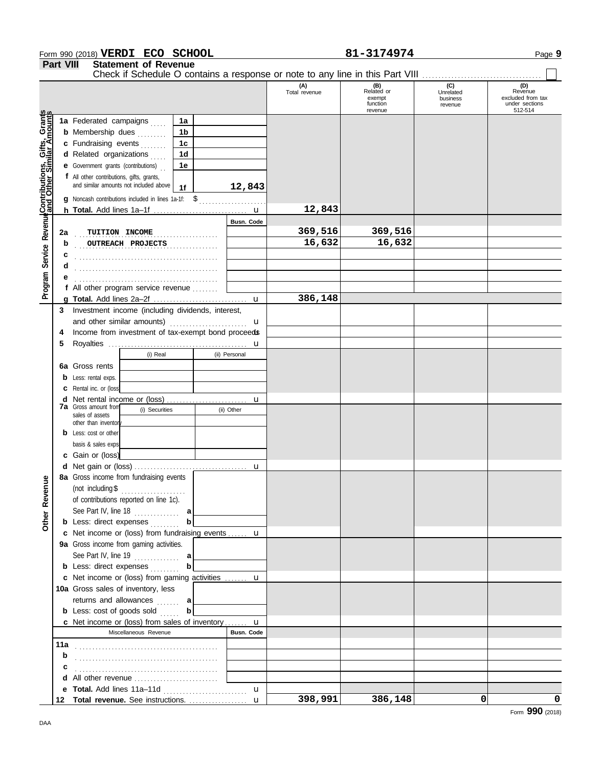|                                                             |                                                                                                                                  | Form 990 (2018) VERDI ECO SCHOOL                                                    |                |   |                   | 81-3174974           | Page 9                                             |                                         |                                                                  |  |
|-------------------------------------------------------------|----------------------------------------------------------------------------------------------------------------------------------|-------------------------------------------------------------------------------------|----------------|---|-------------------|----------------------|----------------------------------------------------|-----------------------------------------|------------------------------------------------------------------|--|
|                                                             | <b>Part VIII</b><br><b>Statement of Revenue</b><br>Check if Schedule O contains a response or note to any line in this Part VIII |                                                                                     |                |   |                   |                      |                                                    |                                         |                                                                  |  |
|                                                             |                                                                                                                                  |                                                                                     |                |   |                   |                      |                                                    |                                         |                                                                  |  |
|                                                             |                                                                                                                                  |                                                                                     |                |   |                   | (A)<br>Total revenue | (B)<br>Related or<br>exempt<br>function<br>revenue | (C)<br>Unrelated<br>business<br>revenue | (D)<br>Revenue<br>excluded from tax<br>under sections<br>512-514 |  |
|                                                             |                                                                                                                                  | 1a Federated campaigns                                                              | 1a             |   |                   |                      |                                                    |                                         |                                                                  |  |
|                                                             |                                                                                                                                  | <b>b</b> Membership dues                                                            | 1 <sub>b</sub> |   |                   |                      |                                                    |                                         |                                                                  |  |
|                                                             |                                                                                                                                  | c Fundraising events                                                                | 1c             |   |                   |                      |                                                    |                                         |                                                                  |  |
|                                                             |                                                                                                                                  | d Related organizations                                                             | 1 <sub>d</sub> |   |                   |                      |                                                    |                                         |                                                                  |  |
|                                                             |                                                                                                                                  | <b>e</b> Government grants (contributions)                                          | 1e             |   |                   |                      |                                                    |                                         |                                                                  |  |
|                                                             |                                                                                                                                  | f All other contributions, gifts, grants,                                           |                |   |                   |                      |                                                    |                                         |                                                                  |  |
| Program Service Revenue <b>Contributions, Gifts, Grants</b> |                                                                                                                                  | and similar amounts not included above                                              | 1f             |   | 12,843            |                      |                                                    |                                         |                                                                  |  |
|                                                             |                                                                                                                                  | g Noncash contributions included in lines 1a-1f: \$                                 |                |   |                   |                      |                                                    |                                         |                                                                  |  |
|                                                             |                                                                                                                                  |                                                                                     |                |   |                   | 12,843               |                                                    |                                         |                                                                  |  |
|                                                             |                                                                                                                                  |                                                                                     |                |   | <b>Busn. Code</b> |                      |                                                    |                                         |                                                                  |  |
|                                                             | 2a                                                                                                                               | TUITION INCOME                                                                      |                |   |                   | 369,516              | 369,516                                            |                                         |                                                                  |  |
|                                                             | b                                                                                                                                | OUTREACH PROJECTS                                                                   |                | . |                   | 16,632               | 16,632                                             |                                         |                                                                  |  |
|                                                             | c                                                                                                                                |                                                                                     |                |   |                   |                      |                                                    |                                         |                                                                  |  |
|                                                             | d                                                                                                                                |                                                                                     |                |   |                   |                      |                                                    |                                         |                                                                  |  |
|                                                             |                                                                                                                                  |                                                                                     |                |   |                   |                      |                                                    |                                         |                                                                  |  |
|                                                             |                                                                                                                                  | f All other program service revenue                                                 |                |   |                   |                      |                                                    |                                         |                                                                  |  |
|                                                             |                                                                                                                                  |                                                                                     |                |   |                   | 386,148              |                                                    |                                         |                                                                  |  |
|                                                             | 3                                                                                                                                | Investment income (including dividends, interest,                                   |                |   |                   |                      |                                                    |                                         |                                                                  |  |
|                                                             |                                                                                                                                  | and other similar amounts)                                                          |                |   | u                 |                      |                                                    |                                         |                                                                  |  |
|                                                             | 4                                                                                                                                | Income from investment of tax-exempt bond proceeds                                  |                |   |                   |                      |                                                    |                                         |                                                                  |  |
|                                                             | 5                                                                                                                                |                                                                                     |                |   | u                 |                      |                                                    |                                         |                                                                  |  |
|                                                             |                                                                                                                                  | (i) Real                                                                            |                |   | (ii) Personal     |                      |                                                    |                                         |                                                                  |  |
|                                                             |                                                                                                                                  | 6a Gross rents                                                                      |                |   |                   |                      |                                                    |                                         |                                                                  |  |
|                                                             | b                                                                                                                                | Less: rental exps.                                                                  |                |   |                   |                      |                                                    |                                         |                                                                  |  |
|                                                             |                                                                                                                                  | Rental inc. or (loss)                                                               |                |   |                   |                      |                                                    |                                         |                                                                  |  |
|                                                             | d                                                                                                                                | Net rental income or (loss)                                                         |                |   | u                 |                      |                                                    |                                         |                                                                  |  |
|                                                             |                                                                                                                                  | <b>7a</b> Gross amount from<br>(i) Securities                                       |                |   | (ii) Other        |                      |                                                    |                                         |                                                                  |  |
|                                                             |                                                                                                                                  | sales of assets<br>other than inventor                                              |                |   |                   |                      |                                                    |                                         |                                                                  |  |
|                                                             |                                                                                                                                  | <b>b</b> Less: cost or other                                                        |                |   |                   |                      |                                                    |                                         |                                                                  |  |
|                                                             |                                                                                                                                  | basis & sales exps.                                                                 |                |   |                   |                      |                                                    |                                         |                                                                  |  |
|                                                             |                                                                                                                                  | c Gain or (loss)                                                                    |                |   |                   |                      |                                                    |                                         |                                                                  |  |
|                                                             |                                                                                                                                  | d Net gain or (loss)                                                                |                |   |                   |                      |                                                    |                                         |                                                                  |  |
|                                                             |                                                                                                                                  | 8a Gross income from fundraising events                                             |                |   |                   |                      |                                                    |                                         |                                                                  |  |
|                                                             |                                                                                                                                  | (not including $$$                                                                  |                |   |                   |                      |                                                    |                                         |                                                                  |  |
|                                                             |                                                                                                                                  | of contributions reported on line 1c).                                              |                |   |                   |                      |                                                    |                                         |                                                                  |  |
|                                                             |                                                                                                                                  |                                                                                     |                |   |                   |                      |                                                    |                                         |                                                                  |  |
| Other Revenue                                               |                                                                                                                                  |                                                                                     |                |   |                   |                      |                                                    |                                         |                                                                  |  |
|                                                             |                                                                                                                                  | <b>b</b> Less: direct expenses<br>c Net income or (loss) from fundraising events  u | b              |   |                   |                      |                                                    |                                         |                                                                  |  |
|                                                             |                                                                                                                                  |                                                                                     |                |   |                   |                      |                                                    |                                         |                                                                  |  |
|                                                             |                                                                                                                                  | 9a Gross income from gaming activities.                                             |                |   |                   |                      |                                                    |                                         |                                                                  |  |
|                                                             |                                                                                                                                  | See Part IV, line 19 $\ldots$                                                       |                |   |                   |                      |                                                    |                                         |                                                                  |  |
|                                                             |                                                                                                                                  | <b>b</b> Less: direct expenses                                                      |                |   |                   |                      |                                                    |                                         |                                                                  |  |
|                                                             |                                                                                                                                  | c Net income or (loss) from gaming activities  u                                    |                |   |                   |                      |                                                    |                                         |                                                                  |  |
|                                                             |                                                                                                                                  | 10a Gross sales of inventory, less                                                  |                |   |                   |                      |                                                    |                                         |                                                                  |  |
|                                                             |                                                                                                                                  | returns and allowances  a                                                           | $\mathbf{b}$   |   |                   |                      |                                                    |                                         |                                                                  |  |
|                                                             |                                                                                                                                  | <b>b</b> Less: cost of goods sold                                                   |                |   |                   |                      |                                                    |                                         |                                                                  |  |
|                                                             |                                                                                                                                  | <b>c</b> Net income or (loss) from sales of inventory $\mathbf{u}$                  |                |   |                   |                      |                                                    |                                         |                                                                  |  |
|                                                             |                                                                                                                                  | Miscellaneous Revenue                                                               |                |   | <b>Busn. Code</b> |                      |                                                    |                                         |                                                                  |  |
|                                                             |                                                                                                                                  |                                                                                     |                |   |                   |                      |                                                    |                                         |                                                                  |  |
|                                                             | b                                                                                                                                |                                                                                     |                |   |                   |                      |                                                    |                                         |                                                                  |  |
|                                                             |                                                                                                                                  |                                                                                     |                |   |                   |                      |                                                    |                                         |                                                                  |  |
|                                                             |                                                                                                                                  |                                                                                     |                |   |                   |                      |                                                    |                                         |                                                                  |  |
|                                                             |                                                                                                                                  | e Total. Add lines 11a-11d                                                          |                |   | $\mathbf{u}$      |                      |                                                    |                                         |                                                                  |  |
|                                                             |                                                                                                                                  | 12 Total revenue. See instructions.  u                                              |                |   |                   | 398,991              | 386,148                                            | 0                                       | 0<br>Form 990 (2018)                                             |  |
|                                                             |                                                                                                                                  |                                                                                     |                |   |                   |                      |                                                    |                                         |                                                                  |  |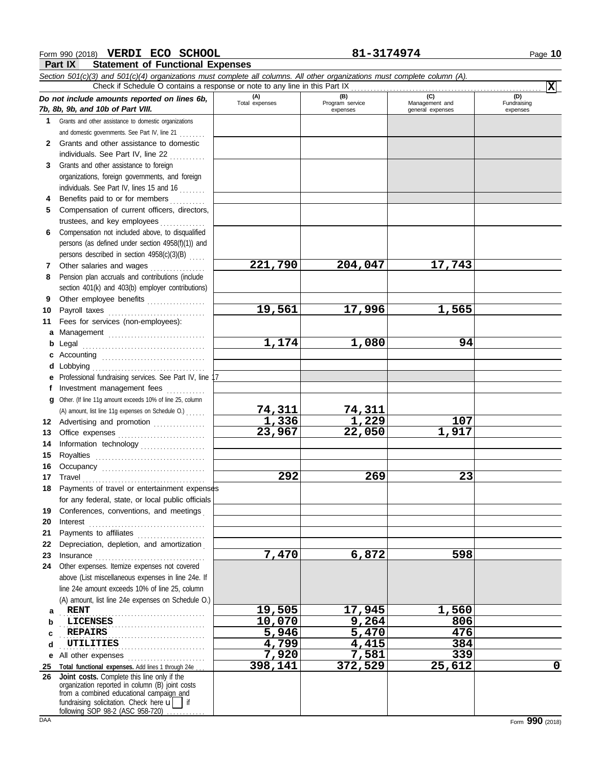### **Form 990 (2018) VERDI ECO SCHOOL 81-3174974** Page 10

**Part IX Statement of Functional Expenses**

|              | Part IX<br>Statement of Functional Expenses                                                                                |                       |                 |                  |             |
|--------------|----------------------------------------------------------------------------------------------------------------------------|-----------------------|-----------------|------------------|-------------|
|              | Section 501(c)(3) and 501(c)(4) organizations must complete all columns. All other organizations must complete column (A). |                       |                 |                  |             |
|              | Check if Schedule O contains a response or note to any line in this Part IX                                                |                       | (B)             | (C)              | x <br>(D)   |
|              | Do not include amounts reported on lines 6b,                                                                               | (A)<br>Total expenses | Program service | Management and   | Fundraising |
|              | 7b, 8b, 9b, and 10b of Part VIII.                                                                                          |                       | expenses        | general expenses | expenses    |
|              | 1 Grants and other assistance to domestic organizations                                                                    |                       |                 |                  |             |
|              | and domestic governments. See Part IV, line 21                                                                             |                       |                 |                  |             |
| $\mathbf{2}$ | Grants and other assistance to domestic                                                                                    |                       |                 |                  |             |
|              | individuals. See Part IV, line 22                                                                                          |                       |                 |                  |             |
| 3            | Grants and other assistance to foreign                                                                                     |                       |                 |                  |             |
|              | organizations, foreign governments, and foreign                                                                            |                       |                 |                  |             |
|              | individuals. See Part IV, lines 15 and 16                                                                                  |                       |                 |                  |             |
|              | Benefits paid to or for members                                                                                            |                       |                 |                  |             |
| 5            | Compensation of current officers, directors,                                                                               |                       |                 |                  |             |
|              | trustees, and key employees                                                                                                |                       |                 |                  |             |
| 6            | Compensation not included above, to disqualified<br>persons (as defined under section 4958(f)(1)) and                      |                       |                 |                  |             |
|              |                                                                                                                            |                       |                 |                  |             |
|              | persons described in section 4958(c)(3)(B)<br>Other salaries and wages                                                     | 221,790               | 204,047         | 17,743           |             |
| 7<br>8       | Pension plan accruals and contributions (include                                                                           |                       |                 |                  |             |
|              | section 401(k) and 403(b) employer contributions)                                                                          |                       |                 |                  |             |
| 9            |                                                                                                                            |                       |                 |                  |             |
| 10           | Payroll taxes                                                                                                              | 19,561                | 17,996          | 1,565            |             |
| 11           | Fees for services (non-employees):                                                                                         |                       |                 |                  |             |
| a            | Management                                                                                                                 |                       |                 |                  |             |
| b            | Legal                                                                                                                      | 1,174                 | 1,080           | 94               |             |
| c            | Accounting                                                                                                                 |                       |                 |                  |             |
| d            | Lobbying                                                                                                                   |                       |                 |                  |             |
|              | Professional fundraising services. See Part IV, line 17                                                                    |                       |                 |                  |             |
| Ť.           | Investment management fees                                                                                                 |                       |                 |                  |             |
|              | Other. (If line 11g amount exceeds 10% of line 25, column                                                                  |                       |                 |                  |             |
|              | (A) amount, list line 11g expenses on Schedule O.)                                                                         | 74,311                | 74,311          |                  |             |
|              | 12 Advertising and promotion                                                                                               | 1,336                 | 1,229           | 107              |             |
| 13           |                                                                                                                            | 23,967                | 22,050          | 1,917            |             |
| 14           | Information technology                                                                                                     |                       |                 |                  |             |
| 15           | Royalties                                                                                                                  |                       |                 |                  |             |
|              | Occupancy                                                                                                                  |                       |                 |                  |             |
|              | 17 Travel                                                                                                                  | 292                   | 269             | 23               |             |
|              | 18 Payments of travel or entertainment expenses                                                                            |                       |                 |                  |             |
|              | for any federal, state, or local public officials                                                                          |                       |                 |                  |             |
| 19           | Conferences, conventions, and meetings                                                                                     |                       |                 |                  |             |
| 20           | Interest                                                                                                                   |                       |                 |                  |             |
| 21           | Payments to affiliates                                                                                                     |                       |                 |                  |             |
| 22           | Depreciation, depletion, and amortization                                                                                  |                       |                 |                  |             |
| 23           | Insurance<br>Other expenses. Itemize expenses not covered                                                                  | 7,470                 | 6,872           | 598              |             |
| 24           | above (List miscellaneous expenses in line 24e. If                                                                         |                       |                 |                  |             |
|              | line 24e amount exceeds 10% of line 25, column                                                                             |                       |                 |                  |             |
|              | (A) amount, list line 24e expenses on Schedule O.)                                                                         |                       |                 |                  |             |
|              | <b>RENT</b>                                                                                                                | 19,505                | 17,945          | 1,560            |             |
| a<br>b       | <b>LICENSES</b>                                                                                                            | 10,070                | 9,264           | 806              |             |
| с            | <b>REPAIRS</b>                                                                                                             | 5,946                 | 5,470           | 476              |             |
| d            | UTILITIES                                                                                                                  | 4,799                 | 4,415           | 384              |             |
| е            | All other expenses                                                                                                         | 7,920                 | 7,581           | 339              |             |
| 25           | Total functional expenses. Add lines 1 through 24e                                                                         | 398,141               | 372,529         | 25,612           | 0           |
| 26           | Joint costs. Complete this line only if the                                                                                |                       |                 |                  |             |
|              | organization reported in column (B) joint costs<br>from a combined educational campaign and                                |                       |                 |                  |             |
|              | fundraising solicitation. Check here u<br>if                                                                               |                       |                 |                  |             |

following SOP 98-2 (ASC 958-720) .............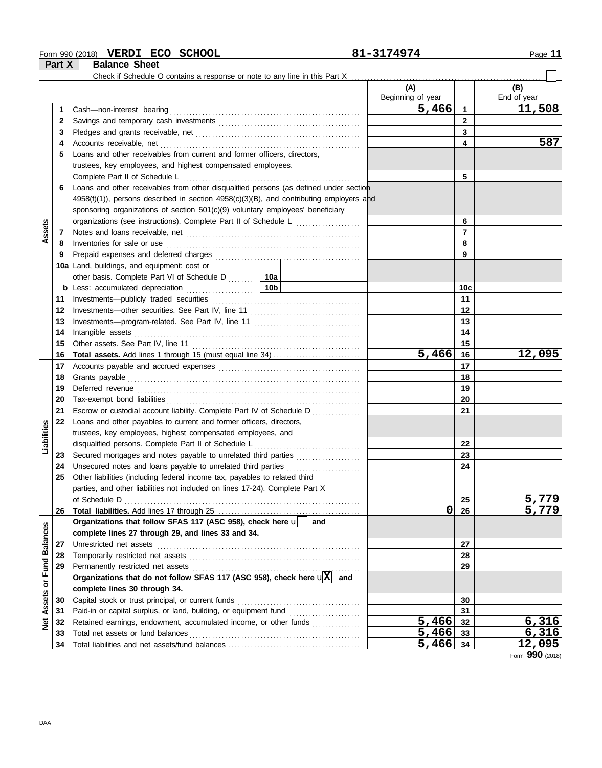### **Form 990 (2018) VERDI ECO SCHOOL 81-3174974** Page 11

**Part X Balance Sheet**

|                     |    | Check if Schedule O contains a response or note to any line in this Part X                                                           |                          |          |                    |
|---------------------|----|--------------------------------------------------------------------------------------------------------------------------------------|--------------------------|----------|--------------------|
|                     |    |                                                                                                                                      | (A)<br>Beginning of year |          | (B)<br>End of year |
|                     | 1  |                                                                                                                                      | 5,466                    | 1        | 11,508             |
|                     | 2  |                                                                                                                                      |                          | 2        |                    |
|                     | 3  |                                                                                                                                      |                          | 3        |                    |
|                     | 4  |                                                                                                                                      |                          | 4        | 587                |
|                     | 5  | Loans and other receivables from current and former officers, directors,                                                             |                          |          |                    |
|                     |    | trustees, key employees, and highest compensated employees.                                                                          |                          |          |                    |
|                     |    | Complete Part II of Schedule L                                                                                                       |                          | 5        |                    |
|                     | 6  | Loans and other receivables from other disqualified persons (as defined under section                                                |                          |          |                    |
|                     |    | 4958(f)(1)), persons described in section 4958(c)(3)(B), and contributing employers and                                              |                          |          |                    |
|                     |    | sponsoring organizations of section 501(c)(9) voluntary employees' beneficiary                                                       |                          |          |                    |
|                     |    | organizations (see instructions). Complete Part II of Schedule L                                                                     |                          | 6        |                    |
| Assets              | 7  |                                                                                                                                      |                          | 7        |                    |
|                     | 8  | Inventories for sale or use                                                                                                          |                          | 8        |                    |
|                     | 9  |                                                                                                                                      |                          | 9        |                    |
|                     |    | 10a Land, buildings, and equipment: cost or                                                                                          |                          |          |                    |
|                     |    | other basis. Complete Part VI of Schedule D  10a                                                                                     |                          |          |                    |
|                     |    | <b>b</b> Less: accumulated depreciation <b>contains the set of the set of the set of the Less: accumulated depreciation <b>b</b></b> |                          | 10c      |                    |
|                     | 11 |                                                                                                                                      |                          | 11       |                    |
|                     | 12 |                                                                                                                                      |                          | 12       |                    |
|                     | 13 |                                                                                                                                      |                          | 13       |                    |
|                     |    |                                                                                                                                      |                          | 14       |                    |
|                     | 14 | Intangible assets                                                                                                                    |                          | 15       |                    |
|                     | 15 |                                                                                                                                      | 5,466                    |          | 12,095             |
|                     | 16 |                                                                                                                                      |                          | 16<br>17 |                    |
|                     | 17 |                                                                                                                                      |                          |          |                    |
|                     | 18 |                                                                                                                                      |                          | 18       |                    |
|                     | 19 |                                                                                                                                      |                          | 19       |                    |
|                     | 20 |                                                                                                                                      |                          | 20       |                    |
|                     | 21 | Escrow or custodial account liability. Complete Part IV of Schedule D                                                                |                          | 21       |                    |
| Liabilities         | 22 | Loans and other payables to current and former officers, directors,                                                                  |                          |          |                    |
|                     |    | trustees, key employees, highest compensated employees, and                                                                          |                          |          |                    |
|                     |    | disqualified persons. Complete Part II of Schedule L<br>.                                                                            |                          | 22       |                    |
|                     | 23 | Secured mortgages and notes payable to unrelated third parties                                                                       |                          | 23       |                    |
|                     | 24 | Unsecured notes and loans payable to unrelated third parties                                                                         |                          | 24       |                    |
|                     | 25 | Other liabilities (including federal income tax, payables to related third                                                           |                          |          |                    |
|                     |    | parties, and other liabilities not included on lines 17-24). Complete Part X                                                         |                          |          |                    |
|                     |    |                                                                                                                                      | 0                        | 25       | 5,779<br>5,779     |
|                     | 26 | and                                                                                                                                  |                          | 26       |                    |
| <b>Balances</b>     |    | Organizations that follow SFAS 117 (ASC 958), check here u                                                                           |                          |          |                    |
|                     |    | complete lines 27 through 29, and lines 33 and 34.                                                                                   |                          |          |                    |
|                     | 27 | Unrestricted net assets                                                                                                              |                          | 27       |                    |
|                     | 28 |                                                                                                                                      |                          | 28       |                    |
| Fund                | 29 | Organizations that do not follow SFAS 117 (ASC 958), check here $\sqrt{\mathbf{X}}$ and                                              |                          | 29       |                    |
| $\overline{\sigma}$ |    |                                                                                                                                      |                          |          |                    |
|                     |    | complete lines 30 through 34.                                                                                                        |                          |          |                    |
| Assets              | 30 | Capital stock or trust principal, or current funds                                                                                   |                          | 30       |                    |
|                     | 31 |                                                                                                                                      |                          | 31       |                    |
| <b>Net</b>          | 32 | Retained earnings, endowment, accumulated income, or other funds                                                                     | 5,466                    | 32       | 6,316              |
|                     | 33 |                                                                                                                                      | $5,466$ 33               |          | 6,316              |
|                     | 34 |                                                                                                                                      | $5,466$ 34               |          | <u>12,095</u>      |

Form **990** (2018)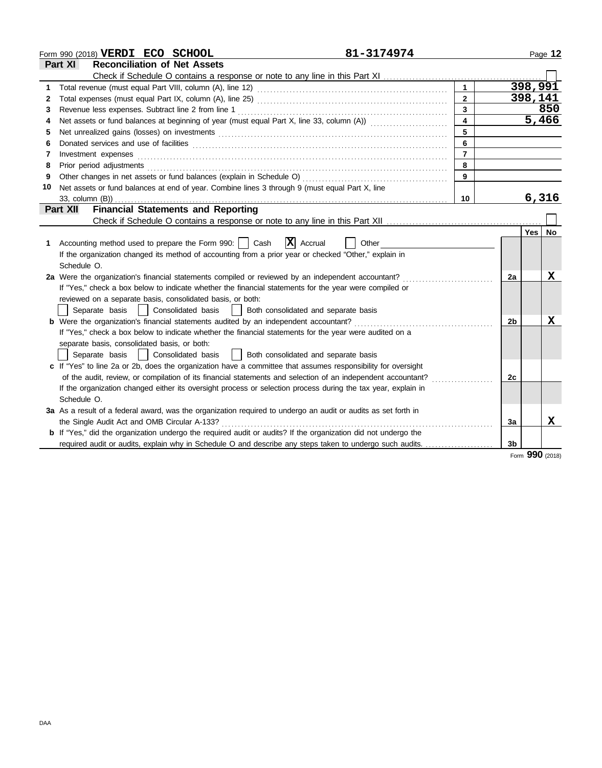|    | Form 990 (2018) VERDI ECO SCHOOL                                                                                                                                                                                                                                                                                                                                                                                                                                                                                                                              | 81-3174974     |    |         | Page 12         |
|----|---------------------------------------------------------------------------------------------------------------------------------------------------------------------------------------------------------------------------------------------------------------------------------------------------------------------------------------------------------------------------------------------------------------------------------------------------------------------------------------------------------------------------------------------------------------|----------------|----|---------|-----------------|
|    | <b>Reconciliation of Net Assets</b><br>Part XI                                                                                                                                                                                                                                                                                                                                                                                                                                                                                                                |                |    |         |                 |
|    |                                                                                                                                                                                                                                                                                                                                                                                                                                                                                                                                                               |                |    |         |                 |
| 1  |                                                                                                                                                                                                                                                                                                                                                                                                                                                                                                                                                               | $\mathbf{1}$   |    | 398,991 |                 |
| 2  |                                                                                                                                                                                                                                                                                                                                                                                                                                                                                                                                                               | $\overline{2}$ |    | 398,141 |                 |
| 3  |                                                                                                                                                                                                                                                                                                                                                                                                                                                                                                                                                               | $\overline{3}$ |    |         | 850             |
| 4  | Net assets or fund balances at beginning of year (must equal Part X, line 33, column (A))                                                                                                                                                                                                                                                                                                                                                                                                                                                                     | $\overline{4}$ |    |         | 5,466           |
| 5  |                                                                                                                                                                                                                                                                                                                                                                                                                                                                                                                                                               |                |    |         |                 |
| 6  |                                                                                                                                                                                                                                                                                                                                                                                                                                                                                                                                                               | 6              |    |         |                 |
| 7  | $Investment \textit{ expenses} \textit{________} \label{ex:ex:ex:1} \begin{minipage}[c]{0.9\linewidth} \centering \begin{minipage}[c]{0.9\linewidth} \centering \end{minipage} \begin{minipage}[c]{0.9\linewidth} \centering \begin{minipage}[c]{0.9\linewidth} \centering \end{minipage} \end{minipage} \begin{minipage}[c]{0.9\linewidth} \centering \end{minipage} \begin{minipage}[c]{0.9\linewidth} \centering \end{minipage} \begin{minipage}[c]{0.9\linewidth} \centering \end{minipage} \begin{minipage}[c]{0.9\linewidth} \centering \end{minipage}$ | $\overline{7}$ |    |         |                 |
| 8  |                                                                                                                                                                                                                                                                                                                                                                                                                                                                                                                                                               | 8              |    |         |                 |
| 9  |                                                                                                                                                                                                                                                                                                                                                                                                                                                                                                                                                               | 9              |    |         |                 |
| 10 | Net assets or fund balances at end of year. Combine lines 3 through 9 (must equal Part X, line                                                                                                                                                                                                                                                                                                                                                                                                                                                                |                |    |         |                 |
|    | 33. column (B))                                                                                                                                                                                                                                                                                                                                                                                                                                                                                                                                               | 10             |    |         | 6,316           |
|    | <b>Financial Statements and Reporting</b><br><b>Part XII</b>                                                                                                                                                                                                                                                                                                                                                                                                                                                                                                  |                |    |         |                 |
|    |                                                                                                                                                                                                                                                                                                                                                                                                                                                                                                                                                               |                |    |         |                 |
|    |                                                                                                                                                                                                                                                                                                                                                                                                                                                                                                                                                               |                |    | Yes l   | <b>No</b>       |
| 1. | $\mathbf{X}$ Accrual<br>Accounting method used to prepare the Form 990:     Cash                                                                                                                                                                                                                                                                                                                                                                                                                                                                              | Other          |    |         |                 |
|    | If the organization changed its method of accounting from a prior year or checked "Other," explain in                                                                                                                                                                                                                                                                                                                                                                                                                                                         |                |    |         |                 |
|    | Schedule O.                                                                                                                                                                                                                                                                                                                                                                                                                                                                                                                                                   |                |    |         |                 |
|    | 2a Were the organization's financial statements compiled or reviewed by an independent accountant?                                                                                                                                                                                                                                                                                                                                                                                                                                                            |                | 2a |         | x               |
|    | If "Yes," check a box below to indicate whether the financial statements for the year were compiled or                                                                                                                                                                                                                                                                                                                                                                                                                                                        |                |    |         |                 |
|    | reviewed on a separate basis, consolidated basis, or both:                                                                                                                                                                                                                                                                                                                                                                                                                                                                                                    |                |    |         |                 |
|    | Consolidated basis<br>Both consolidated and separate basis<br>Separate basis<br>$\blacksquare$                                                                                                                                                                                                                                                                                                                                                                                                                                                                |                |    |         |                 |
|    | <b>b</b> Were the organization's financial statements audited by an independent accountant?                                                                                                                                                                                                                                                                                                                                                                                                                                                                   |                | 2b |         | X               |
|    | If "Yes," check a box below to indicate whether the financial statements for the year were audited on a                                                                                                                                                                                                                                                                                                                                                                                                                                                       |                |    |         |                 |
|    | separate basis, consolidated basis, or both:                                                                                                                                                                                                                                                                                                                                                                                                                                                                                                                  |                |    |         |                 |
|    | Both consolidated and separate basis<br>Consolidated basis<br>Separate basis                                                                                                                                                                                                                                                                                                                                                                                                                                                                                  |                |    |         |                 |
|    | c If "Yes" to line 2a or 2b, does the organization have a committee that assumes responsibility for oversight                                                                                                                                                                                                                                                                                                                                                                                                                                                 |                |    |         |                 |
|    | of the audit, review, or compilation of its financial statements and selection of an independent accountant?                                                                                                                                                                                                                                                                                                                                                                                                                                                  |                | 2c |         |                 |
|    | If the organization changed either its oversight process or selection process during the tax year, explain in                                                                                                                                                                                                                                                                                                                                                                                                                                                 |                |    |         |                 |
|    | Schedule O.                                                                                                                                                                                                                                                                                                                                                                                                                                                                                                                                                   |                |    |         |                 |
|    | 3a As a result of a federal award, was the organization required to undergo an audit or audits as set forth in                                                                                                                                                                                                                                                                                                                                                                                                                                                |                |    |         |                 |
|    | the Single Audit Act and OMB Circular A-133?                                                                                                                                                                                                                                                                                                                                                                                                                                                                                                                  |                | 3a |         | X               |
|    | b If "Yes," did the organization undergo the required audit or audits? If the organization did not undergo the                                                                                                                                                                                                                                                                                                                                                                                                                                                |                |    |         |                 |
|    | required audit or audits, explain why in Schedule O and describe any steps taken to undergo such audits.                                                                                                                                                                                                                                                                                                                                                                                                                                                      |                | 3b |         |                 |
|    |                                                                                                                                                                                                                                                                                                                                                                                                                                                                                                                                                               |                |    |         | Form 990 (2018) |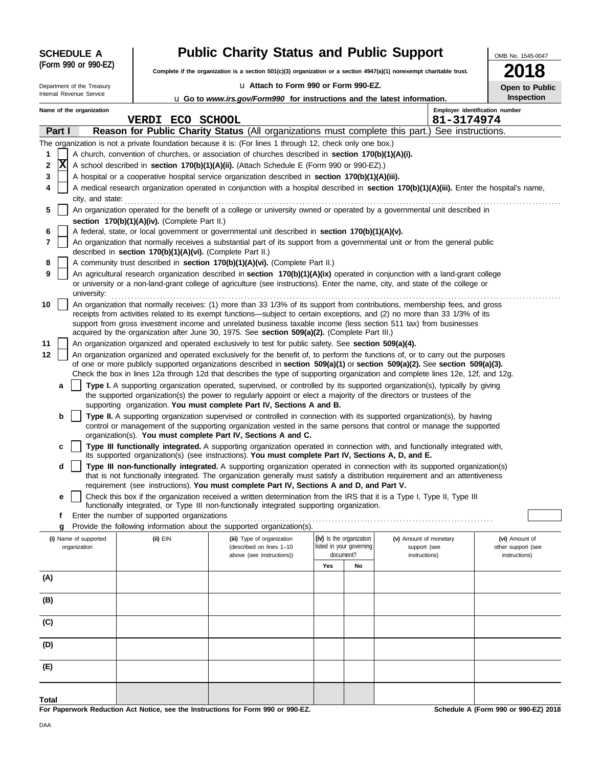| <b>SCHEDULE A</b>          |                                                            | <b>Public Charity Status and Public Support</b>                                                                                                                                                                                                                                                                                                                                 |                          |    |                        |                                              | OMB No. 1545-0047                    |
|----------------------------|------------------------------------------------------------|---------------------------------------------------------------------------------------------------------------------------------------------------------------------------------------------------------------------------------------------------------------------------------------------------------------------------------------------------------------------------------|--------------------------|----|------------------------|----------------------------------------------|--------------------------------------|
| (Form 990 or 990-EZ)       |                                                            | Complete if the organization is a section $501(c)(3)$ organization or a section $4947(a)(1)$ nonexempt charitable trust.                                                                                                                                                                                                                                                        |                          |    |                        |                                              |                                      |
| Department of the Treasury |                                                            | u Attach to Form 990 or Form 990-EZ.                                                                                                                                                                                                                                                                                                                                            |                          |    |                        |                                              | Open to Public                       |
| Internal Revenue Service   |                                                            | <b>u</b> Go to <i>www.irs.gov/Form990</i> for instructions and the latest information.                                                                                                                                                                                                                                                                                          |                          |    |                        |                                              | Inspection                           |
| Name of the organization   | <b>VERDI ECO SCHOOL</b>                                    |                                                                                                                                                                                                                                                                                                                                                                                 |                          |    |                        | Employer identification number<br>81-3174974 |                                      |
| Part I                     |                                                            | Reason for Public Charity Status (All organizations must complete this part.) See instructions.                                                                                                                                                                                                                                                                                 |                          |    |                        |                                              |                                      |
|                            |                                                            | The organization is not a private foundation because it is: (For lines 1 through 12, check only one box.)                                                                                                                                                                                                                                                                       |                          |    |                        |                                              |                                      |
| 1                          |                                                            | A church, convention of churches, or association of churches described in section 170(b)(1)(A)(i).                                                                                                                                                                                                                                                                              |                          |    |                        |                                              |                                      |
| x<br>2                     |                                                            | A school described in section 170(b)(1)(A)(ii). (Attach Schedule E (Form 990 or 990-EZ).)                                                                                                                                                                                                                                                                                       |                          |    |                        |                                              |                                      |
| 3                          |                                                            | A hospital or a cooperative hospital service organization described in section 170(b)(1)(A)(iii).                                                                                                                                                                                                                                                                               |                          |    |                        |                                              |                                      |
| 4                          |                                                            | A medical research organization operated in conjunction with a hospital described in section 170(b)(1)(A)(iii). Enter the hospital's name,                                                                                                                                                                                                                                      |                          |    |                        |                                              |                                      |
| city, and state:<br>5      |                                                            | An organization operated for the benefit of a college or university owned or operated by a governmental unit described in                                                                                                                                                                                                                                                       |                          |    |                        |                                              |                                      |
|                            | section 170(b)(1)(A)(iv). (Complete Part II.)              |                                                                                                                                                                                                                                                                                                                                                                                 |                          |    |                        |                                              |                                      |
| 6                          |                                                            | A federal, state, or local government or governmental unit described in section 170(b)(1)(A)(v).                                                                                                                                                                                                                                                                                |                          |    |                        |                                              |                                      |
| 7                          |                                                            | An organization that normally receives a substantial part of its support from a governmental unit or from the general public                                                                                                                                                                                                                                                    |                          |    |                        |                                              |                                      |
|                            | described in section 170(b)(1)(A)(vi). (Complete Part II.) |                                                                                                                                                                                                                                                                                                                                                                                 |                          |    |                        |                                              |                                      |
| 8                          |                                                            | A community trust described in section 170(b)(1)(A)(vi). (Complete Part II.)                                                                                                                                                                                                                                                                                                    |                          |    |                        |                                              |                                      |
| 9<br>university:           |                                                            | An agricultural research organization described in section 170(b)(1)(A)(ix) operated in conjunction with a land-grant college<br>or university or a non-land-grant college of agriculture (see instructions). Enter the name, city, and state of the college or                                                                                                                 |                          |    |                        |                                              |                                      |
| 10                         |                                                            | An organization that normally receives: (1) more than 33 1/3% of its support from contributions, membership fees, and gross<br>receipts from activities related to its exempt functions—subject to certain exceptions, and (2) no more than 33 1/3% of its<br>support from gross investment income and unrelated business taxable income (less section 511 tax) from businesses |                          |    |                        |                                              |                                      |
| 11                         |                                                            | acquired by the organization after June 30, 1975. See section 509(a)(2). (Complete Part III.)<br>An organization organized and operated exclusively to test for public safety. See section 509(a)(4).                                                                                                                                                                           |                          |    |                        |                                              |                                      |
| 12                         |                                                            | An organization organized and operated exclusively for the benefit of, to perform the functions of, or to carry out the purposes                                                                                                                                                                                                                                                |                          |    |                        |                                              |                                      |
|                            |                                                            | of one or more publicly supported organizations described in section 509(a)(1) or section 509(a)(2). See section 509(a)(3).                                                                                                                                                                                                                                                     |                          |    |                        |                                              |                                      |
|                            |                                                            | Check the box in lines 12a through 12d that describes the type of supporting organization and complete lines 12e, 12f, and 12g.                                                                                                                                                                                                                                                 |                          |    |                        |                                              |                                      |
| a                          |                                                            | Type I. A supporting organization operated, supervised, or controlled by its supported organization(s), typically by giving                                                                                                                                                                                                                                                     |                          |    |                        |                                              |                                      |
|                            |                                                            | the supported organization(s) the power to regularly appoint or elect a majority of the directors or trustees of the<br>supporting organization. You must complete Part IV, Sections A and B.                                                                                                                                                                                   |                          |    |                        |                                              |                                      |
| b                          |                                                            | Type II. A supporting organization supervised or controlled in connection with its supported organization(s), by having                                                                                                                                                                                                                                                         |                          |    |                        |                                              |                                      |
|                            |                                                            | control or management of the supporting organization vested in the same persons that control or manage the supported<br>organization(s). You must complete Part IV, Sections A and C.                                                                                                                                                                                           |                          |    |                        |                                              |                                      |
| c                          |                                                            | Type III functionally integrated. A supporting organization operated in connection with, and functionally integrated with,                                                                                                                                                                                                                                                      |                          |    |                        |                                              |                                      |
|                            |                                                            | its supported organization(s) (see instructions). You must complete Part IV, Sections A, D, and E.<br>Type III non-functionally integrated. A supporting organization operated in connection with its supported organization(s)                                                                                                                                                 |                          |    |                        |                                              |                                      |
| d                          |                                                            | that is not functionally integrated. The organization generally must satisfy a distribution requirement and an attentiveness                                                                                                                                                                                                                                                    |                          |    |                        |                                              |                                      |
|                            |                                                            | requirement (see instructions). You must complete Part IV, Sections A and D, and Part V.                                                                                                                                                                                                                                                                                        |                          |    |                        |                                              |                                      |
| е                          |                                                            | Check this box if the organization received a written determination from the IRS that it is a Type I, Type II, Type III                                                                                                                                                                                                                                                         |                          |    |                        |                                              |                                      |
|                            |                                                            | functionally integrated, or Type III non-functionally integrated supporting organization.                                                                                                                                                                                                                                                                                       |                          |    |                        |                                              |                                      |
| Ť.<br>g                    | Enter the number of supported organizations                | Provide the following information about the supported organization(s).                                                                                                                                                                                                                                                                                                          |                          |    |                        |                                              |                                      |
| (i) Name of supported      | (ii) EIN                                                   | (iii) Type of organization                                                                                                                                                                                                                                                                                                                                                      | (iv) Is the organization |    | (v) Amount of monetary |                                              | (vi) Amount of                       |
| organization               |                                                            | (described on lines 1-10                                                                                                                                                                                                                                                                                                                                                        | listed in your governing |    | support (see           |                                              | other support (see                   |
|                            |                                                            | above (see instructions))                                                                                                                                                                                                                                                                                                                                                       | document?                |    | instructions)          |                                              | instructions)                        |
| (A)                        |                                                            |                                                                                                                                                                                                                                                                                                                                                                                 | Yes                      | No |                        |                                              |                                      |
|                            |                                                            |                                                                                                                                                                                                                                                                                                                                                                                 |                          |    |                        |                                              |                                      |
| (B)                        |                                                            |                                                                                                                                                                                                                                                                                                                                                                                 |                          |    |                        |                                              |                                      |
| (C)                        |                                                            |                                                                                                                                                                                                                                                                                                                                                                                 |                          |    |                        |                                              |                                      |
| (D)                        |                                                            |                                                                                                                                                                                                                                                                                                                                                                                 |                          |    |                        |                                              |                                      |
| (E)                        |                                                            |                                                                                                                                                                                                                                                                                                                                                                                 |                          |    |                        |                                              |                                      |
| Total                      |                                                            |                                                                                                                                                                                                                                                                                                                                                                                 |                          |    |                        |                                              |                                      |
|                            |                                                            | For Paperwork Reduction Act Notice, see the Instructions for Form 990 or 990-EZ.                                                                                                                                                                                                                                                                                                |                          |    |                        |                                              | Schedule A (Form 990 or 990-EZ) 2018 |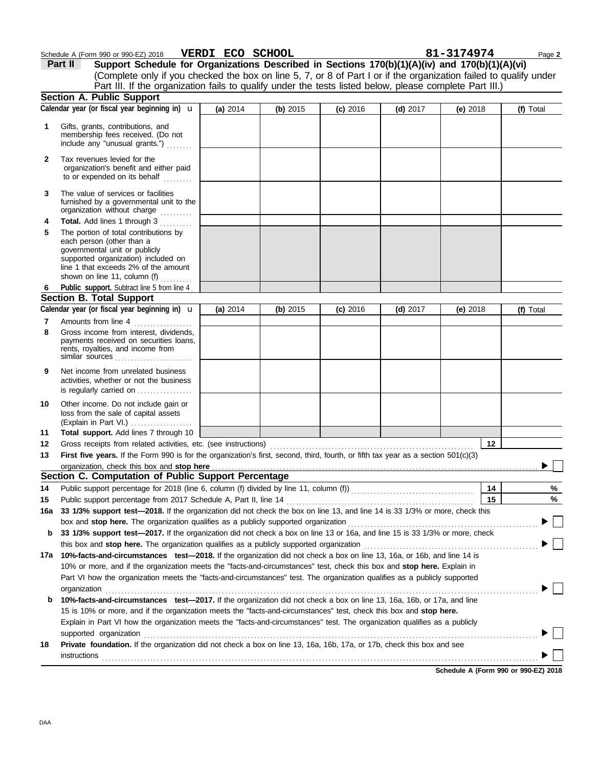| (Form 990 or 990-EZ) 2018<br>Schedule | <b>ECO</b><br><b>VERDI</b> | <b>SCHOOL</b> | 3174974 | Page 2 |
|---------------------------------------|----------------------------|---------------|---------|--------|
|                                       |                            |               |         |        |

|     | Part II<br>Support Schedule for Organizations Described in Sections 170(b)(1)(A)(iv) and 170(b)(1)(A)(vi)<br>(Complete only if you checked the box on line 5, 7, or 8 of Part I or if the organization failed to qualify under<br>Part III. If the organization fails to qualify under the tests listed below, please complete Part III.) |          |          |            |            |            |    |           |
|-----|-------------------------------------------------------------------------------------------------------------------------------------------------------------------------------------------------------------------------------------------------------------------------------------------------------------------------------------------|----------|----------|------------|------------|------------|----|-----------|
|     | <b>Section A. Public Support</b>                                                                                                                                                                                                                                                                                                          |          |          |            |            |            |    |           |
|     | Calendar year (or fiscal year beginning in) $\mathbf u$                                                                                                                                                                                                                                                                                   | (a) 2014 | (b) 2015 | $(c)$ 2016 | $(d)$ 2017 | (e) $2018$ |    | (f) Total |
| 1   | Gifts, grants, contributions, and<br>membership fees received. (Do not<br>include any "unusual grants.")                                                                                                                                                                                                                                  |          |          |            |            |            |    |           |
| 2   | Tax revenues levied for the<br>organization's benefit and either paid<br>to or expended on its behalf                                                                                                                                                                                                                                     |          |          |            |            |            |    |           |
| 3   | The value of services or facilities<br>furnished by a governmental unit to the<br>organization without charge<br>.                                                                                                                                                                                                                        |          |          |            |            |            |    |           |
| 4   | Total. Add lines 1 through 3                                                                                                                                                                                                                                                                                                              |          |          |            |            |            |    |           |
| 5   | The portion of total contributions by<br>each person (other than a<br>governmental unit or publicly<br>supported organization) included on<br>line 1 that exceeds 2% of the amount<br>shown on line 11, column (f)                                                                                                                        |          |          |            |            |            |    |           |
| 6   | Public support. Subtract line 5 from line 4                                                                                                                                                                                                                                                                                               |          |          |            |            |            |    |           |
|     | <b>Section B. Total Support</b>                                                                                                                                                                                                                                                                                                           |          |          |            |            |            |    |           |
|     | Calendar year (or fiscal year beginning in) $\mathbf u$                                                                                                                                                                                                                                                                                   | (a) 2014 | (b) 2015 | (c) 2016   | $(d)$ 2017 | (e) $2018$ |    | (f) Total |
| 7   | Amounts from line 4                                                                                                                                                                                                                                                                                                                       |          |          |            |            |            |    |           |
| 8   | Gross income from interest, dividends,<br>payments received on securities loans,<br>rents, royalties, and income from<br>similar sources                                                                                                                                                                                                  |          |          |            |            |            |    |           |
| 9   | Net income from unrelated business<br>activities, whether or not the business<br>is regularly carried on                                                                                                                                                                                                                                  |          |          |            |            |            |    |           |
| 10  | Other income. Do not include gain or<br>loss from the sale of capital assets<br>(Explain in Part VI.)                                                                                                                                                                                                                                     |          |          |            |            |            |    |           |
| 11  | Total support. Add lines 7 through 10                                                                                                                                                                                                                                                                                                     |          |          |            |            |            |    |           |
| 12  | Gross receipts from related activities, etc. (see instructions)                                                                                                                                                                                                                                                                           |          |          |            |            |            | 12 |           |
| 13  | First five years. If the Form 990 is for the organization's first, second, third, fourth, or fifth tax year as a section 501(c)(3)                                                                                                                                                                                                        |          |          |            |            |            |    |           |
|     |                                                                                                                                                                                                                                                                                                                                           |          |          |            |            |            |    |           |
|     | Section C. Computation of Public Support Percentage                                                                                                                                                                                                                                                                                       |          |          |            |            |            |    |           |
| 14  | Public support percentage for 2018 (line 6, column (f) divided by line 11, column (f)) [[[[[[[[[[[[[[[[[[[[[[                                                                                                                                                                                                                             |          |          |            |            |            | 14 | %         |
| 15  |                                                                                                                                                                                                                                                                                                                                           |          |          |            |            |            | 15 | %         |
| 16a | 33 1/3% support test-2018. If the organization did not check the box on line 13, and line 14 is 33 1/3% or more, check this                                                                                                                                                                                                               |          |          |            |            |            |    |           |
|     | box and stop here. The organization qualifies as a publicly supported organization                                                                                                                                                                                                                                                        |          |          |            |            |            |    |           |
| b   | 33 1/3% support test-2017. If the organization did not check a box on line 13 or 16a, and line 15 is 33 1/3% or more, check                                                                                                                                                                                                               |          |          |            |            |            |    |           |
|     | this box and stop here. The organization qualifies as a publicly supported organization                                                                                                                                                                                                                                                   |          |          |            |            |            |    |           |
| 17a | 10%-facts-and-circumstances test-2018. If the organization did not check a box on line 13, 16a, or 16b, and line 14 is                                                                                                                                                                                                                    |          |          |            |            |            |    |           |
|     | 10% or more, and if the organization meets the "facts-and-circumstances" test, check this box and stop here. Explain in                                                                                                                                                                                                                   |          |          |            |            |            |    |           |
|     | Part VI how the organization meets the "facts-and-circumstances" test. The organization qualifies as a publicly supported                                                                                                                                                                                                                 |          |          |            |            |            |    |           |
|     | organization                                                                                                                                                                                                                                                                                                                              |          |          |            |            |            |    |           |
| b   | 10%-facts-and-circumstances test-2017. If the organization did not check a box on line 13, 16a, 16b, or 17a, and line                                                                                                                                                                                                                     |          |          |            |            |            |    |           |
|     | 15 is 10% or more, and if the organization meets the "facts-and-circumstances" test, check this box and stop here.                                                                                                                                                                                                                        |          |          |            |            |            |    |           |
|     | Explain in Part VI how the organization meets the "facts-and-circumstances" test. The organization qualifies as a publicly                                                                                                                                                                                                                |          |          |            |            |            |    |           |
|     |                                                                                                                                                                                                                                                                                                                                           |          |          |            |            |            |    |           |
| 18  | Private foundation. If the organization did not check a box on line 13, 16a, 16b, 17a, or 17b, check this box and see                                                                                                                                                                                                                     |          |          |            |            |            |    |           |
|     | instructions                                                                                                                                                                                                                                                                                                                              |          |          |            |            |            |    |           |
|     |                                                                                                                                                                                                                                                                                                                                           |          |          |            |            |            |    |           |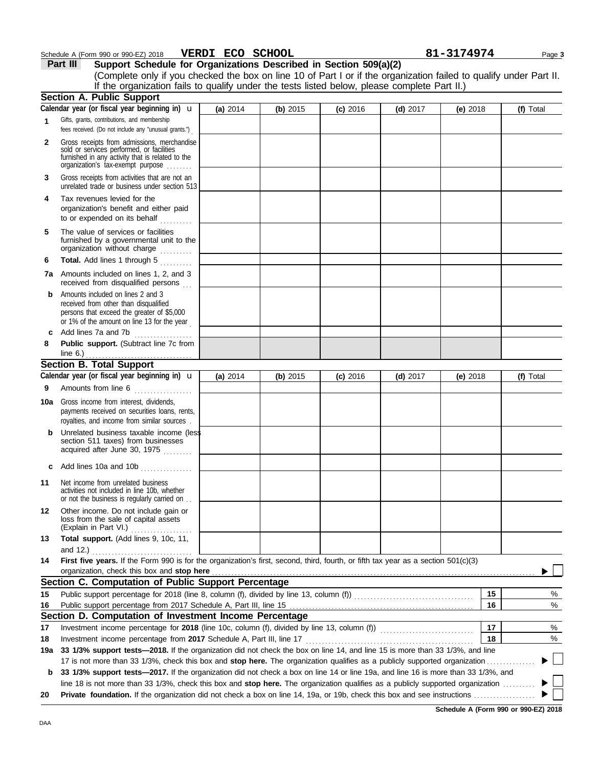### **Schedule A (Form 990 or 990-EZ) 2018 VERDI ECO SCHOOL 81-3174974** Page 3

**Part III Support Schedule for Organizations Described in Section 509(a)(2)**

|          | (Complete only if you checked the box on line 10 of Part I or if the organization failed to qualify under Part II.<br>If the organization fails to qualify under the tests listed below, please complete Part II.) |          |          |            |            |            |           |
|----------|--------------------------------------------------------------------------------------------------------------------------------------------------------------------------------------------------------------------|----------|----------|------------|------------|------------|-----------|
|          | <b>Section A. Public Support</b>                                                                                                                                                                                   |          |          |            |            |            |           |
|          | Calendar year (or fiscal year beginning in) $\mathbf u$                                                                                                                                                            | (a) 2014 | (b) 2015 | $(c)$ 2016 | $(d)$ 2017 | (e) $2018$ | (f) Total |
| 1        | Gifts, grants, contributions, and membership<br>fees received. (Do not include any "unusual grants.")                                                                                                              |          |          |            |            |            |           |
| 2        | Gross receipts from admissions, merchandise<br>sold or services performed, or facilities<br>furnished in any activity that is related to the<br>organization's fax-exempt purpose                                  |          |          |            |            |            |           |
| 3        | Gross receipts from activities that are not an<br>unrelated trade or business under section 513                                                                                                                    |          |          |            |            |            |           |
| 4        | Tax revenues levied for the<br>organization's benefit and either paid<br>to or expended on its behalf                                                                                                              |          |          |            |            |            |           |
| 5        | The value of services or facilities<br>furnished by a governmental unit to the<br>organization without charge                                                                                                      |          |          |            |            |            |           |
| 6        | Total. Add lines 1 through 5                                                                                                                                                                                       |          |          |            |            |            |           |
|          | 7a Amounts included on lines 1, 2, and 3<br>received from disqualified persons                                                                                                                                     |          |          |            |            |            |           |
| b        | Amounts included on lines 2 and 3<br>received from other than disqualified<br>persons that exceed the greater of \$5,000<br>or 1% of the amount on line 13 for the year                                            |          |          |            |            |            |           |
| c        | Add lines 7a and 7b                                                                                                                                                                                                |          |          |            |            |            |           |
| 8        | Public support. (Subtract line 7c from                                                                                                                                                                             |          |          |            |            |            |           |
|          | <b>Section B. Total Support</b>                                                                                                                                                                                    |          |          |            |            |            |           |
| 9        | Calendar year (or fiscal year beginning in) $\mathbf u$<br>Amounts from line 6                                                                                                                                     | (a) 2014 | (b) 2015 | (c) 2016   | $(d)$ 2017 | (e) $2018$ | (f) Total |
| 10a      | Gross income from interest, dividends,<br>payments received on securities loans, rents,<br>royalties, and income from similar sources.                                                                             |          |          |            |            |            |           |
| b        | Unrelated business taxable income (less<br>section 511 taxes) from businesses<br>acquired after June 30, 1975                                                                                                      |          |          |            |            |            |           |
| c        | Add lines 10a and 10b                                                                                                                                                                                              |          |          |            |            |            |           |
| 11       | Net income from unrelated business<br>activities not included in line 10b, whether<br>or not the business is regularly carried on                                                                                  |          |          |            |            |            |           |
| 12       | Other income. Do not include gain or<br>loss from the sale of capital assets<br>(Explain in Part VI.)                                                                                                              |          |          |            |            |            |           |
| 13       | Total support. (Add lines 9, 10c, 11,                                                                                                                                                                              |          |          |            |            |            |           |
|          | and 12.)                                                                                                                                                                                                           |          |          |            |            |            |           |
| 14       | First five years. If the Form 990 is for the organization's first, second, third, fourth, or fifth tax year as a section 501(c)(3)                                                                                 |          |          |            |            |            |           |
|          | organization, check this box and stop here                                                                                                                                                                         |          |          |            |            |            |           |
|          | Section C. Computation of Public Support Percentage                                                                                                                                                                |          |          |            |            |            |           |
| 15       |                                                                                                                                                                                                                    |          |          |            |            | 15         | %         |
| 16       | Section D. Computation of Investment Income Percentage                                                                                                                                                             |          |          |            |            | 16         | %         |
|          |                                                                                                                                                                                                                    |          |          |            |            | 17         | %         |
| 17<br>18 |                                                                                                                                                                                                                    |          |          |            |            | 18         | %         |
| 19a      | 33 1/3% support tests—2018. If the organization did not check the box on line 14, and line 15 is more than 33 1/3%, and line                                                                                       |          |          |            |            |            |           |
|          | 17 is not more than 33 1/3%, check this box and stop here. The organization qualifies as a publicly supported organization                                                                                         |          |          |            |            |            |           |
| b        | 33 1/3% support tests-2017. If the organization did not check a box on line 14 or line 19a, and line 16 is more than 33 1/3%, and                                                                                  |          |          |            |            |            |           |
|          | line 18 is not more than 33 1/3%, check this box and stop here. The organization qualifies as a publicly supported organization                                                                                    |          |          |            |            |            |           |
| 20       |                                                                                                                                                                                                                    |          |          |            |            |            |           |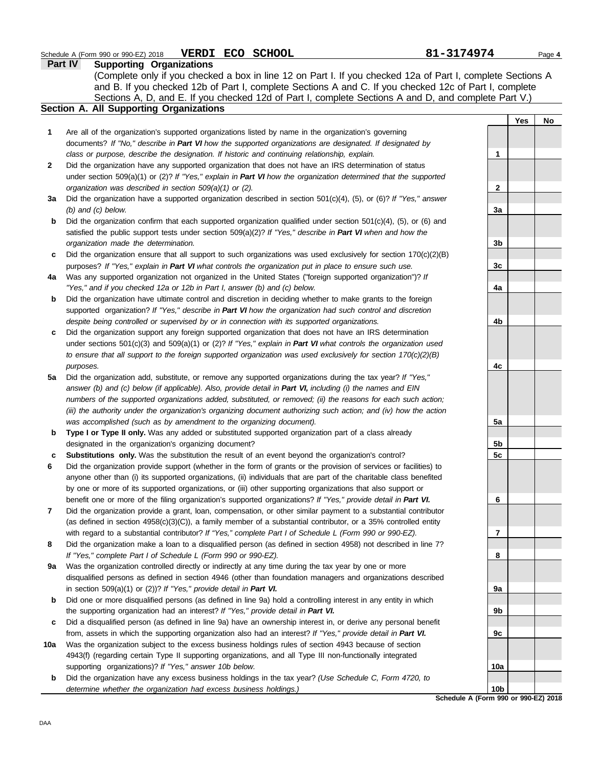| <b>Part IV</b><br><b>Supporting Organizations</b> |                                                                                                                     |                 |     |           |  |  |  |
|---------------------------------------------------|---------------------------------------------------------------------------------------------------------------------|-----------------|-----|-----------|--|--|--|
|                                                   | (Complete only if you checked a box in line 12 on Part I. If you checked 12a of Part I, complete Sections A         |                 |     |           |  |  |  |
|                                                   | and B. If you checked 12b of Part I, complete Sections A and C. If you checked 12c of Part I, complete              |                 |     |           |  |  |  |
|                                                   | Sections A, D, and E. If you checked 12d of Part I, complete Sections A and D, and complete Part V.)                |                 |     |           |  |  |  |
|                                                   | Section A. All Supporting Organizations                                                                             |                 |     |           |  |  |  |
|                                                   |                                                                                                                     |                 | Yes | <b>No</b> |  |  |  |
| 1                                                 | Are all of the organization's supported organizations listed by name in the organization's governing                |                 |     |           |  |  |  |
|                                                   | documents? If "No," describe in Part VI how the supported organizations are designated. If designated by            |                 |     |           |  |  |  |
|                                                   | class or purpose, describe the designation. If historic and continuing relationship, explain.                       | 1               |     |           |  |  |  |
| $\mathbf{2}$                                      | Did the organization have any supported organization that does not have an IRS determination of status              |                 |     |           |  |  |  |
|                                                   | under section $509(a)(1)$ or (2)? If "Yes," explain in Part VI how the organization determined that the supported   |                 |     |           |  |  |  |
|                                                   | organization was described in section 509(a)(1) or (2).                                                             | 2               |     |           |  |  |  |
| За                                                | Did the organization have a supported organization described in section $501(c)(4)$ , (5), or (6)? If "Yes," answer |                 |     |           |  |  |  |
|                                                   | $(b)$ and $(c)$ below.                                                                                              | 3a              |     |           |  |  |  |
| b                                                 | Did the organization confirm that each supported organization qualified under section $501(c)(4)$ , (5), or (6) and |                 |     |           |  |  |  |
|                                                   | satisfied the public support tests under section $509(a)(2)$ ? If "Yes," describe in Part VI when and how the       |                 |     |           |  |  |  |
|                                                   | organization made the determination.                                                                                | 3b              |     |           |  |  |  |
| c                                                 | Did the organization ensure that all support to such organizations was used exclusively for section $170(c)(2)(B)$  |                 |     |           |  |  |  |
|                                                   | purposes? If "Yes," explain in Part VI what controls the organization put in place to ensure such use.              | 3c              |     |           |  |  |  |
| 4a                                                | Was any supported organization not organized in the United States ("foreign supported organization")? If            |                 |     |           |  |  |  |
|                                                   | "Yes," and if you checked 12a or 12b in Part I, answer (b) and (c) below.                                           | 4a              |     |           |  |  |  |
| b                                                 | Did the organization have ultimate control and discretion in deciding whether to make grants to the foreign         |                 |     |           |  |  |  |
|                                                   | supported organization? If "Yes," describe in Part VI how the organization had such control and discretion          |                 |     |           |  |  |  |
|                                                   | despite being controlled or supervised by or in connection with its supported organizations.                        | 4b              |     |           |  |  |  |
| c                                                 | Did the organization support any foreign supported organization that does not have an IRS determination             |                 |     |           |  |  |  |
|                                                   | under sections $501(c)(3)$ and $509(a)(1)$ or (2)? If "Yes," explain in Part VI what controls the organization used |                 |     |           |  |  |  |
|                                                   | to ensure that all support to the foreign supported organization was used exclusively for section $170(c)(2)(B)$    |                 |     |           |  |  |  |
|                                                   | purposes.                                                                                                           | 4с              |     |           |  |  |  |
| 5a                                                | Did the organization add, substitute, or remove any supported organizations during the tax year? If "Yes,"          |                 |     |           |  |  |  |
|                                                   | answer (b) and (c) below (if applicable). Also, provide detail in Part VI, including (i) the names and EIN          |                 |     |           |  |  |  |
|                                                   | numbers of the supported organizations added, substituted, or removed; (ii) the reasons for each such action;       |                 |     |           |  |  |  |
|                                                   | (iii) the authority under the organization's organizing document authorizing such action; and (iv) how the action   |                 |     |           |  |  |  |
|                                                   | was accomplished (such as by amendment to the organizing document).                                                 | 5a              |     |           |  |  |  |
| b                                                 | Type I or Type II only. Was any added or substituted supported organization part of a class already                 |                 |     |           |  |  |  |
|                                                   | designated in the organization's organizing document?                                                               | 5 <sub>b</sub>  |     |           |  |  |  |
| c                                                 | Substitutions only. Was the substitution the result of an event beyond the organization's control?                  | 5c              |     |           |  |  |  |
| 6                                                 | Did the organization provide support (whether in the form of grants or the provision of services or facilities) to  |                 |     |           |  |  |  |
|                                                   | anyone other than (i) its supported organizations, (ii) individuals that are part of the charitable class benefited |                 |     |           |  |  |  |
|                                                   | by one or more of its supported organizations, or (iii) other supporting organizations that also support or         |                 |     |           |  |  |  |
|                                                   | benefit one or more of the filing organization's supported organizations? If "Yes," provide detail in Part VI.      | 6               |     |           |  |  |  |
| 7                                                 | Did the organization provide a grant, loan, compensation, or other similar payment to a substantial contributor     |                 |     |           |  |  |  |
|                                                   | (as defined in section $4958(c)(3)(C)$ ), a family member of a substantial contributor, or a 35% controlled entity  |                 |     |           |  |  |  |
|                                                   | with regard to a substantial contributor? If "Yes," complete Part I of Schedule L (Form 990 or 990-EZ).             | 7               |     |           |  |  |  |
| 8                                                 | Did the organization make a loan to a disqualified person (as defined in section 4958) not described in line 7?     |                 |     |           |  |  |  |
|                                                   | If "Yes," complete Part I of Schedule L (Form 990 or 990-EZ).                                                       | 8               |     |           |  |  |  |
| 9a                                                | Was the organization controlled directly or indirectly at any time during the tax year by one or more               |                 |     |           |  |  |  |
|                                                   | disqualified persons as defined in section 4946 (other than foundation managers and organizations described         |                 |     |           |  |  |  |
|                                                   | in section 509(a)(1) or (2))? If "Yes," provide detail in Part VI.                                                  | 9a              |     |           |  |  |  |
| b                                                 | Did one or more disqualified persons (as defined in line 9a) hold a controlling interest in any entity in which     |                 |     |           |  |  |  |
|                                                   | the supporting organization had an interest? If "Yes," provide detail in Part VI.                                   | 9b              |     |           |  |  |  |
| c                                                 | Did a disqualified person (as defined in line 9a) have an ownership interest in, or derive any personal benefit     |                 |     |           |  |  |  |
|                                                   | from, assets in which the supporting organization also had an interest? If "Yes," provide detail in Part VI.        | 9c              |     |           |  |  |  |
| 10a                                               | Was the organization subject to the excess business holdings rules of section 4943 because of section               |                 |     |           |  |  |  |
|                                                   | 4943(f) (regarding certain Type II supporting organizations, and all Type III non-functionally integrated           |                 |     |           |  |  |  |
|                                                   | supporting organizations)? If "Yes," answer 10b below.                                                              | 10a             |     |           |  |  |  |
| b                                                 | Did the organization have any excess business holdings in the tax year? (Use Schedule C, Form 4720, to              |                 |     |           |  |  |  |
|                                                   | determine whether the organization had excess business holdings.)                                                   | 10 <sub>b</sub> |     |           |  |  |  |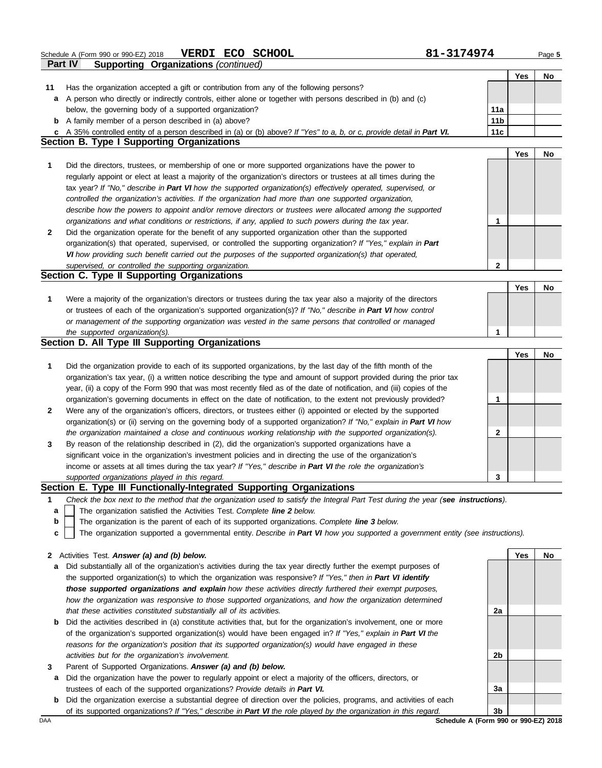Schedule A (Form 990 or 990-EZ) 2018 **VERDI ECO SCHOOL** 81-3174974 Page 5<br>**Part IV** Supporting Organizations (continued) **VERDI ECO SCHOOL** 

|              | Part IV<br><b>Supporting Organizations (continued)</b>                                                                            |                 |            |     |
|--------------|-----------------------------------------------------------------------------------------------------------------------------------|-----------------|------------|-----|
|              |                                                                                                                                   |                 | Yes        | No  |
| 11           | Has the organization accepted a gift or contribution from any of the following persons?                                           |                 |            |     |
| a            | A person who directly or indirectly controls, either alone or together with persons described in (b) and (c)                      |                 |            |     |
|              | below, the governing body of a supported organization?                                                                            | 11a             |            |     |
|              | <b>b</b> A family member of a person described in (a) above?                                                                      | 11 <sub>b</sub> |            |     |
|              | c A 35% controlled entity of a person described in (a) or (b) above? If "Yes" to a, b, or c, provide detail in Part VI.           | 11c             |            |     |
|              | <b>Section B. Type I Supporting Organizations</b>                                                                                 |                 |            |     |
|              |                                                                                                                                   |                 | <b>Yes</b> | No  |
| 1            | Did the directors, trustees, or membership of one or more supported organizations have the power to                               |                 |            |     |
|              | regularly appoint or elect at least a majority of the organization's directors or trustees at all times during the                |                 |            |     |
|              | tax year? If "No," describe in Part VI how the supported organization(s) effectively operated, supervised, or                     |                 |            |     |
|              | controlled the organization's activities. If the organization had more than one supported organization,                           |                 |            |     |
|              | describe how the powers to appoint and/or remove directors or trustees were allocated among the supported                         |                 |            |     |
|              | organizations and what conditions or restrictions, if any, applied to such powers during the tax year.                            | 1               |            |     |
| $\mathbf{2}$ | Did the organization operate for the benefit of any supported organization other than the supported                               |                 |            |     |
|              | organization(s) that operated, supervised, or controlled the supporting organization? If "Yes," explain in Part                   |                 |            |     |
|              |                                                                                                                                   |                 |            |     |
|              | VI how providing such benefit carried out the purposes of the supported organization(s) that operated,                            |                 |            |     |
|              | supervised, or controlled the supporting organization.<br>Section C. Type II Supporting Organizations                             | 2               |            |     |
|              |                                                                                                                                   |                 |            |     |
|              |                                                                                                                                   |                 | Yes        | No  |
| 1            | Were a majority of the organization's directors or trustees during the tax year also a majority of the directors                  |                 |            |     |
|              | or trustees of each of the organization's supported organization(s)? If "No," describe in Part VI how control                     |                 |            |     |
|              | or management of the supporting organization was vested in the same persons that controlled or managed                            |                 |            |     |
|              | the supported organization(s).                                                                                                    | 1               |            |     |
|              | Section D. All Type III Supporting Organizations                                                                                  |                 |            |     |
|              |                                                                                                                                   |                 | Yes        | No  |
| 1            | Did the organization provide to each of its supported organizations, by the last day of the fifth month of the                    |                 |            |     |
|              | organization's tax year, (i) a written notice describing the type and amount of support provided during the prior tax             |                 |            |     |
|              | year, (ii) a copy of the Form 990 that was most recently filed as of the date of notification, and (iii) copies of the            |                 |            |     |
|              | organization's governing documents in effect on the date of notification, to the extent not previously provided?                  | 1               |            |     |
| $\mathbf{2}$ | Were any of the organization's officers, directors, or trustees either (i) appointed or elected by the supported                  |                 |            |     |
|              | organization(s) or (ii) serving on the governing body of a supported organization? If "No," explain in Part VI how                |                 |            |     |
|              | the organization maintained a close and continuous working relationship with the supported organization(s).                       | 2               |            |     |
| 3            | By reason of the relationship described in (2), did the organization's supported organizations have a                             |                 |            |     |
|              | significant voice in the organization's investment policies and in directing the use of the organization's                        |                 |            |     |
|              | income or assets at all times during the tax year? If "Yes," describe in Part VI the role the organization's                      |                 |            |     |
|              | supported organizations played in this regard.                                                                                    | 3               |            |     |
|              | Section E. Type III Functionally-Integrated Supporting Organizations                                                              |                 |            |     |
| 1            | Check the box next to the method that the organization used to satisfy the Integral Part Test during the year (see instructions). |                 |            |     |
| a            | The organization satisfied the Activities Test. Complete line 2 below.                                                            |                 |            |     |
| b            | The organization is the parent of each of its supported organizations. Complete line 3 below.                                     |                 |            |     |
| c            | The organization supported a governmental entity. Describe in Part VI how you supported a government entity (see instructions).   |                 |            |     |
|              |                                                                                                                                   |                 |            |     |
| 2            | Activities Test. Answer (a) and (b) below.                                                                                        |                 | Yes        | No. |
| a            | Did substantially all of the organization's activities during the tax year directly further the exempt purposes of                |                 |            |     |
|              | the supported organization(s) to which the organization was responsive? If "Yes," then in Part VI identify                        |                 |            |     |
|              | those supported organizations and explain how these activities directly furthered their exempt purposes,                          |                 |            |     |
|              | how the organization was responsive to those supported organizations, and how the organization determined                         |                 |            |     |
|              | that these activities constituted substantially all of its activities.                                                            | 2a              |            |     |
| b            | Did the activities described in (a) constitute activities that, but for the organization's involvement, one or more               |                 |            |     |
|              | of the organization's supported organization(s) would have been engaged in? If "Yes," explain in Part VI the                      |                 |            |     |
|              | reasons for the organization's position that its supported organization(s) would have engaged in these                            |                 |            |     |
|              | activities but for the organization's involvement.                                                                                | 2b              |            |     |
|              |                                                                                                                                   |                 |            |     |

- **3** Parent of Supported Organizations. *Answer (a) and (b) below.*
	- **a** Did the organization have the power to regularly appoint or elect a majority of the officers, directors, or trustees of each of the supported organizations? *Provide details in Part VI.*
	- **b** Did the organization exercise a substantial degree of direction over the policies, programs, and activities of each of its supported organizations? *If "Yes," describe in Part VI the role played by the organization in this regard.*

**3a 3b**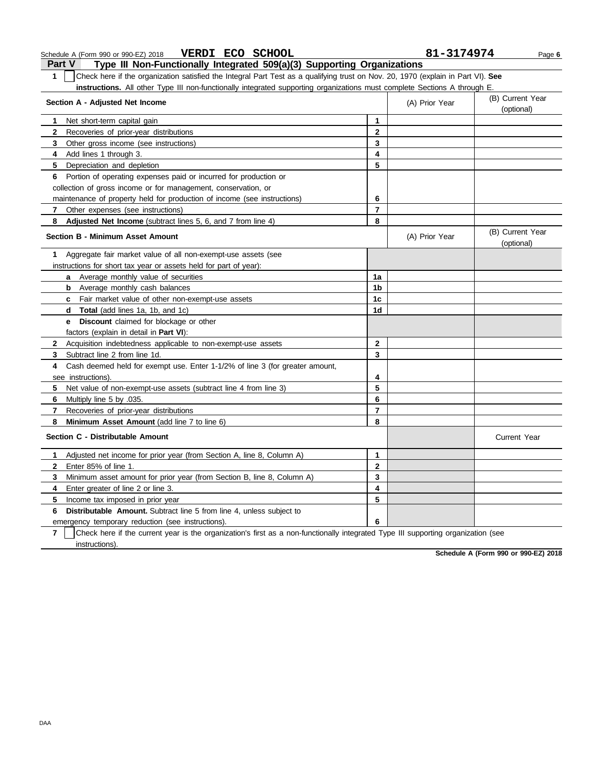| Part V<br>Type III Non-Functionally Integrated 509(a)(3) Supporting Organizations                                                     |                |                |                                |
|---------------------------------------------------------------------------------------------------------------------------------------|----------------|----------------|--------------------------------|
| Check here if the organization satisfied the Integral Part Test as a qualifying trust on Nov. 20, 1970 (explain in Part VI). See<br>1 |                |                |                                |
| instructions. All other Type III non-functionally integrated supporting organizations must complete Sections A through E.             |                |                |                                |
| Section A - Adjusted Net Income                                                                                                       |                | (A) Prior Year | (B) Current Year               |
|                                                                                                                                       |                |                | (optional)                     |
| Net short-term capital gain<br>1                                                                                                      | 1              |                |                                |
| $\mathbf{2}$<br>Recoveries of prior-year distributions                                                                                | $\mathbf{2}$   |                |                                |
| 3<br>Other gross income (see instructions)                                                                                            | 3              |                |                                |
| Add lines 1 through 3.<br>4                                                                                                           | 4              |                |                                |
| Depreciation and depletion<br>5                                                                                                       | 5              |                |                                |
| 6 Portion of operating expenses paid or incurred for production or                                                                    |                |                |                                |
| collection of gross income or for management, conservation, or                                                                        |                |                |                                |
| maintenance of property held for production of income (see instructions)                                                              | 6              |                |                                |
| Other expenses (see instructions)<br>7                                                                                                | 7              |                |                                |
| 8<br>Adjusted Net Income (subtract lines 5, 6, and 7 from line 4)                                                                     | 8              |                |                                |
| <b>Section B - Minimum Asset Amount</b>                                                                                               |                | (A) Prior Year | (B) Current Year<br>(optional) |
| Aggregate fair market value of all non-exempt-use assets (see<br>1                                                                    |                |                |                                |
| instructions for short tax year or assets held for part of year):                                                                     |                |                |                                |
| Average monthly value of securities<br>a                                                                                              | 1a             |                |                                |
| Average monthly cash balances<br>b                                                                                                    | 1 <sub>b</sub> |                |                                |
| c Fair market value of other non-exempt-use assets                                                                                    | 1c             |                |                                |
| <b>Total</b> (add lines 1a, 1b, and 1c)<br>d                                                                                          | 1 <sub>d</sub> |                |                                |
| <b>e</b> Discount claimed for blockage or other                                                                                       |                |                |                                |
| factors (explain in detail in <b>Part VI)</b> :                                                                                       |                |                |                                |
| $\mathbf{2}$<br>Acquisition indebtedness applicable to non-exempt-use assets                                                          | $\mathbf{2}$   |                |                                |
| Subtract line 2 from line 1d.<br>3                                                                                                    | 3              |                |                                |
| Cash deemed held for exempt use. Enter 1-1/2% of line 3 (for greater amount,<br>4                                                     |                |                |                                |
| see instructions)                                                                                                                     | 4              |                |                                |
| 5<br>Net value of non-exempt-use assets (subtract line 4 from line 3)                                                                 | 5              |                |                                |
| Multiply line 5 by .035.<br>6                                                                                                         | 6              |                |                                |
| 7<br>Recoveries of prior-year distributions                                                                                           | $\overline{7}$ |                |                                |
| 8<br><b>Minimum Asset Amount</b> (add line 7 to line 6)                                                                               | 8              |                |                                |
| Section C - Distributable Amount                                                                                                      |                |                | <b>Current Year</b>            |
| Adjusted net income for prior year (from Section A, line 8, Column A)<br>1                                                            | 1              |                |                                |
| Enter 85% of line 1.<br>$\mathbf{2}$                                                                                                  | $\mathbf 2$    |                |                                |
| Minimum asset amount for prior year (from Section B, line 8, Column A)<br>3                                                           | 3              |                |                                |
| Enter greater of line 2 or line 3.<br>4                                                                                               | 4              |                |                                |
| 5<br>Income tax imposed in prior year                                                                                                 | 5              |                |                                |
| <b>Distributable Amount.</b> Subtract line 5 from line 4, unless subject to<br>6                                                      |                |                |                                |

emergency temporary reduction (see instructions).

**7** | Check here if the current year is the organization's first as a non-functionally integrated Type III supporting organization (see instructions).

**6**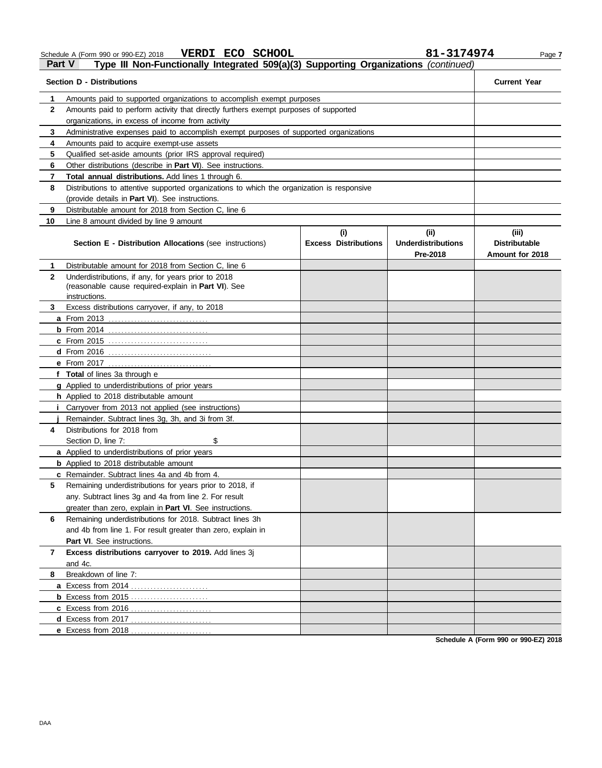Schedule A (Form 990 or 990-EZ) 2018 **VERDI ECO SCHOOL 81−3⊥74**974 Page 7

**VERDI ECO SCHOOL 81-3174974**

#### **Part V Type III Non-Functionally Integrated 509(a)(3) Supporting Organizations** *(continued)*

| <b>Section D - Distributions</b> | <b>Current Year</b>                                                                                                                                              |                             |                                       |                                         |  |  |
|----------------------------------|------------------------------------------------------------------------------------------------------------------------------------------------------------------|-----------------------------|---------------------------------------|-----------------------------------------|--|--|
|                                  |                                                                                                                                                                  |                             |                                       |                                         |  |  |
| 1                                | Amounts paid to supported organizations to accomplish exempt purposes                                                                                            |                             |                                       |                                         |  |  |
| $\mathbf{2}$                     | Amounts paid to perform activity that directly furthers exempt purposes of supported<br>organizations, in excess of income from activity                         |                             |                                       |                                         |  |  |
|                                  |                                                                                                                                                                  |                             |                                       |                                         |  |  |
| 3                                |                                                                                                                                                                  |                             |                                       |                                         |  |  |
| 4<br>5                           | Amounts paid to acquire exempt-use assets                                                                                                                        |                             |                                       |                                         |  |  |
| 6                                | Qualified set-aside amounts (prior IRS approval required)<br>Other distributions (describe in Part VI). See instructions.                                        |                             |                                       |                                         |  |  |
|                                  |                                                                                                                                                                  |                             |                                       |                                         |  |  |
| 8                                | $\mathbf{7}$<br>Total annual distributions. Add lines 1 through 6.<br>Distributions to attentive supported organizations to which the organization is responsive |                             |                                       |                                         |  |  |
|                                  |                                                                                                                                                                  |                             |                                       |                                         |  |  |
| 9                                | (provide details in Part VI). See instructions.<br>Distributable amount for 2018 from Section C, line 6                                                          |                             |                                       |                                         |  |  |
| 10                               | Line 8 amount divided by line 9 amount                                                                                                                           |                             |                                       |                                         |  |  |
|                                  |                                                                                                                                                                  | (i)                         | (ii)                                  | (iii)                                   |  |  |
|                                  | <b>Section E - Distribution Allocations (see instructions)</b>                                                                                                   | <b>Excess Distributions</b> | <b>Underdistributions</b><br>Pre-2018 | <b>Distributable</b><br>Amount for 2018 |  |  |
| 1.                               | Distributable amount for 2018 from Section C, line 6                                                                                                             |                             |                                       |                                         |  |  |
| $\mathbf{2}$                     | Underdistributions, if any, for years prior to 2018<br>(reasonable cause required-explain in Part VI). See<br>instructions.                                      |                             |                                       |                                         |  |  |
| 3.                               | Excess distributions carryover, if any, to 2018                                                                                                                  |                             |                                       |                                         |  |  |
|                                  |                                                                                                                                                                  |                             |                                       |                                         |  |  |
|                                  |                                                                                                                                                                  |                             |                                       |                                         |  |  |
|                                  | <b>c</b> From 2015                                                                                                                                               |                             |                                       |                                         |  |  |
|                                  | d From 2016 <u></u>                                                                                                                                              |                             |                                       |                                         |  |  |
|                                  |                                                                                                                                                                  |                             |                                       |                                         |  |  |
|                                  | f Total of lines 3a through e                                                                                                                                    |                             |                                       |                                         |  |  |
|                                  | g Applied to underdistributions of prior years                                                                                                                   |                             |                                       |                                         |  |  |
|                                  | h Applied to 2018 distributable amount                                                                                                                           |                             |                                       |                                         |  |  |
|                                  | <i>i</i> Carryover from 2013 not applied (see instructions)                                                                                                      |                             |                                       |                                         |  |  |
|                                  | Remainder. Subtract lines 3g, 3h, and 3i from 3f.                                                                                                                |                             |                                       |                                         |  |  |
| 4                                | Distributions for 2018 from                                                                                                                                      |                             |                                       |                                         |  |  |
|                                  | \$<br>Section D. line 7:                                                                                                                                         |                             |                                       |                                         |  |  |
|                                  | a Applied to underdistributions of prior years                                                                                                                   |                             |                                       |                                         |  |  |
|                                  | <b>b</b> Applied to 2018 distributable amount                                                                                                                    |                             |                                       |                                         |  |  |
|                                  | c Remainder. Subtract lines 4a and 4b from 4.                                                                                                                    |                             |                                       |                                         |  |  |
|                                  | Remaining underdistributions for years prior to 2018, if                                                                                                         |                             |                                       |                                         |  |  |
|                                  | any. Subtract lines 3g and 4a from line 2. For result                                                                                                            |                             |                                       |                                         |  |  |
|                                  | greater than zero, explain in Part VI. See instructions.                                                                                                         |                             |                                       |                                         |  |  |
| 6                                | Remaining underdistributions for 2018. Subtract lines 3h                                                                                                         |                             |                                       |                                         |  |  |
|                                  | and 4b from line 1. For result greater than zero, explain in                                                                                                     |                             |                                       |                                         |  |  |
|                                  | Part VI. See instructions.                                                                                                                                       |                             |                                       |                                         |  |  |
| 7                                | Excess distributions carryover to 2019. Add lines 3j                                                                                                             |                             |                                       |                                         |  |  |
|                                  | and 4c.                                                                                                                                                          |                             |                                       |                                         |  |  |
| 8                                | Breakdown of line 7:                                                                                                                                             |                             |                                       |                                         |  |  |
|                                  |                                                                                                                                                                  |                             |                                       |                                         |  |  |
|                                  | <b>b</b> Excess from 2015                                                                                                                                        |                             |                                       |                                         |  |  |
|                                  |                                                                                                                                                                  |                             |                                       |                                         |  |  |
|                                  |                                                                                                                                                                  |                             |                                       |                                         |  |  |
|                                  |                                                                                                                                                                  |                             |                                       |                                         |  |  |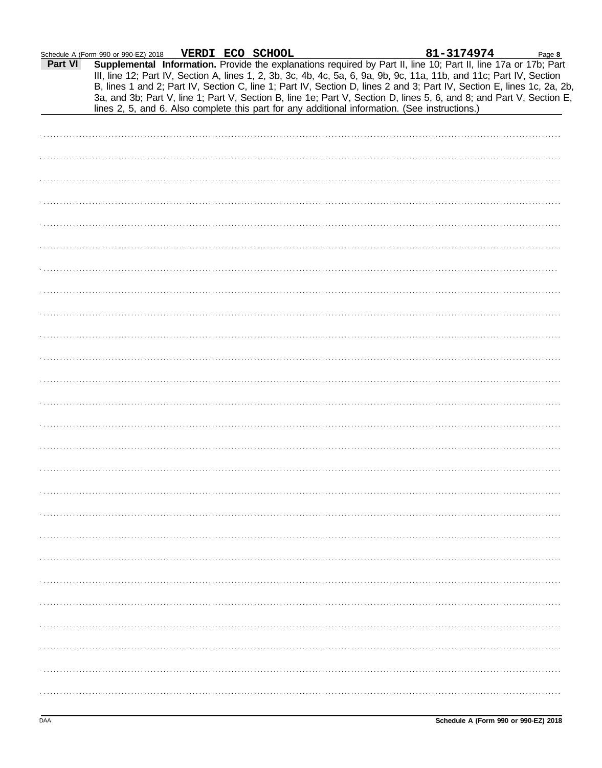|                | VERDI ECO SCHOOL<br>Schedule A (Form 990 or 990-EZ) 2018                                                                                                                                                                                |  | 81-3174974 | Page 8 |
|----------------|-----------------------------------------------------------------------------------------------------------------------------------------------------------------------------------------------------------------------------------------|--|------------|--------|
| <b>Part VI</b> | Supplemental Information. Provide the explanations required by Part II, line 10; Part II, line 17a or 17b; Part<br>III, line 12; Part IV, Section A, lines 1, 2, 3b, 3c, 4b, 4c, 5a, 6, 9a, 9b, 9c, 11a, 11b, and 11c; Part IV, Section |  |            |        |
|                | B, lines 1 and 2; Part IV, Section C, line 1; Part IV, Section D, lines 2 and 3; Part IV, Section E, lines 1c, 2a, 2b,                                                                                                                  |  |            |        |
|                | 3a, and 3b; Part V, line 1; Part V, Section B, line 1e; Part V, Section D, lines 5, 6, and 8; and Part V, Section E,                                                                                                                    |  |            |        |
|                | lines 2, 5, and 6. Also complete this part for any additional information. (See instructions.)                                                                                                                                          |  |            |        |
|                |                                                                                                                                                                                                                                         |  |            |        |
|                |                                                                                                                                                                                                                                         |  |            |        |
|                |                                                                                                                                                                                                                                         |  |            |        |
|                |                                                                                                                                                                                                                                         |  |            |        |
|                |                                                                                                                                                                                                                                         |  |            |        |
|                |                                                                                                                                                                                                                                         |  |            |        |
|                |                                                                                                                                                                                                                                         |  |            |        |
|                |                                                                                                                                                                                                                                         |  |            |        |
|                |                                                                                                                                                                                                                                         |  |            |        |
|                |                                                                                                                                                                                                                                         |  |            |        |
|                |                                                                                                                                                                                                                                         |  |            |        |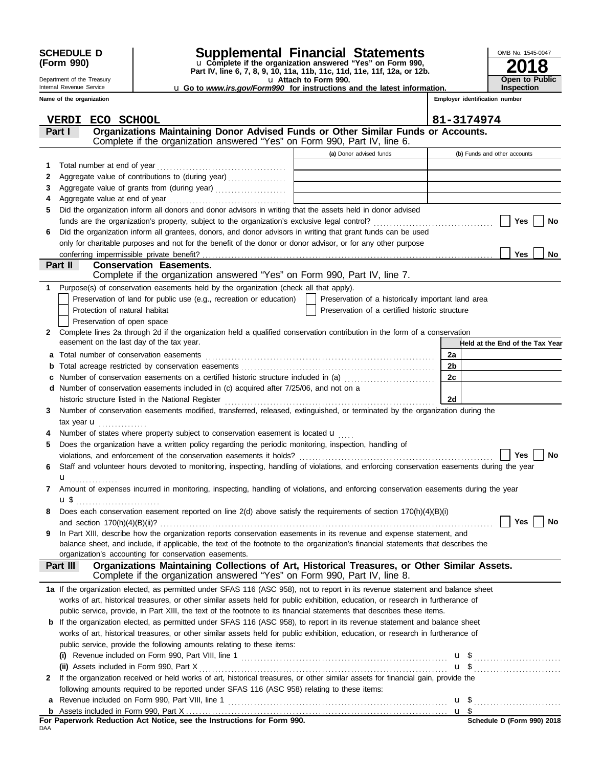| <b>SCHEDULE D</b> |  |
|-------------------|--|
| (Form 990)        |  |

#### Department of the Treasury Internal Revenue Service **Name of the organization**

## **SCHEDULE D Supplemental Financial Statements**

u **Attach to Form 990. Part IV, line 6, 7, 8, 9, 10, 11a, 11b, 11c, 11d, 11e, 11f, 12a, or 12b.** u **Complete if the organization answered "Yes" on Form 990,** u **Go to** *www.irs.gov/Form990* **for instructions and the latest information.**

| OMB No. 1545-0047     |
|-----------------------|
| 2018                  |
|                       |
| <b>Open to Public</b> |
| <b>Inspection</b>     |

**Employer identification number**

|              | ECO SCHOOL<br><b>VERDI</b>                                                                                                                |                                                    | 81-3174974                      |
|--------------|-------------------------------------------------------------------------------------------------------------------------------------------|----------------------------------------------------|---------------------------------|
|              | Organizations Maintaining Donor Advised Funds or Other Similar Funds or Accounts.<br>Part I                                               |                                                    |                                 |
|              | Complete if the organization answered "Yes" on Form 990, Part IV, line 6.                                                                 |                                                    |                                 |
|              |                                                                                                                                           | (a) Donor advised funds                            | (b) Funds and other accounts    |
| 1            | Total number at end of year                                                                                                               |                                                    |                                 |
|              | Aggregate value of contributions to (during year)                                                                                         |                                                    |                                 |
| 2            |                                                                                                                                           |                                                    |                                 |
| 3            |                                                                                                                                           |                                                    |                                 |
| 4<br>5       | Did the organization inform all donors and donor advisors in writing that the assets held in donor advised                                |                                                    |                                 |
|              |                                                                                                                                           |                                                    | Yes<br>No                       |
|              | Did the organization inform all grantees, donors, and donor advisors in writing that grant funds can be used                              |                                                    |                                 |
| 6            | only for charitable purposes and not for the benefit of the donor or donor advisor, or for any other purpose                              |                                                    |                                 |
|              |                                                                                                                                           |                                                    | Yes<br>No                       |
|              | Part II<br><b>Conservation Easements.</b>                                                                                                 |                                                    |                                 |
|              | Complete if the organization answered "Yes" on Form 990, Part IV, line 7.                                                                 |                                                    |                                 |
| 1            | Purpose(s) of conservation easements held by the organization (check all that apply).                                                     |                                                    |                                 |
|              | Preservation of land for public use (e.g., recreation or education)                                                                       | Preservation of a historically important land area |                                 |
|              | Protection of natural habitat                                                                                                             | Preservation of a certified historic structure     |                                 |
|              | Preservation of open space                                                                                                                |                                                    |                                 |
| $\mathbf{2}$ | Complete lines 2a through 2d if the organization held a qualified conservation contribution in the form of a conservation                 |                                                    |                                 |
|              | easement on the last day of the tax year.                                                                                                 |                                                    | Held at the End of the Tax Year |
| a            |                                                                                                                                           |                                                    | 2a                              |
| b            |                                                                                                                                           |                                                    | 2 <sub>b</sub>                  |
| С            | Number of conservation easements on a certified historic structure included in (a)                                                        |                                                    | 2c                              |
|              | d Number of conservation easements included in (c) acquired after 7/25/06, and not on a                                                   |                                                    |                                 |
|              |                                                                                                                                           |                                                    | 2d                              |
| 3            | Number of conservation easements modified, transferred, released, extinguished, or terminated by the organization during the              |                                                    |                                 |
|              |                                                                                                                                           |                                                    |                                 |
|              | Number of states where property subject to conservation easement is located u                                                             |                                                    |                                 |
| 5            | Does the organization have a written policy regarding the periodic monitoring, inspection, handling of                                    |                                                    |                                 |
|              | violations, and enforcement of the conservation easements it holds?                                                                       |                                                    | Yes<br>No                       |
| 6            | Staff and volunteer hours devoted to monitoring, inspecting, handling of violations, and enforcing conservation easements during the year |                                                    |                                 |
|              | u                                                                                                                                         |                                                    |                                 |
| 7            | Amount of expenses incurred in monitoring, inspecting, handling of violations, and enforcing conservation easements during the year       |                                                    |                                 |
|              | $\mathbf{u} \, \mathbf{\$}$                                                                                                               |                                                    |                                 |
|              | Does each conservation easement reported on line 2(d) above satisfy the requirements of section 170(h)(4)(B)(i)                           |                                                    |                                 |
|              |                                                                                                                                           |                                                    | Yes $\vert$ $\vert$<br>No       |
| 9            | In Part XIII, describe how the organization reports conservation easements in its revenue and expense statement, and                      |                                                    |                                 |
|              | balance sheet, and include, if applicable, the text of the footnote to the organization's financial statements that describes the         |                                                    |                                 |
|              | organization's accounting for conservation easements.                                                                                     |                                                    |                                 |
|              | Organizations Maintaining Collections of Art, Historical Treasures, or Other Similar Assets.<br>Part III                                  |                                                    |                                 |
|              | Complete if the organization answered "Yes" on Form 990, Part IV, line 8.                                                                 |                                                    |                                 |
|              | 1a If the organization elected, as permitted under SFAS 116 (ASC 958), not to report in its revenue statement and balance sheet           |                                                    |                                 |
|              | works of art, historical treasures, or other similar assets held for public exhibition, education, or research in furtherance of          |                                                    |                                 |
|              | public service, provide, in Part XIII, the text of the footnote to its financial statements that describes these items.                   |                                                    |                                 |
|              | <b>b</b> If the organization elected, as permitted under SFAS 116 (ASC 958), to report in its revenue statement and balance sheet         |                                                    |                                 |
|              | works of art, historical treasures, or other similar assets held for public exhibition, education, or research in furtherance of          |                                                    |                                 |
|              | public service, provide the following amounts relating to these items:                                                                    |                                                    |                                 |
|              |                                                                                                                                           |                                                    |                                 |
|              |                                                                                                                                           |                                                    |                                 |
| $\mathbf{2}$ | If the organization received or held works of art, historical treasures, or other similar assets for financial gain, provide the          |                                                    |                                 |
|              | following amounts required to be reported under SFAS 116 (ASC 958) relating to these items:                                               |                                                    |                                 |
| a            |                                                                                                                                           |                                                    |                                 |
|              |                                                                                                                                           |                                                    |                                 |

DAA **For Paperwork Reduction Act Notice, see the Instructions for Form 990.**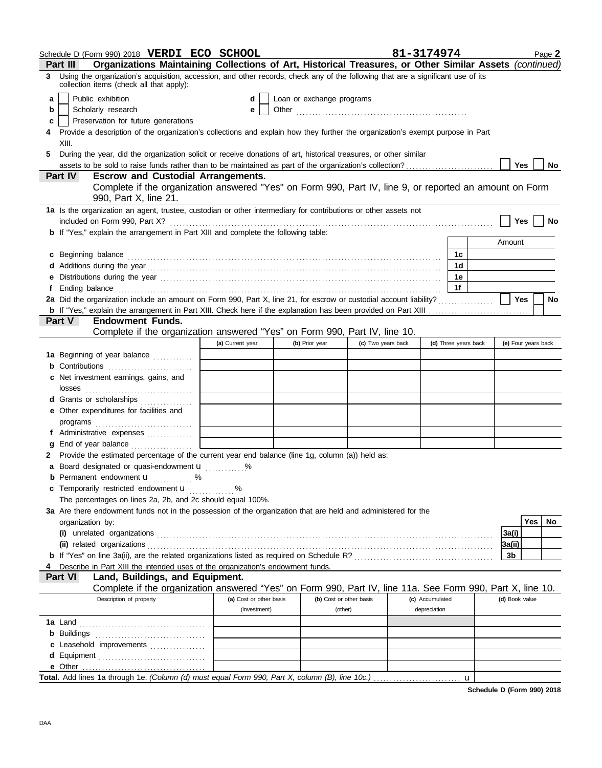|    | Schedule D (Form 990) 2018 VERDI ECO SCHOOL                                                                                                                                                                                    |                         |                           |                    | 81-3174974           | Page 2              |  |  |
|----|--------------------------------------------------------------------------------------------------------------------------------------------------------------------------------------------------------------------------------|-------------------------|---------------------------|--------------------|----------------------|---------------------|--|--|
|    | Organizations Maintaining Collections of Art, Historical Treasures, or Other Similar Assets (continued)<br>Part III                                                                                                            |                         |                           |                    |                      |                     |  |  |
| 3  | Using the organization's acquisition, accession, and other records, check any of the following that are a significant use of its<br>collection items (check all that apply):                                                   |                         |                           |                    |                      |                     |  |  |
| a  | Public exhibition                                                                                                                                                                                                              | d                       | Loan or exchange programs |                    |                      |                     |  |  |
| b  | Scholarly research                                                                                                                                                                                                             | e                       |                           |                    |                      |                     |  |  |
| C  | Preservation for future generations                                                                                                                                                                                            |                         |                           |                    |                      |                     |  |  |
|    | Provide a description of the organization's collections and explain how they further the organization's exempt purpose in Part                                                                                                 |                         |                           |                    |                      |                     |  |  |
|    | XIII.                                                                                                                                                                                                                          |                         |                           |                    |                      |                     |  |  |
| 5. | During the year, did the organization solicit or receive donations of art, historical treasures, or other similar                                                                                                              |                         |                           |                    |                      |                     |  |  |
|    |                                                                                                                                                                                                                                |                         |                           |                    |                      | Yes<br><b>No</b>    |  |  |
|    | <b>Part IV</b><br><b>Escrow and Custodial Arrangements.</b>                                                                                                                                                                    |                         |                           |                    |                      |                     |  |  |
|    | Complete if the organization answered "Yes" on Form 990, Part IV, line 9, or reported an amount on Form<br>990, Part X, line 21.                                                                                               |                         |                           |                    |                      |                     |  |  |
|    | 1a Is the organization an agent, trustee, custodian or other intermediary for contributions or other assets not                                                                                                                |                         |                           |                    |                      |                     |  |  |
|    |                                                                                                                                                                                                                                |                         |                           |                    |                      | Yes<br><b>No</b>    |  |  |
|    | b If "Yes," explain the arrangement in Part XIII and complete the following table:                                                                                                                                             |                         |                           |                    |                      |                     |  |  |
|    |                                                                                                                                                                                                                                |                         |                           |                    |                      | Amount              |  |  |
|    | c Beginning balance                                                                                                                                                                                                            |                         |                           |                    | 1с                   |                     |  |  |
|    |                                                                                                                                                                                                                                |                         |                           |                    | 1d                   |                     |  |  |
|    | e Distributions during the year manufactured contains and the year manufactured with the set of the set of the set of the set of the set of the set of the set of the set of the set of the set of the set of the set of the s |                         |                           |                    | 1е                   |                     |  |  |
|    |                                                                                                                                                                                                                                |                         |                           |                    | 1f                   |                     |  |  |
|    | 2a Did the organization include an amount on Form 990, Part X, line 21, for escrow or custodial account liability?                                                                                                             |                         |                           |                    |                      | Yes<br><b>No</b>    |  |  |
|    | <b>Endowment Funds.</b><br><b>Part V</b>                                                                                                                                                                                       |                         |                           |                    |                      |                     |  |  |
|    | Complete if the organization answered "Yes" on Form 990, Part IV, line 10.                                                                                                                                                     |                         |                           |                    |                      |                     |  |  |
|    |                                                                                                                                                                                                                                | (a) Current year        | (b) Prior year            | (c) Two years back | (d) Three years back | (e) Four years back |  |  |
|    | 1a Beginning of year balance                                                                                                                                                                                                   |                         |                           |                    |                      |                     |  |  |
|    | <b>b</b> Contributions <b>contributions</b>                                                                                                                                                                                    |                         |                           |                    |                      |                     |  |  |
|    | c Net investment earnings, gains, and                                                                                                                                                                                          |                         |                           |                    |                      |                     |  |  |
|    |                                                                                                                                                                                                                                |                         |                           |                    |                      |                     |  |  |
|    | d Grants or scholarships                                                                                                                                                                                                       |                         |                           |                    |                      |                     |  |  |
|    | e Other expenditures for facilities and                                                                                                                                                                                        |                         |                           |                    |                      |                     |  |  |
|    |                                                                                                                                                                                                                                |                         |                           |                    |                      |                     |  |  |
|    | f Administrative expenses                                                                                                                                                                                                      |                         |                           |                    |                      |                     |  |  |
|    | <b>g</b> End of year balance $\ldots$                                                                                                                                                                                          |                         |                           |                    |                      |                     |  |  |
|    | 2 Provide the estimated percentage of the current year end balance (line 1g, column (a)) held as:                                                                                                                              |                         |                           |                    |                      |                     |  |  |
|    | <b>a</b> Board designated or quasi-endowment <b>u</b> %                                                                                                                                                                        |                         |                           |                    |                      |                     |  |  |
|    | <b>b</b> Permanent endowment <b>u</b> %                                                                                                                                                                                        |                         |                           |                    |                      |                     |  |  |
|    | c Temporarily restricted endowment <b>u</b> %                                                                                                                                                                                  |                         |                           |                    |                      |                     |  |  |
|    | The percentages on lines 2a, 2b, and 2c should equal 100%.                                                                                                                                                                     |                         |                           |                    |                      |                     |  |  |
|    | 3a Are there endowment funds not in the possession of the organization that are held and administered for the                                                                                                                  |                         |                           |                    |                      |                     |  |  |
|    | organization by:                                                                                                                                                                                                               |                         |                           |                    |                      | Yes<br>No.          |  |  |
|    |                                                                                                                                                                                                                                |                         |                           |                    |                      | 3a(i)               |  |  |
|    |                                                                                                                                                                                                                                |                         |                           |                    |                      | 3a(i)               |  |  |
|    |                                                                                                                                                                                                                                |                         |                           |                    |                      | 3b                  |  |  |
|    | 4 Describe in Part XIII the intended uses of the organization's endowment funds.<br>Land, Buildings, and Equipment.<br><b>Part VI</b>                                                                                          |                         |                           |                    |                      |                     |  |  |
|    | Complete if the organization answered "Yes" on Form 990, Part IV, line 11a. See Form 990, Part X, line 10.                                                                                                                     |                         |                           |                    |                      |                     |  |  |
|    | Description of property                                                                                                                                                                                                        | (a) Cost or other basis | (b) Cost or other basis   |                    | (c) Accumulated      | (d) Book value      |  |  |
|    |                                                                                                                                                                                                                                | (investment)            | (other)                   |                    | depreciation         |                     |  |  |
|    |                                                                                                                                                                                                                                |                         |                           |                    |                      |                     |  |  |
|    |                                                                                                                                                                                                                                |                         |                           |                    |                      |                     |  |  |
|    | c Leasehold improvements                                                                                                                                                                                                       |                         |                           |                    |                      |                     |  |  |
|    | d Equipment                                                                                                                                                                                                                    |                         |                           |                    |                      |                     |  |  |
|    | e Other                                                                                                                                                                                                                        |                         |                           |                    |                      |                     |  |  |
|    | Total. Add lines 1a through 1e. (Column (d) must equal Form 990, Part X, column (B), line 10c.)                                                                                                                                |                         |                           |                    | u                    |                     |  |  |

**Schedule D (Form 990) 2018**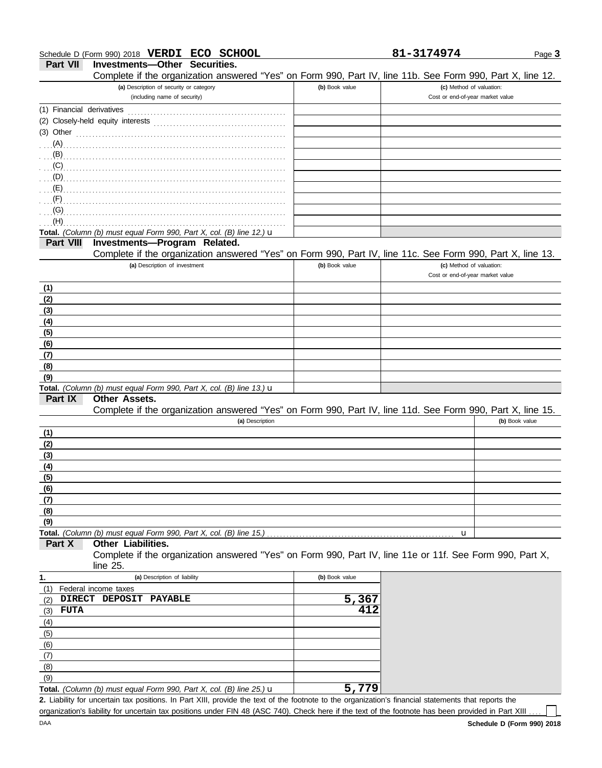81-3174974 Page 3

**Part VII Investments—Other Securities.**

Complete if the organization answered "Yes" on Form 990, Part IV, line 11b. See Form 990, Part X, line 12.

| Cumplete in the Organization answered Trest On Form 330, Fait IV, line TTD. Oce Form 330, Fait A, line TZ.                                           |                |                                                              |                |
|------------------------------------------------------------------------------------------------------------------------------------------------------|----------------|--------------------------------------------------------------|----------------|
| (a) Description of security or category<br>(including name of security)                                                                              | (b) Book value | (c) Method of valuation:<br>Cost or end-of-year market value |                |
| (1) Financial derivatives                                                                                                                            |                |                                                              |                |
|                                                                                                                                                      |                |                                                              |                |
| (3) Other                                                                                                                                            |                |                                                              |                |
| $(A)$ .                                                                                                                                              |                |                                                              |                |
| (B)                                                                                                                                                  |                |                                                              |                |
| (C)                                                                                                                                                  |                |                                                              |                |
| (D)                                                                                                                                                  |                |                                                              |                |
| (E)                                                                                                                                                  |                |                                                              |                |
| (F)                                                                                                                                                  |                |                                                              |                |
| (G)                                                                                                                                                  |                |                                                              |                |
| (H)                                                                                                                                                  |                |                                                              |                |
| Total. (Column (b) must equal Form 990, Part X, col. (B) line 12.) $\mathbf u$                                                                       |                |                                                              |                |
| Investments-Program Related.<br><b>Part VIII</b>                                                                                                     |                |                                                              |                |
| Complete if the organization answered "Yes" on Form 990, Part IV, line 11c. See Form 990, Part X, line 13.                                           |                |                                                              |                |
| (a) Description of investment                                                                                                                        | (b) Book value | (c) Method of valuation:                                     |                |
|                                                                                                                                                      |                | Cost or end-of-year market value                             |                |
| (1)                                                                                                                                                  |                |                                                              |                |
| (2)                                                                                                                                                  |                |                                                              |                |
| (3)                                                                                                                                                  |                |                                                              |                |
| (4)                                                                                                                                                  |                |                                                              |                |
| (5)                                                                                                                                                  |                |                                                              |                |
| (6)                                                                                                                                                  |                |                                                              |                |
| (7)                                                                                                                                                  |                |                                                              |                |
| (8)                                                                                                                                                  |                |                                                              |                |
| (9)                                                                                                                                                  |                |                                                              |                |
| Total. (Column (b) must equal Form 990, Part X, col. (B) line 13.) u                                                                                 |                |                                                              |                |
| Part IX<br>Other Assets.                                                                                                                             |                |                                                              |                |
| Complete if the organization answered "Yes" on Form 990, Part IV, line 11d. See Form 990, Part X, line 15.                                           |                |                                                              |                |
| (a) Description                                                                                                                                      |                |                                                              | (b) Book value |
| (1)                                                                                                                                                  |                |                                                              |                |
| (2)                                                                                                                                                  |                |                                                              |                |
| (3)                                                                                                                                                  |                |                                                              |                |
| (4)                                                                                                                                                  |                |                                                              |                |
| (5)                                                                                                                                                  |                |                                                              |                |
| (6)                                                                                                                                                  |                |                                                              |                |
| (7)                                                                                                                                                  |                |                                                              |                |
| (8)                                                                                                                                                  |                |                                                              |                |
| (9)                                                                                                                                                  |                |                                                              |                |
| Total. (Column (b) must equal Form 990, Part X, col. (B) line 15.)                                                                                   |                | u                                                            |                |
| Other Liabilities.<br>Part X                                                                                                                         |                |                                                              |                |
| Complete if the organization answered "Yes" on Form 990, Part IV, line 11e or 11f. See Form 990, Part X,<br>line 25.                                 |                |                                                              |                |
| (a) Description of liability                                                                                                                         | (b) Book value |                                                              |                |
| 1.                                                                                                                                                   |                |                                                              |                |
| Federal income taxes<br>(1)<br><b>PAYABLE</b><br>DIRECT DEPOSIT<br>(2)                                                                               | 5,367          |                                                              |                |
| <b>FUTA</b><br>(3)                                                                                                                                   | 412            |                                                              |                |
|                                                                                                                                                      |                |                                                              |                |
| (4)<br>(5)                                                                                                                                           |                |                                                              |                |
| (6)                                                                                                                                                  |                |                                                              |                |
| (7)                                                                                                                                                  |                |                                                              |                |
| (8)                                                                                                                                                  |                |                                                              |                |
| (9)                                                                                                                                                  |                |                                                              |                |
| Total. (Column (b) must equal Form 990, Part X, col. (B) line 25.) $\mathbf u$                                                                       | 5,779          |                                                              |                |
| 2. Liability for uncertain tax positions. In Part XIII, provide the text of the footnote to the organization's financial statements that reports the |                |                                                              |                |
| organization's liability for uncertain tax positions under FIN 48 (ASC 740). Check here if the text of the footnote has been provided in Part XIII   |                |                                                              |                |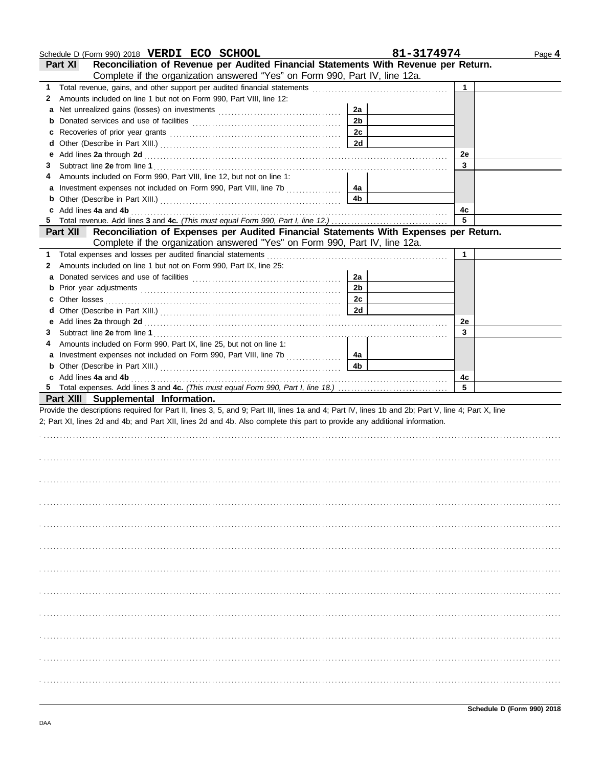|    | Schedule D (Form 990) 2018 VERDI ECO SCHOOL                                                                                                                                                                                                                                                        |                      | 81-3174974 | Page 4 |
|----|----------------------------------------------------------------------------------------------------------------------------------------------------------------------------------------------------------------------------------------------------------------------------------------------------|----------------------|------------|--------|
|    | Reconciliation of Revenue per Audited Financial Statements With Revenue per Return.<br><b>Part XI</b>                                                                                                                                                                                              |                      |            |        |
|    | Complete if the organization answered "Yes" on Form 990, Part IV, line 12a.                                                                                                                                                                                                                        |                      |            |        |
| 1. |                                                                                                                                                                                                                                                                                                    |                      | 1          |        |
| 2  | Amounts included on line 1 but not on Form 990, Part VIII, line 12:                                                                                                                                                                                                                                |                      |            |        |
| a  |                                                                                                                                                                                                                                                                                                    | 2a                   |            |        |
| b  |                                                                                                                                                                                                                                                                                                    | 2 <sub>b</sub>       |            |        |
| c  |                                                                                                                                                                                                                                                                                                    | 2c                   |            |        |
| d  |                                                                                                                                                                                                                                                                                                    | 2d                   |            |        |
| e  |                                                                                                                                                                                                                                                                                                    |                      | 2e         |        |
| 3  |                                                                                                                                                                                                                                                                                                    |                      | 3          |        |
|    | Amounts included on Form 990, Part VIII, line 12, but not on line 1:                                                                                                                                                                                                                               |                      |            |        |
|    | Investment expenses not included on Form 990, Part VIII, line 7b                                                                                                                                                                                                                                   | 4a                   |            |        |
| b  |                                                                                                                                                                                                                                                                                                    | 4 <sub>b</sub>       |            |        |
|    | Add lines 4a and 4b                                                                                                                                                                                                                                                                                |                      | 4c         |        |
| 5  |                                                                                                                                                                                                                                                                                                    |                      | 5          |        |
|    | Reconciliation of Expenses per Audited Financial Statements With Expenses per Return.<br><b>Part XII</b>                                                                                                                                                                                           |                      |            |        |
|    | Complete if the organization answered "Yes" on Form 990, Part IV, line 12a.                                                                                                                                                                                                                        |                      |            |        |
|    | Total expenses and losses per audited financial statements                                                                                                                                                                                                                                         |                      | 1          |        |
| 1. | Amounts included on line 1 but not on Form 990, Part IX, line 25:                                                                                                                                                                                                                                  |                      |            |        |
| 2  |                                                                                                                                                                                                                                                                                                    |                      |            |        |
| a  |                                                                                                                                                                                                                                                                                                    | 2a<br>2 <sub>b</sub> |            |        |
| b  |                                                                                                                                                                                                                                                                                                    |                      |            |        |
| с  | Other losses                                                                                                                                                                                                                                                                                       | 2c                   |            |        |
| d  |                                                                                                                                                                                                                                                                                                    | 2d                   |            |        |
|    |                                                                                                                                                                                                                                                                                                    |                      | 2e         |        |
| 3  |                                                                                                                                                                                                                                                                                                    |                      | 3          |        |
| 4  | Amounts included on Form 990, Part IX, line 25, but not on line 1:                                                                                                                                                                                                                                 |                      |            |        |
|    | Investment expenses not included on Form 990, Part VIII, line 7b<br>an an India an Aonaichte an Aonaichte an Aonaichte an Aonaichte an Aonaichte an Aonaichte an Aonaichte an Aonaichte an Aonaichte an Aonaichte an Aonaichte an Aonaichte an Aonaichte an Aonaichte an Aonaichte ann an Aonaicht | 4a                   |            |        |
| b  |                                                                                                                                                                                                                                                                                                    | 4 <sub>b</sub>       |            |        |
|    | c Add lines 4a and 4b                                                                                                                                                                                                                                                                              |                      | 4c         |        |
|    |                                                                                                                                                                                                                                                                                                    |                      | 5          |        |
|    | Part XIII Supplemental Information.                                                                                                                                                                                                                                                                |                      |            |        |
|    | Provide the descriptions required for Part II, lines 3, 5, and 9; Part III, lines 1a and 4; Part IV, lines 1b and 2b; Part V, line 4; Part X, line                                                                                                                                                 |                      |            |        |
|    | 2; Part XI, lines 2d and 4b; and Part XII, lines 2d and 4b. Also complete this part to provide any additional information.                                                                                                                                                                         |                      |            |        |
|    |                                                                                                                                                                                                                                                                                                    |                      |            |        |
|    |                                                                                                                                                                                                                                                                                                    |                      |            |        |
|    |                                                                                                                                                                                                                                                                                                    |                      |            |        |
|    |                                                                                                                                                                                                                                                                                                    |                      |            |        |
|    |                                                                                                                                                                                                                                                                                                    |                      |            |        |
|    |                                                                                                                                                                                                                                                                                                    |                      |            |        |
|    |                                                                                                                                                                                                                                                                                                    |                      |            |        |
|    |                                                                                                                                                                                                                                                                                                    |                      |            |        |
|    |                                                                                                                                                                                                                                                                                                    |                      |            |        |
|    |                                                                                                                                                                                                                                                                                                    |                      |            |        |
|    |                                                                                                                                                                                                                                                                                                    |                      |            |        |
|    |                                                                                                                                                                                                                                                                                                    |                      |            |        |
|    |                                                                                                                                                                                                                                                                                                    |                      |            |        |
|    |                                                                                                                                                                                                                                                                                                    |                      |            |        |
|    |                                                                                                                                                                                                                                                                                                    |                      |            |        |
|    |                                                                                                                                                                                                                                                                                                    |                      |            |        |
|    |                                                                                                                                                                                                                                                                                                    |                      |            |        |
|    |                                                                                                                                                                                                                                                                                                    |                      |            |        |
|    |                                                                                                                                                                                                                                                                                                    |                      |            |        |
|    |                                                                                                                                                                                                                                                                                                    |                      |            |        |
|    |                                                                                                                                                                                                                                                                                                    |                      |            |        |
|    |                                                                                                                                                                                                                                                                                                    |                      |            |        |
|    |                                                                                                                                                                                                                                                                                                    |                      |            |        |
|    |                                                                                                                                                                                                                                                                                                    |                      |            |        |
|    |                                                                                                                                                                                                                                                                                                    |                      |            |        |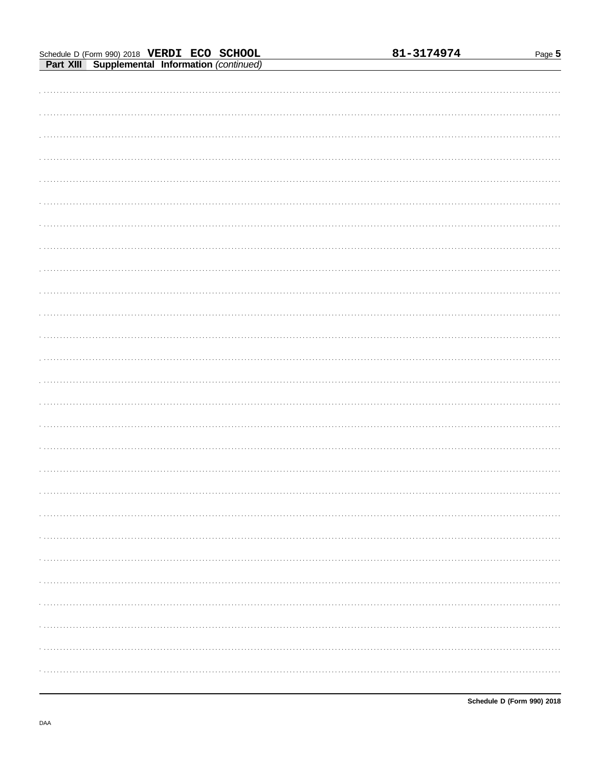|                                                                                               | 81-3174974 | Page 5 |
|-----------------------------------------------------------------------------------------------|------------|--------|
| Schedule D (Form 990) 2018 VERDI ECO SCHOOL<br>Part XIII Supplemental Information (continued) |            |        |
|                                                                                               |            |        |
|                                                                                               |            |        |
|                                                                                               |            |        |
|                                                                                               |            |        |
|                                                                                               |            |        |
|                                                                                               |            |        |
|                                                                                               |            |        |
|                                                                                               |            |        |
|                                                                                               |            |        |
|                                                                                               |            |        |
|                                                                                               |            |        |
|                                                                                               |            |        |
|                                                                                               |            |        |
|                                                                                               |            |        |
|                                                                                               |            |        |
|                                                                                               |            |        |
|                                                                                               |            |        |
|                                                                                               |            |        |
|                                                                                               |            |        |
|                                                                                               |            |        |
|                                                                                               |            |        |
|                                                                                               |            |        |
|                                                                                               |            |        |
|                                                                                               |            |        |
|                                                                                               |            |        |
|                                                                                               |            |        |
|                                                                                               |            |        |
|                                                                                               |            |        |
|                                                                                               |            |        |
|                                                                                               |            |        |
|                                                                                               |            |        |
|                                                                                               |            |        |
|                                                                                               |            |        |
|                                                                                               |            |        |
|                                                                                               |            |        |
|                                                                                               |            |        |
|                                                                                               |            |        |
|                                                                                               |            |        |
|                                                                                               |            |        |
|                                                                                               |            |        |
|                                                                                               |            |        |
|                                                                                               |            |        |
|                                                                                               |            |        |
|                                                                                               |            |        |
|                                                                                               |            |        |
|                                                                                               |            |        |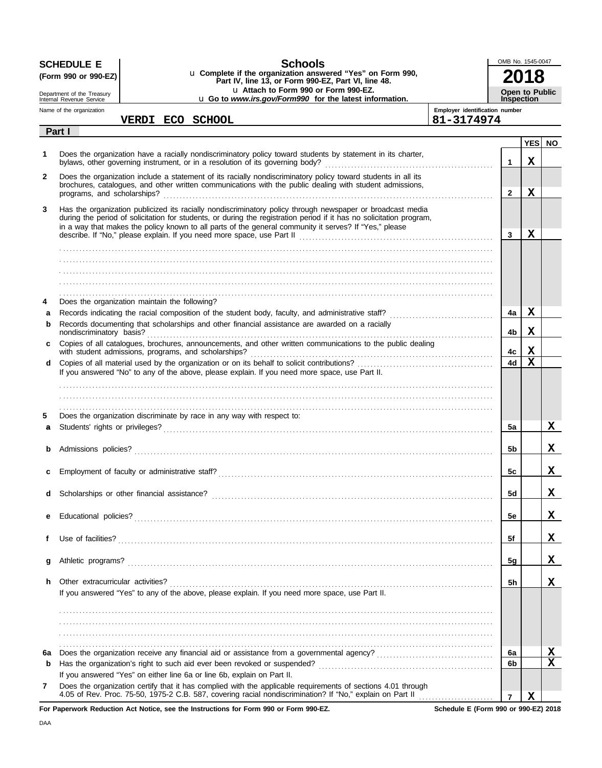|              | <b>Schools</b><br><b>SCHEDULE E</b><br>u Complete if the organization answered "Yes" on Form 990,<br>(Form 990 or 990-EZ)<br>Part IV, line 13, or Form 990-EZ, Part VI, line 48. |                                                                                                                                                                                                                                                                                                                                              | OMB No. 1545-0047                            |                                            |             |                         |
|--------------|----------------------------------------------------------------------------------------------------------------------------------------------------------------------------------|----------------------------------------------------------------------------------------------------------------------------------------------------------------------------------------------------------------------------------------------------------------------------------------------------------------------------------------------|----------------------------------------------|--------------------------------------------|-------------|-------------------------|
|              | Department of the Treasury<br>Internal Revenue Service                                                                                                                           | u Attach to Form 990 or Form 990-EZ.<br>u Go to www.irs.gov/Form990 for the latest information.                                                                                                                                                                                                                                              |                                              | <b>Open to Public</b><br><b>Inspection</b> |             |                         |
|              | Name of the organization                                                                                                                                                         | VERDI ECO SCHOOL                                                                                                                                                                                                                                                                                                                             | Employer identification number<br>81-3174974 |                                            |             |                         |
|              | Part I                                                                                                                                                                           |                                                                                                                                                                                                                                                                                                                                              |                                              |                                            |             |                         |
| 1.           |                                                                                                                                                                                  | Does the organization have a racially nondiscriminatory policy toward students by statement in its charter,                                                                                                                                                                                                                                  |                                              | $\mathbf 1$                                | х           | YES NO                  |
| $\mathbf{2}$ |                                                                                                                                                                                  | Does the organization include a statement of its racially nondiscriminatory policy toward students in all its<br>brochures, catalogues, and other written communications with the public dealing with student admissions,                                                                                                                    |                                              | $\overline{2}$                             | $\mathbf X$ |                         |
| 3            |                                                                                                                                                                                  | Has the organization publicized its racially nondiscriminatory policy through newspaper or broadcast media<br>during the period of solicitation for students, or during the registration period if it has no solicitation program,<br>in a way that makes the policy known to all parts of the general community it serves? If "Yes," please |                                              | $\overline{3}$                             | х           |                         |
|              |                                                                                                                                                                                  |                                                                                                                                                                                                                                                                                                                                              |                                              |                                            |             |                         |
| 4            |                                                                                                                                                                                  | Does the organization maintain the following?                                                                                                                                                                                                                                                                                                |                                              |                                            |             |                         |
| a            |                                                                                                                                                                                  |                                                                                                                                                                                                                                                                                                                                              |                                              | 4a                                         | x           |                         |
| b            | nondiscriminatory basis?                                                                                                                                                         | Records documenting that scholarships and other financial assistance are awarded on a racially                                                                                                                                                                                                                                               |                                              | 4b                                         | х           |                         |
| c            |                                                                                                                                                                                  | Copies of all catalogues, brochures, announcements, and other written communications to the public dealing                                                                                                                                                                                                                                   |                                              | 4с                                         | X           |                         |
| d            |                                                                                                                                                                                  |                                                                                                                                                                                                                                                                                                                                              |                                              | 4d                                         | $\mathbf X$ |                         |
|              |                                                                                                                                                                                  | If you answered "No" to any of the above, please explain. If you need more space, use Part II.                                                                                                                                                                                                                                               |                                              |                                            |             |                         |
|              |                                                                                                                                                                                  |                                                                                                                                                                                                                                                                                                                                              |                                              |                                            |             |                         |
| 5            |                                                                                                                                                                                  | Does the organization discriminate by race in any way with respect to:                                                                                                                                                                                                                                                                       |                                              |                                            |             |                         |
| a            |                                                                                                                                                                                  |                                                                                                                                                                                                                                                                                                                                              |                                              | 5a                                         |             | X                       |
| b            |                                                                                                                                                                                  |                                                                                                                                                                                                                                                                                                                                              |                                              | 5b                                         |             | x                       |
|              |                                                                                                                                                                                  |                                                                                                                                                                                                                                                                                                                                              |                                              |                                            |             |                         |
|              |                                                                                                                                                                                  |                                                                                                                                                                                                                                                                                                                                              |                                              | 5c                                         |             | Δ,                      |
| d            |                                                                                                                                                                                  |                                                                                                                                                                                                                                                                                                                                              |                                              | 5d                                         |             | x                       |
| е            |                                                                                                                                                                                  |                                                                                                                                                                                                                                                                                                                                              |                                              | 5e                                         |             | x                       |
| f            |                                                                                                                                                                                  |                                                                                                                                                                                                                                                                                                                                              |                                              | 5f                                         |             | X                       |
|              |                                                                                                                                                                                  |                                                                                                                                                                                                                                                                                                                                              |                                              |                                            |             |                         |
| g            |                                                                                                                                                                                  |                                                                                                                                                                                                                                                                                                                                              |                                              | 5g                                         |             | x                       |
| h            | Other extracurricular activities?                                                                                                                                                | If you answered "Yes" to any of the above, please explain. If you need more space, use Part II.                                                                                                                                                                                                                                              |                                              | 5h                                         |             | x                       |
|              |                                                                                                                                                                                  |                                                                                                                                                                                                                                                                                                                                              |                                              |                                            |             |                         |
|              |                                                                                                                                                                                  |                                                                                                                                                                                                                                                                                                                                              |                                              |                                            |             |                         |
| 6a           |                                                                                                                                                                                  |                                                                                                                                                                                                                                                                                                                                              |                                              | 6a                                         |             | Х                       |
| b            |                                                                                                                                                                                  |                                                                                                                                                                                                                                                                                                                                              |                                              | 6b                                         |             | $\overline{\mathbf{x}}$ |
|              |                                                                                                                                                                                  | If you answered "Yes" on either line 6a or line 6b, explain on Part II.                                                                                                                                                                                                                                                                      |                                              |                                            |             |                         |
| 7            |                                                                                                                                                                                  | Does the organization certify that it has complied with the applicable requirements of sections 4.01 through<br>4.05 of Rev. Proc. 75-50, 1975-2 C.B. 587, covering racial nondiscrimination? If "No," explain on Part II                                                                                                                    |                                              | $\overline{7}$                             | $\mathbf x$ |                         |

**For Paperwork Reduction Act Notice, see the Instructions for Form 990 or Form 990-EZ.**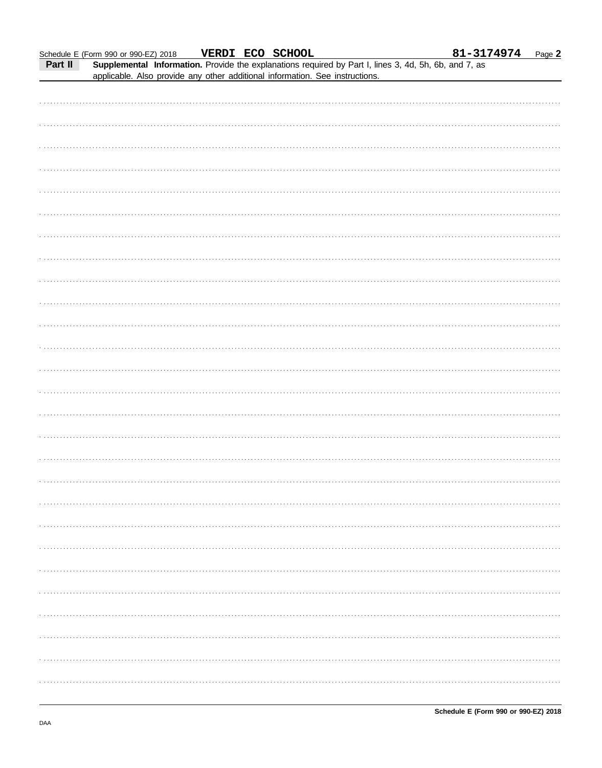|         | Schedule E (Form 990 or 990-EZ) 2018                                                                  | VERDI ECO SCHOOL |  | 81-3174974 | Page 2 |
|---------|-------------------------------------------------------------------------------------------------------|------------------|--|------------|--------|
| Part II | Supplemental Information. Provide the explanations required by Part I, lines 3, 4d, 5h, 6b, and 7, as |                  |  |            |        |
|         | applicable. Also provide any other additional information. See instructions.                          |                  |  |            |        |
|         |                                                                                                       |                  |  |            |        |
|         |                                                                                                       |                  |  |            |        |
|         |                                                                                                       |                  |  |            |        |
|         |                                                                                                       |                  |  |            |        |
|         |                                                                                                       |                  |  |            |        |
|         |                                                                                                       |                  |  |            |        |
|         |                                                                                                       |                  |  |            |        |
|         |                                                                                                       |                  |  |            |        |
|         |                                                                                                       |                  |  |            |        |
|         |                                                                                                       |                  |  |            |        |
|         |                                                                                                       |                  |  |            |        |
|         |                                                                                                       |                  |  |            |        |
|         |                                                                                                       |                  |  |            |        |
|         |                                                                                                       |                  |  |            |        |
|         |                                                                                                       |                  |  |            |        |
|         |                                                                                                       |                  |  |            |        |
|         |                                                                                                       |                  |  |            |        |
|         |                                                                                                       |                  |  |            |        |
|         |                                                                                                       |                  |  |            |        |
|         |                                                                                                       |                  |  |            |        |
|         |                                                                                                       |                  |  |            |        |
|         |                                                                                                       |                  |  |            |        |
|         |                                                                                                       |                  |  |            |        |
|         |                                                                                                       |                  |  |            |        |
|         |                                                                                                       |                  |  |            |        |
|         |                                                                                                       |                  |  |            |        |
|         |                                                                                                       |                  |  |            |        |
|         |                                                                                                       |                  |  |            |        |
|         |                                                                                                       |                  |  |            |        |
|         |                                                                                                       |                  |  |            |        |
|         |                                                                                                       |                  |  |            |        |
|         |                                                                                                       |                  |  |            |        |
|         |                                                                                                       |                  |  |            |        |
|         |                                                                                                       |                  |  |            |        |
|         |                                                                                                       |                  |  |            |        |
|         |                                                                                                       |                  |  |            |        |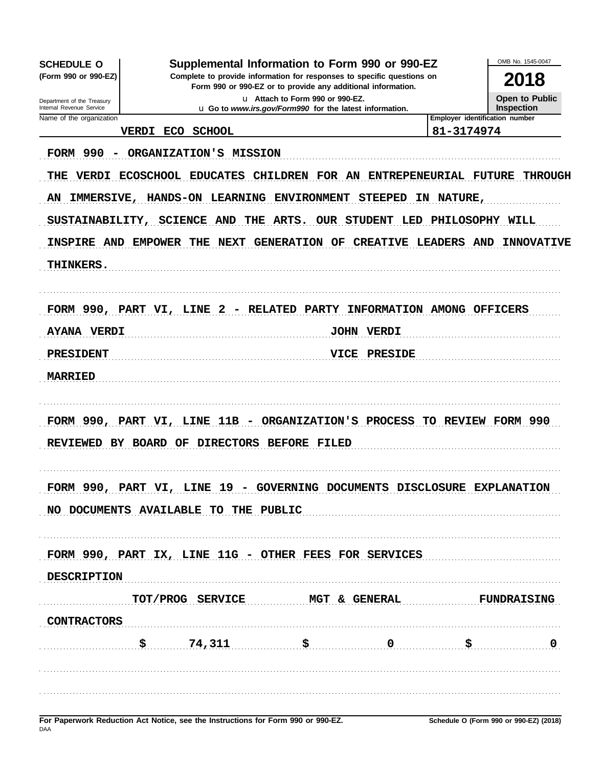OMB No. 1545-0047 Supplemental Information to Form 990 or 990-EZ **SCHEDULE O** (Form 990 or 990-EZ) Complete to provide information for responses to specific questions on 2018 Form 990 or 990-EZ or to provide any additional information. Open to Public u Attach to Form 990 or 990-EZ. Department of the Treasury<br>Internal Revenue Service u Go to www.irs.gov/Form990 for the latest information. **Inspection** Name of the organization Employer identification number 81-3174974 VERDI ECO SCHOOL FORM 990 - ORGANIZATION'S MISSION THE VERDI ECOSCHOOL EDUCATES CHILDREN FOR AN ENTREPENEURIAL FUTURE THROUGH AN IMMERSIVE, HANDS-ON LEARNING ENVIRONMENT STEEPED IN NATURE, SUSTAINABILITY, SCIENCE AND THE ARTS. OUR STUDENT LED PHILOSOPHY WILL INSPIRE AND EMPOWER THE NEXT GENERATION OF CREATIVE LEADERS AND INNOVATIVE THINKERS. FORM 990, PART VI, LINE 2 - RELATED PARTY INFORMATION AMONG OFFICERS JOHN VERDI **AYANA VERDI** PRESIDENT VICE PRESIDE **MARRIED** FORM 990, PART VI, LINE 11B - ORGANIZATION'S PROCESS TO REVIEW FORM 990 REVIEWED BY BOARD OF DIRECTORS BEFORE FILED FORM 990, PART VI, LINE 19 - GOVERNING DOCUMENTS DISCLOSURE EXPLANATION NO DOCUMENTS AVAILABLE TO THE PUBLIC FORM 990, PART IX, LINE 11G - OTHER FEES FOR SERVICES **DESCRIPTION** TOT/PROG SERVICE MGT & GENERAL **FUNDRAISING CONTRACTORS** \$ 74,311 \$  $\mathbf 0$ S 0